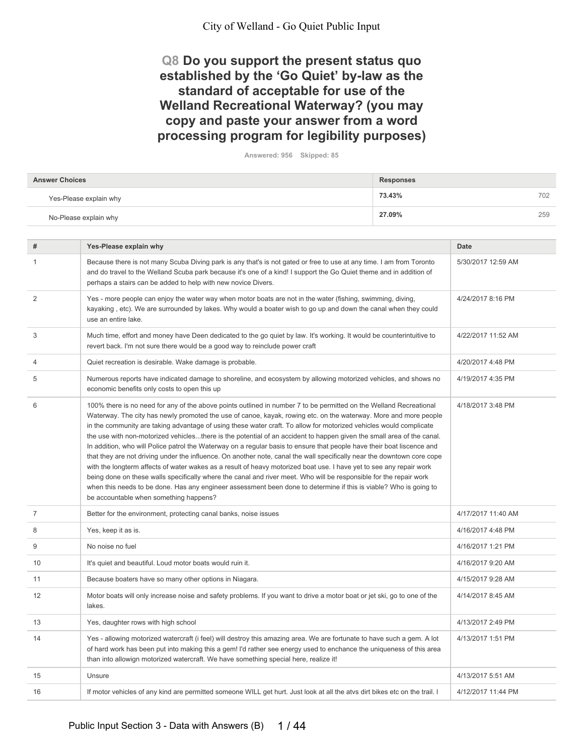## Q8 Do you support the present status quo established by the 'Go Quiet' by-law as the standard of acceptable for use of the **Welland Recreational Waterway? (you may** copy and paste your answer from a word processing program for legibility purposes)

Answered: 956 Skipped: 85

| <b>Answer Choices</b>  | <b>Responses</b> |
|------------------------|------------------|
| Yes-Please explain why | 73.43%<br>702    |
| No-Please explain why  | 27.09%<br>259    |

| #              | Yes-Please explain why                                                                                                                                                                                                                                                                                                                                                                                                                                                                                                                                                                                                                                                                                                                                                                                                                                                                                                                                                                                                                                                                                                                                 | <b>Date</b>        |
|----------------|--------------------------------------------------------------------------------------------------------------------------------------------------------------------------------------------------------------------------------------------------------------------------------------------------------------------------------------------------------------------------------------------------------------------------------------------------------------------------------------------------------------------------------------------------------------------------------------------------------------------------------------------------------------------------------------------------------------------------------------------------------------------------------------------------------------------------------------------------------------------------------------------------------------------------------------------------------------------------------------------------------------------------------------------------------------------------------------------------------------------------------------------------------|--------------------|
| $\mathbf{1}$   | Because there is not many Scuba Diving park is any that's is not gated or free to use at any time. I am from Toronto<br>and do travel to the Welland Scuba park because it's one of a kind! I support the Go Quiet theme and in addition of<br>perhaps a stairs can be added to help with new novice Divers.                                                                                                                                                                                                                                                                                                                                                                                                                                                                                                                                                                                                                                                                                                                                                                                                                                           | 5/30/2017 12:59 AM |
| 2              | Yes - more people can enjoy the water way when motor boats are not in the water (fishing, swimming, diving,<br>kayaking, etc). We are surrounded by lakes. Why would a boater wish to go up and down the canal when they could<br>use an entire lake.                                                                                                                                                                                                                                                                                                                                                                                                                                                                                                                                                                                                                                                                                                                                                                                                                                                                                                  | 4/24/2017 8:16 PM  |
| 3              | Much time, effort and money have Deen dedicated to the go quiet by law. It's working. It would be counterintuitive to<br>revert back. I'm not sure there would be a good way to reinclude power craft                                                                                                                                                                                                                                                                                                                                                                                                                                                                                                                                                                                                                                                                                                                                                                                                                                                                                                                                                  | 4/22/2017 11:52 AM |
| $\overline{4}$ | Quiet recreation is desirable. Wake damage is probable.                                                                                                                                                                                                                                                                                                                                                                                                                                                                                                                                                                                                                                                                                                                                                                                                                                                                                                                                                                                                                                                                                                | 4/20/2017 4:48 PM  |
| 5              | Numerous reports have indicated damage to shoreline, and ecosystem by allowing motorized vehicles, and shows no<br>economic benefits only costs to open this up                                                                                                                                                                                                                                                                                                                                                                                                                                                                                                                                                                                                                                                                                                                                                                                                                                                                                                                                                                                        | 4/19/2017 4:35 PM  |
| 6              | 100% there is no need for any of the above points outlined in number 7 to be permitted on the Welland Recreational<br>Waterway. The city has newly promoted the use of canoe, kayak, rowing etc. on the waterway. More and more people<br>in the community are taking advantage of using these water craft. To allow for motorized vehicles would complicate<br>the use with non-motorized vehiclesthere is the potential of an accident to happen given the small area of the canal.<br>In addition, who will Police patrol the Waterway on a regular basis to ensure that people have their boat liscence and<br>that they are not driving under the influence. On another note, canal the wall specifically near the downtown core cope<br>with the longterm affects of water wakes as a result of heavy motorized boat use. I have yet to see any repair work<br>being done on these walls specifically where the canal and river meet. Who will be responsible for the repair work<br>when this needs to be done. Has any engineer assessment been done to determine if this is viable? Who is going to<br>be accountable when something happens? | 4/18/2017 3:48 PM  |
| $\overline{7}$ | Better for the environment, protecting canal banks, noise issues                                                                                                                                                                                                                                                                                                                                                                                                                                                                                                                                                                                                                                                                                                                                                                                                                                                                                                                                                                                                                                                                                       | 4/17/2017 11:40 AM |
| 8              | Yes, keep it as is.                                                                                                                                                                                                                                                                                                                                                                                                                                                                                                                                                                                                                                                                                                                                                                                                                                                                                                                                                                                                                                                                                                                                    | 4/16/2017 4:48 PM  |
| 9              | No noise no fuel                                                                                                                                                                                                                                                                                                                                                                                                                                                                                                                                                                                                                                                                                                                                                                                                                                                                                                                                                                                                                                                                                                                                       | 4/16/2017 1:21 PM  |
| 10             | It's quiet and beautiful. Loud motor boats would ruin it.                                                                                                                                                                                                                                                                                                                                                                                                                                                                                                                                                                                                                                                                                                                                                                                                                                                                                                                                                                                                                                                                                              | 4/16/2017 9:20 AM  |
| 11             | Because boaters have so many other options in Niagara.                                                                                                                                                                                                                                                                                                                                                                                                                                                                                                                                                                                                                                                                                                                                                                                                                                                                                                                                                                                                                                                                                                 | 4/15/2017 9:28 AM  |
| 12             | Motor boats will only increase noise and safety problems. If you want to drive a motor boat or jet ski, go to one of the<br>lakes.                                                                                                                                                                                                                                                                                                                                                                                                                                                                                                                                                                                                                                                                                                                                                                                                                                                                                                                                                                                                                     | 4/14/2017 8:45 AM  |
| 13             | Yes, daughter rows with high school                                                                                                                                                                                                                                                                                                                                                                                                                                                                                                                                                                                                                                                                                                                                                                                                                                                                                                                                                                                                                                                                                                                    | 4/13/2017 2:49 PM  |
| 14             | Yes - allowing motorized watercraft (i feel) will destroy this amazing area. We are fortunate to have such a gem. A lot<br>of hard work has been put into making this a gem! I'd rather see energy used to enchance the uniqueness of this area<br>than into allowign motorized watercraft. We have something special here, realize it!                                                                                                                                                                                                                                                                                                                                                                                                                                                                                                                                                                                                                                                                                                                                                                                                                | 4/13/2017 1:51 PM  |
| 15             | Unsure                                                                                                                                                                                                                                                                                                                                                                                                                                                                                                                                                                                                                                                                                                                                                                                                                                                                                                                                                                                                                                                                                                                                                 | 4/13/2017 5:51 AM  |
| 16             | If motor vehicles of any kind are permitted someone WILL get hurt. Just look at all the atvs dirt bikes etc on the trail. I                                                                                                                                                                                                                                                                                                                                                                                                                                                                                                                                                                                                                                                                                                                                                                                                                                                                                                                                                                                                                            | 4/12/2017 11:44 PM |
|                |                                                                                                                                                                                                                                                                                                                                                                                                                                                                                                                                                                                                                                                                                                                                                                                                                                                                                                                                                                                                                                                                                                                                                        |                    |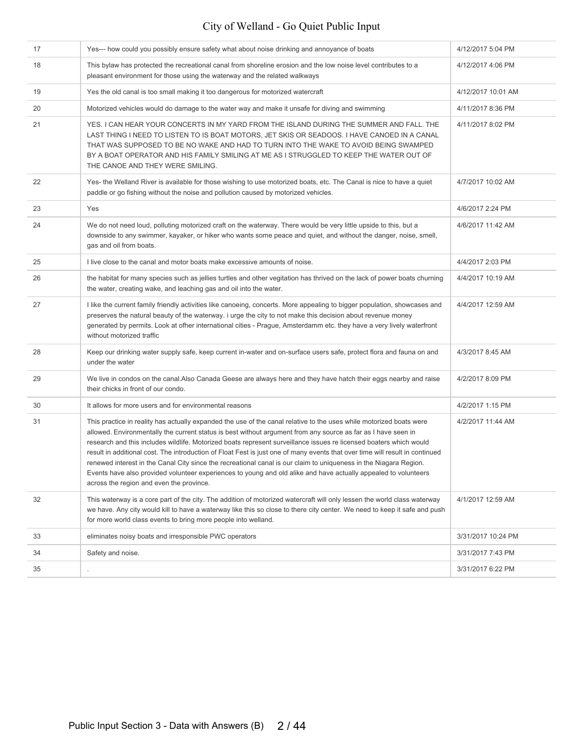| 17 | Yes--- how could you possibly ensure safety what about noise drinking and annoyance of boats                                                                                                                                                                                                                                                                                                                                                                                                                                                                                                                                                                                                                                                                                   | 4/12/2017 5:04 PM  |
|----|--------------------------------------------------------------------------------------------------------------------------------------------------------------------------------------------------------------------------------------------------------------------------------------------------------------------------------------------------------------------------------------------------------------------------------------------------------------------------------------------------------------------------------------------------------------------------------------------------------------------------------------------------------------------------------------------------------------------------------------------------------------------------------|--------------------|
| 18 | This bylaw has protected the recreational canal from shoreline erosion and the low noise level contributes to a<br>pleasant environment for those using the waterway and the related walkways                                                                                                                                                                                                                                                                                                                                                                                                                                                                                                                                                                                  | 4/12/2017 4:06 PM  |
| 19 | Yes the old canal is too small making it too dangerous for motorized watercraft                                                                                                                                                                                                                                                                                                                                                                                                                                                                                                                                                                                                                                                                                                | 4/12/2017 10:01 AM |
| 20 | Motorized vehicles would do damage to the water way and make it unsafe for diving and swimming                                                                                                                                                                                                                                                                                                                                                                                                                                                                                                                                                                                                                                                                                 | 4/11/2017 8:36 PM  |
| 21 | YES. I CAN HEAR YOUR CONCERTS IN MY YARD FROM THE ISLAND DURING THE SUMMER AND FALL. THE<br>LAST THING I NEED TO LISTEN TO IS BOAT MOTORS, JET SKIS OR SEADOOS. I HAVE CANOED IN A CANAL<br>THAT WAS SUPPOSED TO BE NO WAKE AND HAD TO TURN INTO THE WAKE TO AVOID BEING SWAMPED<br>BY A BOAT OPERATOR AND HIS FAMILY SMILING AT ME AS I STRUGGLED TO KEEP THE WATER OUT OF<br>THE CANOE AND THEY WERE SMILING.                                                                                                                                                                                                                                                                                                                                                                | 4/11/2017 8:02 PM  |
| 22 | Yes- the Welland River is available for those wishing to use motorized boats, etc. The Canal is nice to have a quiet<br>paddle or go fishing without the noise and pollution caused by motorized vehicles.                                                                                                                                                                                                                                                                                                                                                                                                                                                                                                                                                                     | 4/7/2017 10:02 AM  |
| 23 | Yes                                                                                                                                                                                                                                                                                                                                                                                                                                                                                                                                                                                                                                                                                                                                                                            | 4/6/2017 2:24 PM   |
| 24 | We do not need loud, polluting motorized craft on the waterway. There would be very little upside to this, but a<br>downside to any swimmer, kayaker, or hiker who wants some peace and quiet, and without the danger, noise, smell,<br>gas and oil from boats.                                                                                                                                                                                                                                                                                                                                                                                                                                                                                                                | 4/6/2017 11:42 AM  |
| 25 | I live close to the canal and motor boats make excessive amounts of noise.                                                                                                                                                                                                                                                                                                                                                                                                                                                                                                                                                                                                                                                                                                     | 4/4/2017 2:03 PM   |
| 26 | the habitat for many species such as jellies turtles and other vegitation has thrived on the lack of power boats churning<br>the water, creating wake, and leaching gas and oil into the water.                                                                                                                                                                                                                                                                                                                                                                                                                                                                                                                                                                                | 4/4/2017 10:19 AM  |
| 27 | I like the current family friendly activities like canoeing, concerts. More appealing to bigger population, showcases and<br>preserves the natural beauty of the waterway. I urge the city to not make this decision about revenue money<br>generated by permits. Look at ofher international cities - Prague, Amsterdamm etc. they have a very lively waterfront<br>without motorized traffic                                                                                                                                                                                                                                                                                                                                                                                 | 4/4/2017 12:59 AM  |
| 28 | Keep our drinking water supply safe, keep current in-water and on-surface users safe, protect flora and fauna on and<br>under the water                                                                                                                                                                                                                                                                                                                                                                                                                                                                                                                                                                                                                                        | 4/3/2017 8:45 AM   |
| 29 | We live in condos on the canal.Also Canada Geese are always here and they have hatch their eggs nearby and raise<br>their chicks in front of our condo.                                                                                                                                                                                                                                                                                                                                                                                                                                                                                                                                                                                                                        | 4/2/2017 8:09 PM   |
| 30 | It allows for more users and for environmental reasons                                                                                                                                                                                                                                                                                                                                                                                                                                                                                                                                                                                                                                                                                                                         | 4/2/2017 1:15 PM   |
| 31 | This practice in reality has actually expanded the use of the canal relative to the uses while motorized boats were<br>allowed. Environmentally the current status is best without argument from any source as far as I have seen in<br>research and this includes wildlife. Motorized boats represent surveillance issues re licensed boaters which would<br>result in additional cost. The introduction of Float Fest is just one of many events that over time will result in continued<br>renewed interest in the Canal City since the recreational canal is our claim to uniqueness in the Niagara Region.<br>Events have also provided volunteer experiences to young and old alike and have actually appealed to volunteers<br>across the region and even the province. | 4/2/2017 11:44 AM  |
| 32 | This waterway is a core part of the city. The addition of motorized watercraft will only lessen the world class waterway<br>we have. Any city would kill to have a waterway like this so close to there city center. We need to keep it safe and push<br>for more world class events to bring more people into welland.                                                                                                                                                                                                                                                                                                                                                                                                                                                        | 4/1/2017 12:59 AM  |
| 33 | eliminates noisy boats and irresponsible PWC operators                                                                                                                                                                                                                                                                                                                                                                                                                                                                                                                                                                                                                                                                                                                         | 3/31/2017 10:24 PM |
| 34 | Safety and noise.                                                                                                                                                                                                                                                                                                                                                                                                                                                                                                                                                                                                                                                                                                                                                              | 3/31/2017 7:43 PM  |
| 35 |                                                                                                                                                                                                                                                                                                                                                                                                                                                                                                                                                                                                                                                                                                                                                                                | 3/31/2017 6:22 PM  |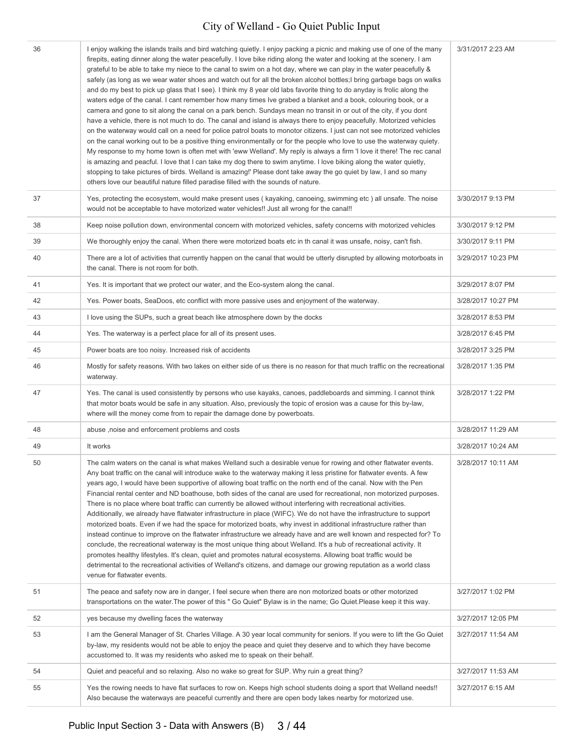| 36 | I enjoy walking the islands trails and bird watching quietly. I enjoy packing a picnic and making use of one of the many<br>firepits, eating dinner along the water peacefully. I love bike riding along the water and looking at the scenery. I am<br>grateful to be able to take my niece to the canal to swim on a hot day, where we can play in the water peacefully &<br>safely (as long as we wear water shoes and watch out for all the broken alcohol bottles; I bring garbage bags on walks<br>and do my best to pick up glass that I see). I think my 8 year old labs favorite thing to do anyday is frolic along the<br>waters edge of the canal. I cant remember how many times Ive grabed a blanket and a book, colouring book, or a<br>camera and gone to sit along the canal on a park bench. Sundays mean no transit in or out of the city, if you dont<br>have a vehicle, there is not much to do. The canal and island is always there to enjoy peacefully. Motorized vehicles<br>on the waterway would call on a need for police patrol boats to monotor citizens. I just can not see motorized vehicles<br>on the canal working out to be a positive thing environmentally or for the people who love to use the waterway quiety.<br>My response to my home town is often met with 'eww Welland'. My reply is always a firm 'I love it there! The rec canal<br>is amazing and peacful. I love that I can take my dog there to swim anytime. I love biking along the water quietly,<br>stopping to take pictures of birds. Welland is amazing!' Please dont take away the go quiet by law, I and so many<br>others love our beautiful nature filled paradise filled with the sounds of nature. | 3/31/2017 2:23 AM  |
|----|-------------------------------------------------------------------------------------------------------------------------------------------------------------------------------------------------------------------------------------------------------------------------------------------------------------------------------------------------------------------------------------------------------------------------------------------------------------------------------------------------------------------------------------------------------------------------------------------------------------------------------------------------------------------------------------------------------------------------------------------------------------------------------------------------------------------------------------------------------------------------------------------------------------------------------------------------------------------------------------------------------------------------------------------------------------------------------------------------------------------------------------------------------------------------------------------------------------------------------------------------------------------------------------------------------------------------------------------------------------------------------------------------------------------------------------------------------------------------------------------------------------------------------------------------------------------------------------------------------------------------------------------------------------------------------------------------------------------|--------------------|
| 37 | Yes, protecting the ecosystem, would make present uses (kayaking, canoeing, swimming etc) all unsafe. The noise<br>would not be acceptable to have motorized water vehicles!! Just all wrong for the canal!!                                                                                                                                                                                                                                                                                                                                                                                                                                                                                                                                                                                                                                                                                                                                                                                                                                                                                                                                                                                                                                                                                                                                                                                                                                                                                                                                                                                                                                                                                                      | 3/30/2017 9:13 PM  |
| 38 | Keep noise pollution down, environmental concern with motorized vehicles, safety concerns with motorized vehicles                                                                                                                                                                                                                                                                                                                                                                                                                                                                                                                                                                                                                                                                                                                                                                                                                                                                                                                                                                                                                                                                                                                                                                                                                                                                                                                                                                                                                                                                                                                                                                                                 | 3/30/2017 9:12 PM  |
| 39 | We thoroughly enjoy the canal. When there were motorized boats etc in th canal it was unsafe, noisy, can't fish.                                                                                                                                                                                                                                                                                                                                                                                                                                                                                                                                                                                                                                                                                                                                                                                                                                                                                                                                                                                                                                                                                                                                                                                                                                                                                                                                                                                                                                                                                                                                                                                                  | 3/30/2017 9:11 PM  |
| 40 | There are a lot of activities that currently happen on the canal that would be utterly disrupted by allowing motorboats in<br>the canal. There is not room for both.                                                                                                                                                                                                                                                                                                                                                                                                                                                                                                                                                                                                                                                                                                                                                                                                                                                                                                                                                                                                                                                                                                                                                                                                                                                                                                                                                                                                                                                                                                                                              | 3/29/2017 10:23 PM |
| 41 | Yes. It is important that we protect our water, and the Eco-system along the canal.                                                                                                                                                                                                                                                                                                                                                                                                                                                                                                                                                                                                                                                                                                                                                                                                                                                                                                                                                                                                                                                                                                                                                                                                                                                                                                                                                                                                                                                                                                                                                                                                                               | 3/29/2017 8:07 PM  |
| 42 | Yes. Power boats, SeaDoos, etc conflict with more passive uses and enjoyment of the waterway.                                                                                                                                                                                                                                                                                                                                                                                                                                                                                                                                                                                                                                                                                                                                                                                                                                                                                                                                                                                                                                                                                                                                                                                                                                                                                                                                                                                                                                                                                                                                                                                                                     | 3/28/2017 10:27 PM |
| 43 | I love using the SUPs, such a great beach like atmosphere down by the docks                                                                                                                                                                                                                                                                                                                                                                                                                                                                                                                                                                                                                                                                                                                                                                                                                                                                                                                                                                                                                                                                                                                                                                                                                                                                                                                                                                                                                                                                                                                                                                                                                                       | 3/28/2017 8:53 PM  |
| 44 | Yes. The waterway is a perfect place for all of its present uses.                                                                                                                                                                                                                                                                                                                                                                                                                                                                                                                                                                                                                                                                                                                                                                                                                                                                                                                                                                                                                                                                                                                                                                                                                                                                                                                                                                                                                                                                                                                                                                                                                                                 | 3/28/2017 6:45 PM  |
| 45 | Power boats are too noisy. Increased risk of accidents                                                                                                                                                                                                                                                                                                                                                                                                                                                                                                                                                                                                                                                                                                                                                                                                                                                                                                                                                                                                                                                                                                                                                                                                                                                                                                                                                                                                                                                                                                                                                                                                                                                            | 3/28/2017 3:25 PM  |
| 46 | Mostly for safety reasons. With two lakes on either side of us there is no reason for that much traffic on the recreational<br>waterway.                                                                                                                                                                                                                                                                                                                                                                                                                                                                                                                                                                                                                                                                                                                                                                                                                                                                                                                                                                                                                                                                                                                                                                                                                                                                                                                                                                                                                                                                                                                                                                          | 3/28/2017 1:35 PM  |
| 47 | Yes. The canal is used consistently by persons who use kayaks, canoes, paddleboards and simming. I cannot think<br>that motor boats would be safe in any situation. Also, previously the topic of erosion was a cause for this by-law,<br>where will the money come from to repair the damage done by powerboats.                                                                                                                                                                                                                                                                                                                                                                                                                                                                                                                                                                                                                                                                                                                                                                                                                                                                                                                                                                                                                                                                                                                                                                                                                                                                                                                                                                                                 | 3/28/2017 1:22 PM  |
| 48 | abuse ,noise and enforcement problems and costs                                                                                                                                                                                                                                                                                                                                                                                                                                                                                                                                                                                                                                                                                                                                                                                                                                                                                                                                                                                                                                                                                                                                                                                                                                                                                                                                                                                                                                                                                                                                                                                                                                                                   | 3/28/2017 11:29 AM |
| 49 | It works                                                                                                                                                                                                                                                                                                                                                                                                                                                                                                                                                                                                                                                                                                                                                                                                                                                                                                                                                                                                                                                                                                                                                                                                                                                                                                                                                                                                                                                                                                                                                                                                                                                                                                          | 3/28/2017 10:24 AM |
| 50 | The calm waters on the canal is what makes Welland such a desirable venue for rowing and other flatwater events.<br>Any boat traffic on the canal will introduce wake to the waterway making it less pristine for flatwater events. A few<br>years ago, I would have been supportive of allowing boat traffic on the north end of the canal. Now with the Pen<br>Financial rental center and ND boathouse, both sides of the canal are used for recreational, non motorized purposes.<br>There is no place where boat traffic can currently be allowed without interfering with recreational activities.<br>Additionally, we already have flatwater infrastructure in place (WIFC). We do not have the infrastructure to support<br>motorized boats. Even if we had the space for motorized boats, why invest in additional infrastructure rather than<br>instead continue to improve on the flatwater infrastructure we already have and are well known and respected for? To<br>conclude, the recreational waterway is the most unique thing about Welland. It's a hub of recreational activity. It<br>promotes healthy lifestyles. It's clean, quiet and promotes natural ecosystems. Allowing boat traffic would be<br>detrimental to the recreational activities of Welland's citizens, and damage our growing reputation as a world class<br>venue for flatwater events.                                                                                                                                                                                                                                                                                                                                    | 3/28/2017 10:11 AM |
| 51 | The peace and safety now are in danger, I feel secure when there are non motorized boats or other motorized<br>transportations on the water. The power of this " Go Quiet" Bylaw is in the name; Go Quiet. Please keep it this way.                                                                                                                                                                                                                                                                                                                                                                                                                                                                                                                                                                                                                                                                                                                                                                                                                                                                                                                                                                                                                                                                                                                                                                                                                                                                                                                                                                                                                                                                               | 3/27/2017 1:02 PM  |
| 52 | yes because my dwelling faces the waterway                                                                                                                                                                                                                                                                                                                                                                                                                                                                                                                                                                                                                                                                                                                                                                                                                                                                                                                                                                                                                                                                                                                                                                                                                                                                                                                                                                                                                                                                                                                                                                                                                                                                        | 3/27/2017 12:05 PM |
| 53 | I am the General Manager of St. Charles Village. A 30 year local community for seniors. If you were to lift the Go Quiet<br>by-law, my residents would not be able to enjoy the peace and quiet they deserve and to which they have become<br>accustomed to. It was my residents who asked me to speak on their behalf.                                                                                                                                                                                                                                                                                                                                                                                                                                                                                                                                                                                                                                                                                                                                                                                                                                                                                                                                                                                                                                                                                                                                                                                                                                                                                                                                                                                           | 3/27/2017 11:54 AM |
| 54 | Quiet and peaceful and so relaxing. Also no wake so great for SUP. Why ruin a great thing?                                                                                                                                                                                                                                                                                                                                                                                                                                                                                                                                                                                                                                                                                                                                                                                                                                                                                                                                                                                                                                                                                                                                                                                                                                                                                                                                                                                                                                                                                                                                                                                                                        | 3/27/2017 11:53 AM |
| 55 | Yes the rowing needs to have flat surfaces to row on. Keeps high school students doing a sport that Welland needs!!<br>Also because the waterways are peaceful currently and there are open body lakes nearby for motorized use.                                                                                                                                                                                                                                                                                                                                                                                                                                                                                                                                                                                                                                                                                                                                                                                                                                                                                                                                                                                                                                                                                                                                                                                                                                                                                                                                                                                                                                                                                  | 3/27/2017 6:15 AM  |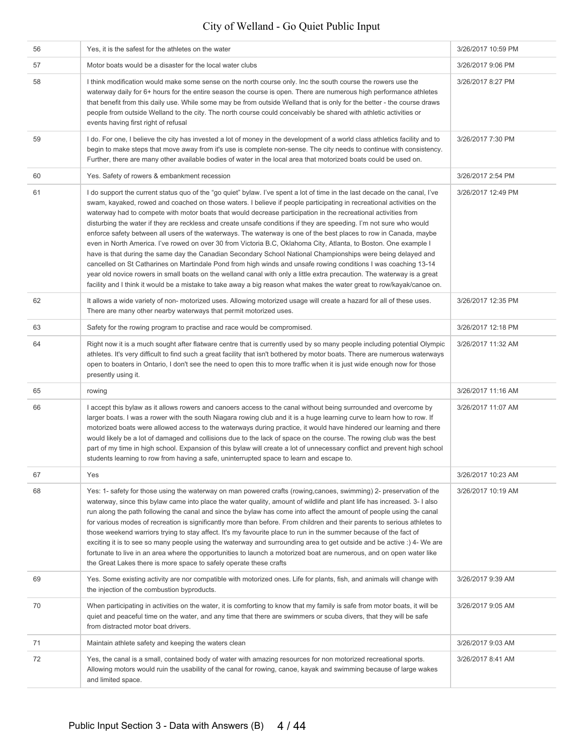| 56 | Yes, it is the safest for the athletes on the water                                                                                                                                                                                                                                                                                                                                                                                                                                                                                                                                                                                                                                                                                                                                                                                                                                                                                                                                                                                                                                                                                                                                                                            | 3/26/2017 10:59 PM |
|----|--------------------------------------------------------------------------------------------------------------------------------------------------------------------------------------------------------------------------------------------------------------------------------------------------------------------------------------------------------------------------------------------------------------------------------------------------------------------------------------------------------------------------------------------------------------------------------------------------------------------------------------------------------------------------------------------------------------------------------------------------------------------------------------------------------------------------------------------------------------------------------------------------------------------------------------------------------------------------------------------------------------------------------------------------------------------------------------------------------------------------------------------------------------------------------------------------------------------------------|--------------------|
| 57 | Motor boats would be a disaster for the local water clubs                                                                                                                                                                                                                                                                                                                                                                                                                                                                                                                                                                                                                                                                                                                                                                                                                                                                                                                                                                                                                                                                                                                                                                      | 3/26/2017 9:06 PM  |
| 58 | I think modification would make some sense on the north course only. Inc the south course the rowers use the<br>waterway daily for 6+ hours for the entire season the course is open. There are numerous high performance athletes<br>that benefit from this daily use. While some may be from outside Welland that is only for the better - the course draws<br>people from outside Welland to the city. The north course could conceivably be shared with athletic activities or<br>events having first right of refusal                                                                                                                                                                                                                                                                                                                                                                                                                                                                                                                                                                                                                                                                                                     | 3/26/2017 8:27 PM  |
| 59 | I do. For one, I believe the city has invested a lot of money in the development of a world class athletics facility and to<br>begin to make steps that move away from it's use is complete non-sense. The city needs to continue with consistency.<br>Further, there are many other available bodies of water in the local area that motorized boats could be used on.                                                                                                                                                                                                                                                                                                                                                                                                                                                                                                                                                                                                                                                                                                                                                                                                                                                        | 3/26/2017 7:30 PM  |
| 60 | Yes. Safety of rowers & embankment recession                                                                                                                                                                                                                                                                                                                                                                                                                                                                                                                                                                                                                                                                                                                                                                                                                                                                                                                                                                                                                                                                                                                                                                                   | 3/26/2017 2:54 PM  |
| 61 | I do support the current status quo of the "go quiet" bylaw. I've spent a lot of time in the last decade on the canal, I've<br>swam, kayaked, rowed and coached on those waters. I believe if people participating in recreational activities on the<br>waterway had to compete with motor boats that would decrease participation in the recreational activities from<br>disturbing the water if they are reckless and create unsafe conditions if they are speeding. I'm not sure who would<br>enforce safety between all users of the waterways. The waterway is one of the best places to row in Canada, maybe<br>even in North America. I've rowed on over 30 from Victoria B.C, Oklahoma City, Atlanta, to Boston. One example I<br>have is that during the same day the Canadian Secondary School National Championships were being delayed and<br>cancelled on St Catharines on Martindale Pond from high winds and unsafe rowing conditions I was coaching 13-14<br>year old novice rowers in small boats on the welland canal with only a little extra precaution. The waterway is a great<br>facility and I think it would be a mistake to take away a big reason what makes the water great to row/kayak/canoe on. | 3/26/2017 12:49 PM |
| 62 | It allows a wide variety of non- motorized uses. Allowing motorized usage will create a hazard for all of these uses.<br>There are many other nearby waterways that permit motorized uses.                                                                                                                                                                                                                                                                                                                                                                                                                                                                                                                                                                                                                                                                                                                                                                                                                                                                                                                                                                                                                                     | 3/26/2017 12:35 PM |
| 63 | Safety for the rowing program to practise and race would be compromised.                                                                                                                                                                                                                                                                                                                                                                                                                                                                                                                                                                                                                                                                                                                                                                                                                                                                                                                                                                                                                                                                                                                                                       | 3/26/2017 12:18 PM |
| 64 | Right now it is a much sought after flatware centre that is currently used by so many people including potential Olympic<br>athletes. It's very difficult to find such a great facility that isn't bothered by motor boats. There are numerous waterways<br>open to boaters in Ontario, I don't see the need to open this to more traffic when it is just wide enough now for those<br>presently using it.                                                                                                                                                                                                                                                                                                                                                                                                                                                                                                                                                                                                                                                                                                                                                                                                                     | 3/26/2017 11:32 AM |
| 65 | rowing                                                                                                                                                                                                                                                                                                                                                                                                                                                                                                                                                                                                                                                                                                                                                                                                                                                                                                                                                                                                                                                                                                                                                                                                                         | 3/26/2017 11:16 AM |
| 66 | I accept this bylaw as it allows rowers and canoers access to the canal without being surrounded and overcome by<br>larger boats. I was a rower with the south Niagara rowing club and it is a huge learning curve to learn how to row. If<br>motorized boats were allowed access to the waterways during practice, it would have hindered our learning and there<br>would likely be a lot of damaged and collisions due to the lack of space on the course. The rowing club was the best<br>part of my time in high school. Expansion of this bylaw will create a lot of unnecessary conflict and prevent high school<br>students learning to row from having a safe, uninterrupted space to learn and escape to.                                                                                                                                                                                                                                                                                                                                                                                                                                                                                                             | 3/26/2017 11:07 AM |
| 67 | Yes                                                                                                                                                                                                                                                                                                                                                                                                                                                                                                                                                                                                                                                                                                                                                                                                                                                                                                                                                                                                                                                                                                                                                                                                                            | 3/26/2017 10:23 AM |
| 68 | Yes: 1- safety for those using the waterway on man powered crafts (rowing, canoes, swimming) 2- preservation of the<br>waterway, since this bylaw came into place the water quality, amount of wildlife and plant life has increased. 3- I also<br>run along the path following the canal and since the bylaw has come into affect the amount of people using the canal<br>for various modes of recreation is significantly more than before. From children and their parents to serious athletes to<br>those weekend warriors trying to stay affect. It's my favourite place to run in the summer because of the fact of<br>exciting it is to see so many people using the waterway and surrounding area to get outside and be active :) 4- We are<br>fortunate to live in an area where the opportunities to launch a motorized boat are numerous, and on open water like<br>the Great Lakes there is more space to safely operate these crafts                                                                                                                                                                                                                                                                              | 3/26/2017 10:19 AM |
| 69 | Yes. Some existing activity are nor compatible with motorized ones. Life for plants, fish, and animals will change with<br>the injection of the combustion byproducts.                                                                                                                                                                                                                                                                                                                                                                                                                                                                                                                                                                                                                                                                                                                                                                                                                                                                                                                                                                                                                                                         | 3/26/2017 9:39 AM  |
| 70 | When participating in activities on the water, it is comforting to know that my family is safe from motor boats, it will be<br>quiet and peaceful time on the water, and any time that there are swimmers or scuba divers, that they will be safe<br>from distracted motor boat drivers.                                                                                                                                                                                                                                                                                                                                                                                                                                                                                                                                                                                                                                                                                                                                                                                                                                                                                                                                       | 3/26/2017 9:05 AM  |
| 71 | Maintain athlete safety and keeping the waters clean                                                                                                                                                                                                                                                                                                                                                                                                                                                                                                                                                                                                                                                                                                                                                                                                                                                                                                                                                                                                                                                                                                                                                                           | 3/26/2017 9:03 AM  |
| 72 | Yes, the canal is a small, contained body of water with amazing resources for non motorized recreational sports.<br>Allowing motors would ruin the usability of the canal for rowing, canoe, kayak and swimming because of large wakes<br>and limited space.                                                                                                                                                                                                                                                                                                                                                                                                                                                                                                                                                                                                                                                                                                                                                                                                                                                                                                                                                                   | 3/26/2017 8:41 AM  |
|    |                                                                                                                                                                                                                                                                                                                                                                                                                                                                                                                                                                                                                                                                                                                                                                                                                                                                                                                                                                                                                                                                                                                                                                                                                                |                    |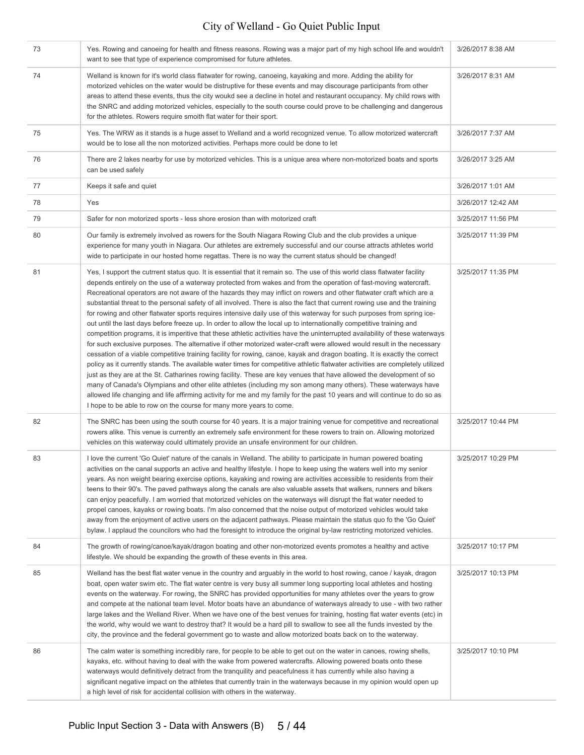| 73 | Yes. Rowing and canoeing for health and fitness reasons. Rowing was a major part of my high school life and wouldn't<br>want to see that type of experience compromised for future athletes.                                                                                                                                                                                                                                                                                                                                                                                                                                                                                                                                                                                                                                                                                                                                                                                                                                                                                                                                                                                                                                                                                                                                                                                                                                                                                                                                                                                                                                                                                                                                   | 3/26/2017 8:38 AM  |
|----|--------------------------------------------------------------------------------------------------------------------------------------------------------------------------------------------------------------------------------------------------------------------------------------------------------------------------------------------------------------------------------------------------------------------------------------------------------------------------------------------------------------------------------------------------------------------------------------------------------------------------------------------------------------------------------------------------------------------------------------------------------------------------------------------------------------------------------------------------------------------------------------------------------------------------------------------------------------------------------------------------------------------------------------------------------------------------------------------------------------------------------------------------------------------------------------------------------------------------------------------------------------------------------------------------------------------------------------------------------------------------------------------------------------------------------------------------------------------------------------------------------------------------------------------------------------------------------------------------------------------------------------------------------------------------------------------------------------------------------|--------------------|
| 74 | Welland is known for it's world class flatwater for rowing, canoeing, kayaking and more. Adding the ability for<br>motorized vehicles on the water would be distruptive for these events and may discourage participants from other<br>areas to attend these events, thus the city woukd see a decline in hotel and restaurant occupancy. My child rows with<br>the SNRC and adding motorized vehicles, especially to the south course could prove to be challenging and dangerous<br>for the athletes. Rowers require smoith flat water for their sport.                                                                                                                                                                                                                                                                                                                                                                                                                                                                                                                                                                                                                                                                                                                                                                                                                                                                                                                                                                                                                                                                                                                                                                      | 3/26/2017 8:31 AM  |
| 75 | Yes. The WRW as it stands is a huge asset to Welland and a world recognized venue. To allow motorized watercraft<br>would be to lose all the non motorized activities. Perhaps more could be done to let                                                                                                                                                                                                                                                                                                                                                                                                                                                                                                                                                                                                                                                                                                                                                                                                                                                                                                                                                                                                                                                                                                                                                                                                                                                                                                                                                                                                                                                                                                                       | 3/26/2017 7:37 AM  |
| 76 | There are 2 lakes nearby for use by motorized vehicles. This is a unique area where non-motorized boats and sports<br>can be used safely                                                                                                                                                                                                                                                                                                                                                                                                                                                                                                                                                                                                                                                                                                                                                                                                                                                                                                                                                                                                                                                                                                                                                                                                                                                                                                                                                                                                                                                                                                                                                                                       | 3/26/2017 3:25 AM  |
| 77 | Keeps it safe and quiet                                                                                                                                                                                                                                                                                                                                                                                                                                                                                                                                                                                                                                                                                                                                                                                                                                                                                                                                                                                                                                                                                                                                                                                                                                                                                                                                                                                                                                                                                                                                                                                                                                                                                                        | 3/26/2017 1:01 AM  |
| 78 | Yes                                                                                                                                                                                                                                                                                                                                                                                                                                                                                                                                                                                                                                                                                                                                                                                                                                                                                                                                                                                                                                                                                                                                                                                                                                                                                                                                                                                                                                                                                                                                                                                                                                                                                                                            | 3/26/2017 12:42 AM |
| 79 | Safer for non motorized sports - less shore erosion than with motorized craft                                                                                                                                                                                                                                                                                                                                                                                                                                                                                                                                                                                                                                                                                                                                                                                                                                                                                                                                                                                                                                                                                                                                                                                                                                                                                                                                                                                                                                                                                                                                                                                                                                                  | 3/25/2017 11:56 PM |
| 80 | Our family is extremely involved as rowers for the South Niagara Rowing Club and the club provides a unique<br>experience for many youth in Niagara. Our athletes are extremely successful and our course attracts athletes world<br>wide to participate in our hosted home regattas. There is no way the current status should be changed!                                                                                                                                                                                                                                                                                                                                                                                                                                                                                                                                                                                                                                                                                                                                                                                                                                                                                                                                                                                                                                                                                                                                                                                                                                                                                                                                                                                    | 3/25/2017 11:39 PM |
| 81 | Yes, I support the cutrrent status quo. It is essential that it remain so. The use of this world class flatwater facility<br>depends entirely on the use of a waterway protected from wakes and from the operation of fast-moving watercraft.<br>Recreational operators are not aware of the hazards they may inflict on rowers and other flatwater craft which are a<br>substantial threat to the personal safety of all involved. There is also the fact that current rowing use and the training<br>for rowing and other flatwater sports requires intensive daily use of this waterway for such purposes from spring ice-<br>out until the last days before freeze up. In order to allow the local up to internationally competitive training and<br>competition programs, it is imperitive that these athletic activities have the uninterrupted availability of these waterways<br>for such exclusive purposes. The alternative if other motorized water-craft were allowed would result in the necessary<br>cessation of a viable competitive training facility for rowing, canoe, kayak and dragon boating. It is exactly the correct<br>policy as it currently stands. The available water times for competitive athletic flatwater activities are completely utilized<br>just as they are at the St. Catharines rowing facility. These are key venues that have allowed the development of so<br>many of Canada's Olympians and other elite athletes (including my son among many others). These waterways have<br>allowed life changing and life affirming activity for me and my family for the past 10 years and will continue to do so as<br>I hope to be able to row on the course for many more years to come. | 3/25/2017 11:35 PM |
| 82 | The SNRC has been using the south course for 40 years. It is a major training venue for competitive and recreational<br>rowers alike. This venue is currently an extremely safe environment for these rowers to train on. Allowing motorized<br>vehicles on this waterway could ultimately provide an unsafe environment for our children.                                                                                                                                                                                                                                                                                                                                                                                                                                                                                                                                                                                                                                                                                                                                                                                                                                                                                                                                                                                                                                                                                                                                                                                                                                                                                                                                                                                     | 3/25/2017 10:44 PM |
| 83 | I love the current 'Go Quiet' nature of the canals in Welland. The ability to participate in human powered boating<br>activities on the canal supports an active and healthy lifestyle. I hope to keep using the waters well into my senior<br>years. As non weight bearing exercise options, kayaking and rowing are activities accessible to residents from their<br>teens to their 90's. The paved pathways along the canals are also valuable assets that walkers, runners and bikers<br>can enjoy peacefully. I am worried that motorized vehicles on the waterways will disrupt the flat water needed to<br>propel canoes, kayaks or rowing boats. I'm also concerned that the noise output of motorized vehicles would take<br>away from the enjoyment of active users on the adjacent pathways. Please maintain the status quo fo the 'Go Quiet'<br>bylaw. I applaud the councilors who had the foresight to introduce the original by-law restricting motorized vehicles.                                                                                                                                                                                                                                                                                                                                                                                                                                                                                                                                                                                                                                                                                                                                             | 3/25/2017 10:29 PM |
| 84 | The growth of rowing/canoe/kayak/dragon boating and other non-motorized events promotes a healthy and active<br>lifestyle. We should be expanding the growth of these events in this area.                                                                                                                                                                                                                                                                                                                                                                                                                                                                                                                                                                                                                                                                                                                                                                                                                                                                                                                                                                                                                                                                                                                                                                                                                                                                                                                                                                                                                                                                                                                                     | 3/25/2017 10:17 PM |
| 85 | Welland has the best flat water venue in the country and arguably in the world to host rowing, canoe / kayak, dragon<br>boat, open water swim etc. The flat water centre is very busy all summer long supporting local athletes and hosting<br>events on the waterway. For rowing, the SNRC has provided opportunities for many athletes over the years to grow<br>and compete at the national team level. Motor boats have an abundance of waterways already to use - with two rather<br>large lakes and the Welland River. When we have one of the best venues for training, hosting flat water events (etc) in<br>the world, why would we want to destroy that? It would be a hard pill to swallow to see all the funds invested by the<br>city, the province and the federal government go to waste and allow motorized boats back on to the waterway.                                                                                                                                                                                                                                                                                                                                                                                                                                                                                                                                                                                                                                                                                                                                                                                                                                                                     | 3/25/2017 10:13 PM |
| 86 | The calm water is something incredibly rare, for people to be able to get out on the water in canoes, rowing shells,<br>kayaks, etc. without having to deal with the wake from powered watercrafts. Allowing powered boats onto these<br>waterways would definitively detract from the tranquility and peacefulness it has currently while also having a<br>significant negative impact on the athletes that currently train in the waterways because in my opinion would open up<br>a high level of risk for accidental collision with others in the waterway.                                                                                                                                                                                                                                                                                                                                                                                                                                                                                                                                                                                                                                                                                                                                                                                                                                                                                                                                                                                                                                                                                                                                                                | 3/25/2017 10:10 PM |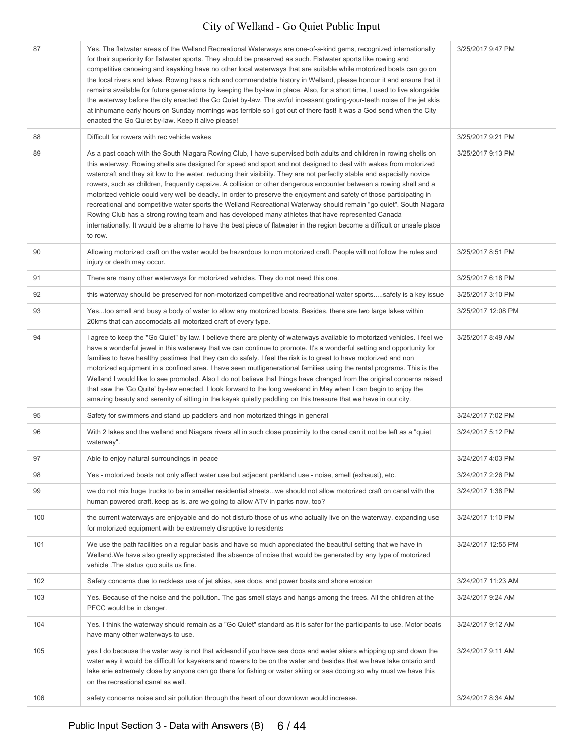| 87  | Yes. The flatwater areas of the Welland Recreational Waterways are one-of-a-kind gems, recognized internationally<br>for their superiority for flatwater sports. They should be preserved as such. Flatwater sports like rowing and<br>competitive canoeing and kayaking have no other local waterways that are suitable while motorized boats can go on<br>the local rivers and lakes. Rowing has a rich and commendable history in Welland, please honour it and ensure that it<br>remains available for future generations by keeping the by-law in place. Also, for a short time, I used to live alongside<br>the waterway before the city enacted the Go Quiet by-law. The awful incessant grating-your-teeth noise of the jet skis<br>at inhumane early hours on Sunday mornings was terrible so I got out of there fast! It was a God send when the City<br>enacted the Go Quiet by-law. Keep it alive please!                                                                 | 3/25/2017 9:47 PM  |
|-----|---------------------------------------------------------------------------------------------------------------------------------------------------------------------------------------------------------------------------------------------------------------------------------------------------------------------------------------------------------------------------------------------------------------------------------------------------------------------------------------------------------------------------------------------------------------------------------------------------------------------------------------------------------------------------------------------------------------------------------------------------------------------------------------------------------------------------------------------------------------------------------------------------------------------------------------------------------------------------------------|--------------------|
| 88  | Difficult for rowers with rec vehicle wakes                                                                                                                                                                                                                                                                                                                                                                                                                                                                                                                                                                                                                                                                                                                                                                                                                                                                                                                                           | 3/25/2017 9:21 PM  |
| 89  | As a past coach with the South Niagara Rowing Club, I have supervised both adults and children in rowing shells on<br>this waterway. Rowing shells are designed for speed and sport and not designed to deal with wakes from motorized<br>watercraft and they sit low to the water, reducing their visibility. They are not perfectly stable and especially novice<br>rowers, such as children, frequently capsize. A collision or other dangerous encounter between a rowing shell and a<br>motorized vehicle could very well be deadly. In order to preserve the enjoyment and safety of those participating in<br>recreational and competitive water sports the Welland Recreational Waterway should remain "go quiet". South Niagara<br>Rowing Club has a strong rowing team and has developed many athletes that have represented Canada<br>internationally. It would be a shame to have the best piece of flatwater in the region become a difficult or unsafe place<br>to row. | 3/25/2017 9:13 PM  |
| 90  | Allowing motorized craft on the water would be hazardous to non motorized craft. People will not follow the rules and<br>injury or death may occur.                                                                                                                                                                                                                                                                                                                                                                                                                                                                                                                                                                                                                                                                                                                                                                                                                                   | 3/25/2017 8:51 PM  |
| 91  | There are many other waterways for motorized vehicles. They do not need this one.                                                                                                                                                                                                                                                                                                                                                                                                                                                                                                                                                                                                                                                                                                                                                                                                                                                                                                     | 3/25/2017 6:18 PM  |
| 92  | this waterway should be preserved for non-motorized competitive and recreational water sportssafety is a key issue                                                                                                                                                                                                                                                                                                                                                                                                                                                                                                                                                                                                                                                                                                                                                                                                                                                                    | 3/25/2017 3:10 PM  |
| 93  | Yestoo small and busy a body of water to allow any motorized boats. Besides, there are two large lakes within<br>20kms that can accomodats all motorized craft of every type.                                                                                                                                                                                                                                                                                                                                                                                                                                                                                                                                                                                                                                                                                                                                                                                                         | 3/25/2017 12:08 PM |
| 94  | I agree to keep the "Go Quiet" by law. I believe there are plenty of waterways available to motorized vehicles. I feel we<br>have a wonderful jewel in this waterway that we can continue to promote. It's a wonderful setting and opportunity for<br>families to have healthy pastimes that they can do safely. I feel the risk is to great to have motorized and non<br>motorized equipment in a confined area. I have seen mutligenerational families using the rental programs. This is the<br>Welland I would like to see promoted. Also I do not believe that things have changed from the original concerns raised<br>that saw the 'Go Quite' by-law enacted. I look forward to the long weekend in May when I can begin to enjoy the<br>amazing beauty and serenity of sitting in the kayak quietly paddling on this treasure that we have in our city.                                                                                                                       | 3/25/2017 8:49 AM  |
| 95  | Safety for swimmers and stand up paddlers and non motorized things in general                                                                                                                                                                                                                                                                                                                                                                                                                                                                                                                                                                                                                                                                                                                                                                                                                                                                                                         | 3/24/2017 7:02 PM  |
| 96  | With 2 lakes and the welland and Niagara rivers all in such close proximity to the canal can it not be left as a "quiet<br>waterway".                                                                                                                                                                                                                                                                                                                                                                                                                                                                                                                                                                                                                                                                                                                                                                                                                                                 | 3/24/2017 5:12 PM  |
| 97  | Able to enjoy natural surroundings in peace                                                                                                                                                                                                                                                                                                                                                                                                                                                                                                                                                                                                                                                                                                                                                                                                                                                                                                                                           | 3/24/2017 4:03 PM  |
| 98  | Yes - motorized boats not only affect water use but adjacent parkland use - noise, smell (exhaust), etc.                                                                                                                                                                                                                                                                                                                                                                                                                                                                                                                                                                                                                                                                                                                                                                                                                                                                              | 3/24/2017 2:26 PM  |
| 99  | we do not mix huge trucks to be in smaller residential streetswe should not allow motorized craft on canal with the<br>human powered craft. keep as is, are we going to allow ATV in parks now, too?                                                                                                                                                                                                                                                                                                                                                                                                                                                                                                                                                                                                                                                                                                                                                                                  | 3/24/2017 1:38 PM  |
| 100 | the current waterways are enjoyable and do not disturb those of us who actually live on the waterway. expanding use<br>for motorized equipment with be extremely disruptive to residents                                                                                                                                                                                                                                                                                                                                                                                                                                                                                                                                                                                                                                                                                                                                                                                              | 3/24/2017 1:10 PM  |
| 101 | We use the path facilities on a regular basis and have so much appreciated the beautiful setting that we have in<br>Welland. We have also greatly appreciated the absence of noise that would be generated by any type of motorized<br>vehicle . The status quo suits us fine.                                                                                                                                                                                                                                                                                                                                                                                                                                                                                                                                                                                                                                                                                                        | 3/24/2017 12:55 PM |
| 102 | Safety concerns due to reckless use of jet skies, sea doos, and power boats and shore erosion                                                                                                                                                                                                                                                                                                                                                                                                                                                                                                                                                                                                                                                                                                                                                                                                                                                                                         | 3/24/2017 11:23 AM |
| 103 | Yes. Because of the noise and the pollution. The gas smell stays and hangs among the trees. All the children at the<br>PFCC would be in danger.                                                                                                                                                                                                                                                                                                                                                                                                                                                                                                                                                                                                                                                                                                                                                                                                                                       | 3/24/2017 9:24 AM  |
| 104 | Yes. I think the waterway should remain as a "Go Quiet" standard as it is safer for the participants to use. Motor boats<br>have many other waterways to use.                                                                                                                                                                                                                                                                                                                                                                                                                                                                                                                                                                                                                                                                                                                                                                                                                         | 3/24/2017 9:12 AM  |
| 105 | yes I do because the water way is not that wideand if you have sea doos and water skiers whipping up and down the<br>water way it would be difficult for kayakers and rowers to be on the water and besides that we have lake ontario and<br>lake erie extremely close by anyone can go there for fishing or water skiing or sea dooing so why must we have this<br>on the recreational canal as well.                                                                                                                                                                                                                                                                                                                                                                                                                                                                                                                                                                                | 3/24/2017 9:11 AM  |
| 106 | safety concerns noise and air pollution through the heart of our downtown would increase.                                                                                                                                                                                                                                                                                                                                                                                                                                                                                                                                                                                                                                                                                                                                                                                                                                                                                             | 3/24/2017 8:34 AM  |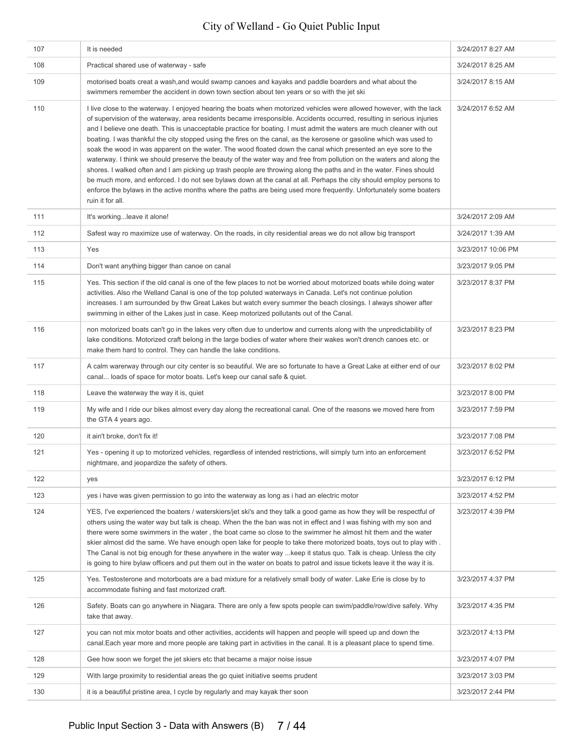| 107 | It is needed                                                                                                                                                                                                                                                                                                                                                                                                                                                                                                                                                                                                                                                                                                                                                                                                                                                                                                                                                                                                                                                                                                                       | 3/24/2017 8:27 AM  |
|-----|------------------------------------------------------------------------------------------------------------------------------------------------------------------------------------------------------------------------------------------------------------------------------------------------------------------------------------------------------------------------------------------------------------------------------------------------------------------------------------------------------------------------------------------------------------------------------------------------------------------------------------------------------------------------------------------------------------------------------------------------------------------------------------------------------------------------------------------------------------------------------------------------------------------------------------------------------------------------------------------------------------------------------------------------------------------------------------------------------------------------------------|--------------------|
| 108 | Practical shared use of waterway - safe                                                                                                                                                                                                                                                                                                                                                                                                                                                                                                                                                                                                                                                                                                                                                                                                                                                                                                                                                                                                                                                                                            | 3/24/2017 8:25 AM  |
| 109 | motorised boats creat a wash, and would swamp canoes and kayaks and paddle boarders and what about the<br>swimmers remember the accident in down town section about ten years or so with the jet ski                                                                                                                                                                                                                                                                                                                                                                                                                                                                                                                                                                                                                                                                                                                                                                                                                                                                                                                               | 3/24/2017 8:15 AM  |
| 110 | I live close to the waterway. I enjoyed hearing the boats when motorized vehicles were allowed however, with the lack<br>of supervision of the waterway, area residents became irresponsible. Accidents occurred, resulting in serious injuries<br>and I believe one death. This is unacceptable practice for boating. I must admit the waters are much cleaner with out<br>boating. I was thankful the city stopped using the fires on the canal, as the kerosene or gasoline which was used to<br>soak the wood in was apparent on the water. The wood floated down the canal which presented an eye sore to the<br>waterway. I think we should preserve the beauty of the water way and free from pollution on the waters and along the<br>shores. I walked often and I am picking up trash people are throwing along the paths and in the water. Fines should<br>be much more, and enforced. I do not see bylaws down at the canal at all. Perhaps the city should employ persons to<br>enforce the bylaws in the active months where the paths are being used more frequently. Unfortunately some boaters<br>ruin it for all. | 3/24/2017 6:52 AM  |
| 111 | It's workingleave it alone!                                                                                                                                                                                                                                                                                                                                                                                                                                                                                                                                                                                                                                                                                                                                                                                                                                                                                                                                                                                                                                                                                                        | 3/24/2017 2:09 AM  |
| 112 | Safest way ro maximize use of waterway. On the roads, in city residential areas we do not allow big transport                                                                                                                                                                                                                                                                                                                                                                                                                                                                                                                                                                                                                                                                                                                                                                                                                                                                                                                                                                                                                      | 3/24/2017 1:39 AM  |
| 113 | Yes                                                                                                                                                                                                                                                                                                                                                                                                                                                                                                                                                                                                                                                                                                                                                                                                                                                                                                                                                                                                                                                                                                                                | 3/23/2017 10:06 PM |
| 114 | Don't want anything bigger than canoe on canal                                                                                                                                                                                                                                                                                                                                                                                                                                                                                                                                                                                                                                                                                                                                                                                                                                                                                                                                                                                                                                                                                     | 3/23/2017 9:05 PM  |
| 115 | Yes. This section if the old canal is one of the few places to not be worried about motorized boats while doing water<br>activities. Also rhe Welland Canal is one of the top poluted waterways in Canada. Let's not continue polution<br>increases. I am surrounded by thw Great Lakes but watch every summer the beach closings. I always shower after<br>swimming in either of the Lakes just in case. Keep motorized pollutants out of the Canal.                                                                                                                                                                                                                                                                                                                                                                                                                                                                                                                                                                                                                                                                              | 3/23/2017 8:37 PM  |
| 116 | non motorized boats can't go in the lakes very often due to undertow and currents along with the unpredictability of<br>lake conditions. Motorized craft belong in the large bodies of water where their wakes won't drench canoes etc. or<br>make them hard to control. They can handle the lake conditions.                                                                                                                                                                                                                                                                                                                                                                                                                                                                                                                                                                                                                                                                                                                                                                                                                      | 3/23/2017 8:23 PM  |
| 117 | A calm warerway through our city center is so beautiful. We are so fortunate to have a Great Lake at either end of our<br>canal loads of space for motor boats. Let's keep our canal safe & quiet.                                                                                                                                                                                                                                                                                                                                                                                                                                                                                                                                                                                                                                                                                                                                                                                                                                                                                                                                 | 3/23/2017 8:02 PM  |
| 118 | Leave the waterway the way it is, quiet                                                                                                                                                                                                                                                                                                                                                                                                                                                                                                                                                                                                                                                                                                                                                                                                                                                                                                                                                                                                                                                                                            | 3/23/2017 8:00 PM  |
| 119 | My wife and I ride our bikes almost every day along the recreational canal. One of the reasons we moved here from<br>the GTA 4 years ago.                                                                                                                                                                                                                                                                                                                                                                                                                                                                                                                                                                                                                                                                                                                                                                                                                                                                                                                                                                                          | 3/23/2017 7:59 PM  |
| 120 | it ain't broke, don't fix it!                                                                                                                                                                                                                                                                                                                                                                                                                                                                                                                                                                                                                                                                                                                                                                                                                                                                                                                                                                                                                                                                                                      | 3/23/2017 7:08 PM  |
| 121 | Yes - opening it up to motorized vehicles, regardless of intended restrictions, will simply turn into an enforcement<br>nightmare, and jeopardize the safety of others.                                                                                                                                                                                                                                                                                                                                                                                                                                                                                                                                                                                                                                                                                                                                                                                                                                                                                                                                                            | 3/23/2017 6:52 PM  |
| 122 | yes                                                                                                                                                                                                                                                                                                                                                                                                                                                                                                                                                                                                                                                                                                                                                                                                                                                                                                                                                                                                                                                                                                                                | 3/23/2017 6:12 PM  |
| 123 | yes i have was given permission to go into the waterway as long as i had an electric motor                                                                                                                                                                                                                                                                                                                                                                                                                                                                                                                                                                                                                                                                                                                                                                                                                                                                                                                                                                                                                                         | 3/23/2017 4:52 PM  |
| 124 | YES, I've experienced the boaters / waterskiers/jet ski's and they talk a good game as how they will be respectful of<br>others using the water way but talk is cheap. When the the ban was not in effect and I was fishing with my son and<br>there were some swimmers in the water, the boat came so close to the swimmer he almost hit them and the water<br>skier almost did the same. We have enough open lake for people to take there motorized boats, toys out to play with.<br>The Canal is not big enough for these anywhere in the water way  keep it status quo. Talk is cheap. Unless the city<br>is going to hire bylaw officers and put them out in the water on boats to patrol and issue tickets leave it the way it is.                                                                                                                                                                                                                                                                                                                                                                                          | 3/23/2017 4:39 PM  |
| 125 | Yes. Testosterone and motorboats are a bad mixture for a relatively small body of water. Lake Erie is close by to<br>accommodate fishing and fast motorized craft.                                                                                                                                                                                                                                                                                                                                                                                                                                                                                                                                                                                                                                                                                                                                                                                                                                                                                                                                                                 | 3/23/2017 4:37 PM  |
| 126 | Safety. Boats can go anywhere in Niagara. There are only a few spots people can swim/paddle/row/dive safely. Why<br>take that away.                                                                                                                                                                                                                                                                                                                                                                                                                                                                                                                                                                                                                                                                                                                                                                                                                                                                                                                                                                                                | 3/23/2017 4:35 PM  |
| 127 | you can not mix motor boats and other activities, accidents will happen and people will speed up and down the<br>canal. Each year more and more people are taking part in activities in the canal. It is a pleasant place to spend time.                                                                                                                                                                                                                                                                                                                                                                                                                                                                                                                                                                                                                                                                                                                                                                                                                                                                                           | 3/23/2017 4:13 PM  |
| 128 | Gee how soon we forget the jet skiers etc that became a major noise issue                                                                                                                                                                                                                                                                                                                                                                                                                                                                                                                                                                                                                                                                                                                                                                                                                                                                                                                                                                                                                                                          | 3/23/2017 4:07 PM  |
| 129 | With large proximity to residential areas the go quiet initiative seems prudent                                                                                                                                                                                                                                                                                                                                                                                                                                                                                                                                                                                                                                                                                                                                                                                                                                                                                                                                                                                                                                                    | 3/23/2017 3:03 PM  |
| 130 | it is a beautiful pristine area, I cycle by regularly and may kayak ther soon                                                                                                                                                                                                                                                                                                                                                                                                                                                                                                                                                                                                                                                                                                                                                                                                                                                                                                                                                                                                                                                      | 3/23/2017 2:44 PM  |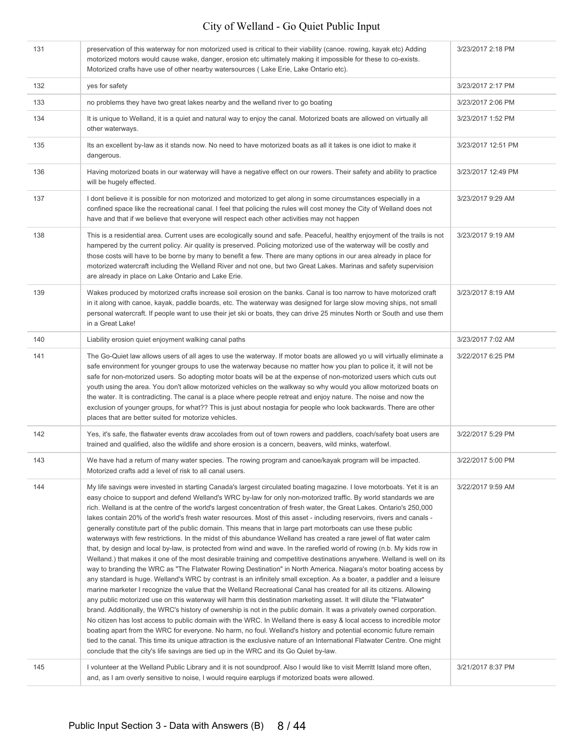| 131 | preservation of this waterway for non motorized used is critical to their viability (canoe. rowing, kayak etc) Adding<br>motorized motors would cause wake, danger, erosion etc ultimately making it impossible for these to co-exists.<br>Motorized crafts have use of other nearby watersources (Lake Erie, Lake Ontario etc).                                                                                                                                                                                                                                                                                                                                                                                                                                                                                                                                                                                                                                                                                                                                                                                                                                                                                                                                                                                                                                                                                                                                                                                                                                                                                                                                                                                                                                                                                                                                                                                                                                                                                                                                                             | 3/23/2017 2:18 PM  |
|-----|----------------------------------------------------------------------------------------------------------------------------------------------------------------------------------------------------------------------------------------------------------------------------------------------------------------------------------------------------------------------------------------------------------------------------------------------------------------------------------------------------------------------------------------------------------------------------------------------------------------------------------------------------------------------------------------------------------------------------------------------------------------------------------------------------------------------------------------------------------------------------------------------------------------------------------------------------------------------------------------------------------------------------------------------------------------------------------------------------------------------------------------------------------------------------------------------------------------------------------------------------------------------------------------------------------------------------------------------------------------------------------------------------------------------------------------------------------------------------------------------------------------------------------------------------------------------------------------------------------------------------------------------------------------------------------------------------------------------------------------------------------------------------------------------------------------------------------------------------------------------------------------------------------------------------------------------------------------------------------------------------------------------------------------------------------------------------------------------|--------------------|
| 132 | yes for safety                                                                                                                                                                                                                                                                                                                                                                                                                                                                                                                                                                                                                                                                                                                                                                                                                                                                                                                                                                                                                                                                                                                                                                                                                                                                                                                                                                                                                                                                                                                                                                                                                                                                                                                                                                                                                                                                                                                                                                                                                                                                               | 3/23/2017 2:17 PM  |
| 133 | no problems they have two great lakes nearby and the welland river to go boating                                                                                                                                                                                                                                                                                                                                                                                                                                                                                                                                                                                                                                                                                                                                                                                                                                                                                                                                                                                                                                                                                                                                                                                                                                                                                                                                                                                                                                                                                                                                                                                                                                                                                                                                                                                                                                                                                                                                                                                                             | 3/23/2017 2:06 PM  |
| 134 | It is unique to Welland, it is a quiet and natural way to enjoy the canal. Motorized boats are allowed on virtually all<br>other waterways.                                                                                                                                                                                                                                                                                                                                                                                                                                                                                                                                                                                                                                                                                                                                                                                                                                                                                                                                                                                                                                                                                                                                                                                                                                                                                                                                                                                                                                                                                                                                                                                                                                                                                                                                                                                                                                                                                                                                                  | 3/23/2017 1:52 PM  |
| 135 | Its an excellent by-law as it stands now. No need to have motorized boats as all it takes is one idiot to make it<br>dangerous.                                                                                                                                                                                                                                                                                                                                                                                                                                                                                                                                                                                                                                                                                                                                                                                                                                                                                                                                                                                                                                                                                                                                                                                                                                                                                                                                                                                                                                                                                                                                                                                                                                                                                                                                                                                                                                                                                                                                                              | 3/23/2017 12:51 PM |
| 136 | Having motorized boats in our waterway will have a negative effect on our rowers. Their safety and ability to practice<br>will be hugely effected.                                                                                                                                                                                                                                                                                                                                                                                                                                                                                                                                                                                                                                                                                                                                                                                                                                                                                                                                                                                                                                                                                                                                                                                                                                                                                                                                                                                                                                                                                                                                                                                                                                                                                                                                                                                                                                                                                                                                           | 3/23/2017 12:49 PM |
| 137 | I dont believe it is possible for non motorized and motorized to get along in some circumstances especially in a<br>confined space like the recreational canal. I feel that policing the rules will cost money the City of Welland does not<br>have and that if we believe that everyone will respect each other activities may not happen                                                                                                                                                                                                                                                                                                                                                                                                                                                                                                                                                                                                                                                                                                                                                                                                                                                                                                                                                                                                                                                                                                                                                                                                                                                                                                                                                                                                                                                                                                                                                                                                                                                                                                                                                   | 3/23/2017 9:29 AM  |
| 138 | This is a residential area. Current uses are ecologically sound and safe. Peaceful, healthy enjoyment of the trails is not<br>hampered by the current policy. Air quality is preserved. Policing motorized use of the waterway will be costly and<br>those costs will have to be borne by many to benefit a few. There are many options in our area already in place for<br>motorized watercraft including the Welland River and not one, but two Great Lakes. Marinas and safety supervision<br>are already in place on Lake Ontario and Lake Erie.                                                                                                                                                                                                                                                                                                                                                                                                                                                                                                                                                                                                                                                                                                                                                                                                                                                                                                                                                                                                                                                                                                                                                                                                                                                                                                                                                                                                                                                                                                                                         | 3/23/2017 9:19 AM  |
| 139 | Wakes produced by motorized crafts increase soil erosion on the banks. Canal is too narrow to have motorized craft<br>in it along with canoe, kayak, paddle boards, etc. The waterway was designed for large slow moving ships, not small<br>personal watercraft. If people want to use their jet ski or boats, they can drive 25 minutes North or South and use them<br>in a Great Lake!                                                                                                                                                                                                                                                                                                                                                                                                                                                                                                                                                                                                                                                                                                                                                                                                                                                                                                                                                                                                                                                                                                                                                                                                                                                                                                                                                                                                                                                                                                                                                                                                                                                                                                    | 3/23/2017 8:19 AM  |
| 140 | Liability erosion quiet enjoyment walking canal paths                                                                                                                                                                                                                                                                                                                                                                                                                                                                                                                                                                                                                                                                                                                                                                                                                                                                                                                                                                                                                                                                                                                                                                                                                                                                                                                                                                                                                                                                                                                                                                                                                                                                                                                                                                                                                                                                                                                                                                                                                                        | 3/23/2017 7:02 AM  |
| 141 | The Go-Quiet law allows users of all ages to use the waterway. If motor boats are allowed yo u will virtually eliminate a<br>safe environment for younger groups to use the waterway because no matter how you plan to police it, it will not be<br>safe for non-motorized users. So adopting motor boats will be at the expense of non-motorized users which cuts out<br>youth using the area. You don't allow motorized vehicles on the walkway so why would you allow motorized boats on<br>the water. It is contradicting. The canal is a place where people retreat and enjoy nature. The noise and now the<br>exclusion of younger groups, for what?? This is just about nostagia for people who look backwards. There are other<br>places that are better suited for motorize vehicles.                                                                                                                                                                                                                                                                                                                                                                                                                                                                                                                                                                                                                                                                                                                                                                                                                                                                                                                                                                                                                                                                                                                                                                                                                                                                                               | 3/22/2017 6:25 PM  |
| 142 | Yes, it's safe, the flatwater events draw accolades from out of town rowers and paddlers, coach/safety boat users are<br>trained and qualified, also the wildlife and shore erosion is a concern, beavers, wild minks, waterfowl.                                                                                                                                                                                                                                                                                                                                                                                                                                                                                                                                                                                                                                                                                                                                                                                                                                                                                                                                                                                                                                                                                                                                                                                                                                                                                                                                                                                                                                                                                                                                                                                                                                                                                                                                                                                                                                                            | 3/22/2017 5:29 PM  |
| 143 | We have had a return of many water species. The rowing program and canoe/kayak program will be impacted.<br>Motorized crafts add a level of risk to all canal users.                                                                                                                                                                                                                                                                                                                                                                                                                                                                                                                                                                                                                                                                                                                                                                                                                                                                                                                                                                                                                                                                                                                                                                                                                                                                                                                                                                                                                                                                                                                                                                                                                                                                                                                                                                                                                                                                                                                         | 3/22/2017 5:00 PM  |
| 144 | My life savings were invested in starting Canada's largest circulated boating magazine. I love motorboats. Yet it is an<br>easy choice to support and defend Welland's WRC by-law for only non-motorized traffic. By world standards we are<br>rich. Welland is at the centre of the world's largest concentration of fresh water, the Great Lakes. Ontario's 250,000<br>lakes contain 20% of the world's fresh water resources. Most of this asset - including reservoirs, rivers and canals -<br>generally constitute part of the public domain. This means that in large part motorboats can use these public<br>waterways with few restrictions. In the midst of this abundance Welland has created a rare jewel of flat water calm<br>that, by design and local by-law, is protected from wind and wave. In the rarefied world of rowing (n.b. My kids row in<br>Welland.) that makes it one of the most desirable training and competitive destinations anywhere. Welland is well on its<br>way to branding the WRC as "The Flatwater Rowing Destination" in North America. Niagara's motor boating access by<br>any standard is huge. Welland's WRC by contrast is an infinitely small exception. As a boater, a paddler and a leisure<br>marine marketer I recognize the value that the Welland Recreational Canal has created for all its citizens. Allowing<br>any public motorized use on this waterway will harm this destination marketing asset. It will dilute the "Flatwater"<br>brand. Additionally, the WRC's history of ownership is not in the public domain. It was a privately owned corporation.<br>No citizen has lost access to public domain with the WRC. In Welland there is easy & local access to incredible motor<br>boating apart from the WRC for everyone. No harm, no foul. Welland's history and potential economic future remain<br>tied to the canal. This time its unique attraction is the exclusive nature of an International Flatwater Centre. One might<br>conclude that the city's life savings are tied up in the WRC and its Go Quiet by-law. | 3/22/2017 9:59 AM  |
| 145 | I volunteer at the Welland Public Library and it is not soundproof. Also I would like to visit Merritt Island more often,<br>and, as I am overly sensitive to noise, I would require earplugs if motorized boats were allowed.                                                                                                                                                                                                                                                                                                                                                                                                                                                                                                                                                                                                                                                                                                                                                                                                                                                                                                                                                                                                                                                                                                                                                                                                                                                                                                                                                                                                                                                                                                                                                                                                                                                                                                                                                                                                                                                               | 3/21/2017 8:37 PM  |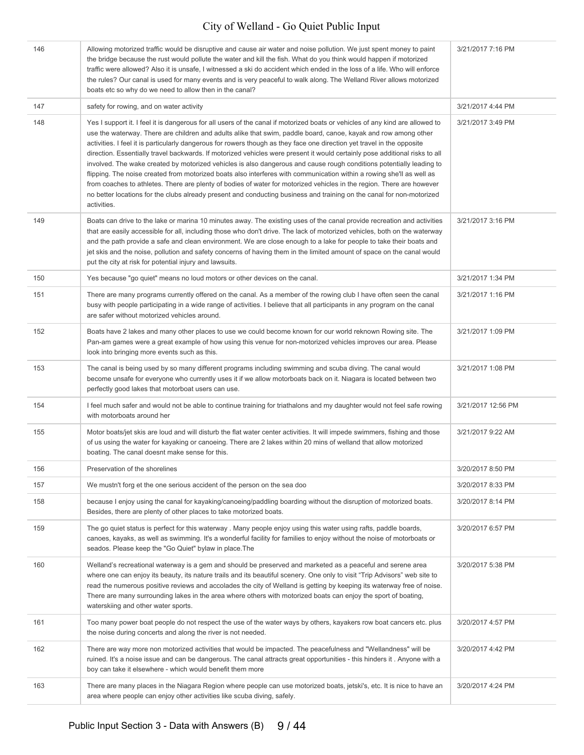| 146 | Allowing motorized traffic would be disruptive and cause air water and noise pollution. We just spent money to paint<br>the bridge because the rust would pollute the water and kill the fish. What do you think would happen if motorized<br>traffic were allowed? Also it is unsafe, I witnessed a ski do accident which ended in the loss of a life. Who will enforce<br>the rules? Our canal is used for many events and is very peaceful to walk along. The Welland River allows motorized<br>boats etc so why do we need to allow then in the canal?                                                                                                                                                                                                                                                                                                                                                                                                                                                                   | 3/21/2017 7:16 PM  |
|-----|------------------------------------------------------------------------------------------------------------------------------------------------------------------------------------------------------------------------------------------------------------------------------------------------------------------------------------------------------------------------------------------------------------------------------------------------------------------------------------------------------------------------------------------------------------------------------------------------------------------------------------------------------------------------------------------------------------------------------------------------------------------------------------------------------------------------------------------------------------------------------------------------------------------------------------------------------------------------------------------------------------------------------|--------------------|
| 147 | safety for rowing, and on water activity                                                                                                                                                                                                                                                                                                                                                                                                                                                                                                                                                                                                                                                                                                                                                                                                                                                                                                                                                                                     | 3/21/2017 4:44 PM  |
| 148 | Yes I support it. I feel it is dangerous for all users of the canal if motorized boats or vehicles of any kind are allowed to<br>use the waterway. There are children and adults alike that swim, paddle board, canoe, kayak and row among other<br>activities. I feel it is particularly dangerous for rowers though as they face one direction yet travel in the opposite<br>direction. Essentially travel backwards. If motorized vehicles were present it would certainly pose additional risks to all<br>involved. The wake created by motorized vehicles is also dangerous and cause rough conditions potentially leading to<br>flipping. The noise created from motorized boats also interferes with communication within a rowing she'll as well as<br>from coaches to athletes. There are plenty of bodies of water for motorized vehicles in the region. There are however<br>no better locations for the clubs already present and conducting business and training on the canal for non-motorized<br>activities. | 3/21/2017 3:49 PM  |
| 149 | Boats can drive to the lake or marina 10 minutes away. The existing uses of the canal provide recreation and activities<br>that are easily accessible for all, including those who don't drive. The lack of motorized vehicles, both on the waterway<br>and the path provide a safe and clean environment. We are close enough to a lake for people to take their boats and<br>jet skis and the noise, pollution and safety concerns of having them in the limited amount of space on the canal would<br>put the city at risk for potential injury and lawsuits.                                                                                                                                                                                                                                                                                                                                                                                                                                                             | 3/21/2017 3:16 PM  |
| 150 | Yes because "go quiet" means no loud motors or other devices on the canal.                                                                                                                                                                                                                                                                                                                                                                                                                                                                                                                                                                                                                                                                                                                                                                                                                                                                                                                                                   | 3/21/2017 1:34 PM  |
| 151 | There are many programs currently offered on the canal. As a member of the rowing club I have often seen the canal<br>busy with people participating in a wide range of activities. I believe that all participants in any program on the canal<br>are safer without motorized vehicles around.                                                                                                                                                                                                                                                                                                                                                                                                                                                                                                                                                                                                                                                                                                                              | 3/21/2017 1:16 PM  |
| 152 | Boats have 2 lakes and many other places to use we could become known for our world reknown Rowing site. The<br>Pan-am games were a great example of how using this venue for non-motorized vehicles improves our area. Please<br>look into bringing more events such as this.                                                                                                                                                                                                                                                                                                                                                                                                                                                                                                                                                                                                                                                                                                                                               | 3/21/2017 1:09 PM  |
| 153 | The canal is being used by so many different programs including swimming and scuba diving. The canal would<br>become unsafe for everyone who currently uses it if we allow motorboats back on it. Niagara is located between two<br>perfectly good lakes that motorboat users can use.                                                                                                                                                                                                                                                                                                                                                                                                                                                                                                                                                                                                                                                                                                                                       | 3/21/2017 1:08 PM  |
| 154 | I feel much safer and would not be able to continue training for triathalons and my daughter would not feel safe rowing<br>with motorboats around her                                                                                                                                                                                                                                                                                                                                                                                                                                                                                                                                                                                                                                                                                                                                                                                                                                                                        | 3/21/2017 12:56 PM |
| 155 | Motor boats/jet skis are loud and will disturb the flat water center activities. It will impede swimmers, fishing and those<br>of us using the water for kayaking or canoeing. There are 2 lakes within 20 mins of welland that allow motorized<br>boating. The canal doesnt make sense for this.                                                                                                                                                                                                                                                                                                                                                                                                                                                                                                                                                                                                                                                                                                                            | 3/21/2017 9:22 AM  |
| 156 | Preservation of the shorelines                                                                                                                                                                                                                                                                                                                                                                                                                                                                                                                                                                                                                                                                                                                                                                                                                                                                                                                                                                                               | 3/20/2017 8:50 PM  |
| 157 | We mustn't forg et the one serious accident of the person on the sea doo                                                                                                                                                                                                                                                                                                                                                                                                                                                                                                                                                                                                                                                                                                                                                                                                                                                                                                                                                     | 3/20/2017 8:33 PM  |
| 158 | because I enjoy using the canal for kayaking/canoeing/paddling boarding without the disruption of motorized boats.<br>Besides, there are plenty of other places to take motorized boats.                                                                                                                                                                                                                                                                                                                                                                                                                                                                                                                                                                                                                                                                                                                                                                                                                                     | 3/20/2017 8:14 PM  |
| 159 | The go quiet status is perfect for this waterway. Many people enjoy using this water using rafts, paddle boards,<br>canoes, kayaks, as well as swimming. It's a wonderful facility for families to enjoy without the noise of motorboats or<br>seados. Please keep the "Go Quiet" bylaw in place. The                                                                                                                                                                                                                                                                                                                                                                                                                                                                                                                                                                                                                                                                                                                        | 3/20/2017 6:57 PM  |
| 160 | Welland's recreational waterway is a gem and should be preserved and marketed as a peaceful and serene area<br>where one can enjoy its beauty, its nature trails and its beautiful scenery. One only to visit "Trip Advisors" web site to<br>read the numerous positive reviews and accolades the city of Welland is getting by keeping its waterway free of noise.<br>There are many surrounding lakes in the area where others with motorized boats can enjoy the sport of boating,<br>waterskiing and other water sports.                                                                                                                                                                                                                                                                                                                                                                                                                                                                                                 | 3/20/2017 5:38 PM  |
| 161 | Too many power boat people do not respect the use of the water ways by others, kayakers row boat cancers etc. plus<br>the noise during concerts and along the river is not needed.                                                                                                                                                                                                                                                                                                                                                                                                                                                                                                                                                                                                                                                                                                                                                                                                                                           | 3/20/2017 4:57 PM  |
| 162 | There are way more non motorized activities that would be impacted. The peacefulness and "Wellandness" will be<br>ruined. It's a noise issue and can be dangerous. The canal attracts great opportunities - this hinders it. Anyone with a<br>boy can take it elsewhere - which would benefit them more                                                                                                                                                                                                                                                                                                                                                                                                                                                                                                                                                                                                                                                                                                                      | 3/20/2017 4:42 PM  |
| 163 | There are many places in the Niagara Region where people can use motorized boats, jetski's, etc. It is nice to have an<br>area where people can enjoy other activities like scuba diving, safely.                                                                                                                                                                                                                                                                                                                                                                                                                                                                                                                                                                                                                                                                                                                                                                                                                            | 3/20/2017 4:24 PM  |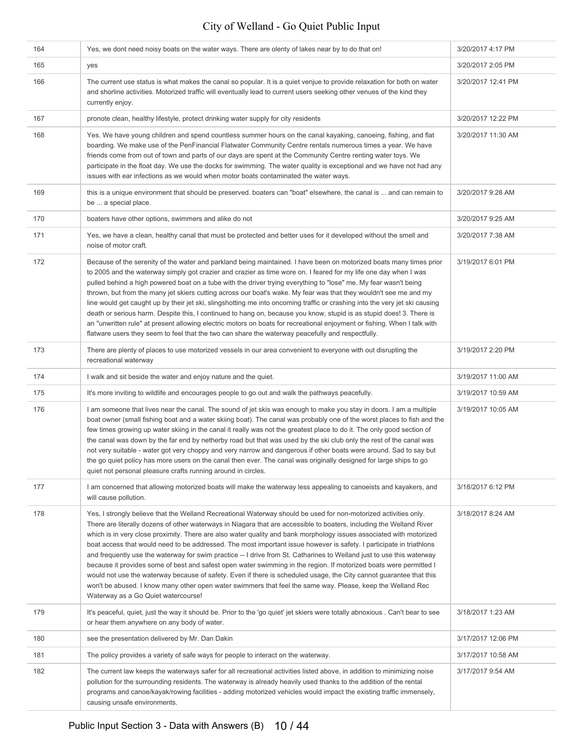| 164 | Yes, we dont need noisy boats on the water ways. There are olenty of lakes near by to do that on!                                                                                                                                                                                                                                                                                                                                                                                                                                                                                                                                                                                                                                                                                                                                                                                                                                                                                                                   | 3/20/2017 4:17 PM  |
|-----|---------------------------------------------------------------------------------------------------------------------------------------------------------------------------------------------------------------------------------------------------------------------------------------------------------------------------------------------------------------------------------------------------------------------------------------------------------------------------------------------------------------------------------------------------------------------------------------------------------------------------------------------------------------------------------------------------------------------------------------------------------------------------------------------------------------------------------------------------------------------------------------------------------------------------------------------------------------------------------------------------------------------|--------------------|
| 165 | yes                                                                                                                                                                                                                                                                                                                                                                                                                                                                                                                                                                                                                                                                                                                                                                                                                                                                                                                                                                                                                 | 3/20/2017 2:05 PM  |
| 166 | The current use status is what makes the canal so popular. It is a quiet venjue to provide relaxation for both on water<br>and shorline activities. Motorized traffic will eventually lead to current users seeking other venues of the kind they<br>currently enjoy.                                                                                                                                                                                                                                                                                                                                                                                                                                                                                                                                                                                                                                                                                                                                               | 3/20/2017 12:41 PM |
| 167 | pronote clean, healthy lifestyle, protect drinking water supply for city residents                                                                                                                                                                                                                                                                                                                                                                                                                                                                                                                                                                                                                                                                                                                                                                                                                                                                                                                                  | 3/20/2017 12:22 PM |
| 168 | Yes. We have young children and spend countless summer hours on the canal kayaking, canoeing, fishing, and flat<br>boarding. We make use of the PenFinancial Flatwater Community Centre rentals numerous times a year. We have<br>friends come from out of town and parts of our days are spent at the Community Centre renting water toys. We<br>participate in the float day. We use the docks for swimming. The water quality is exceptional and we have not had any<br>issues with ear infections as we would when motor boats contaminated the water ways.                                                                                                                                                                                                                                                                                                                                                                                                                                                     | 3/20/2017 11:30 AM |
| 169 | this is a unique environment that should be preserved. boaters can "boat" elsewhere, the canal is  and can remain to<br>be  a special place.                                                                                                                                                                                                                                                                                                                                                                                                                                                                                                                                                                                                                                                                                                                                                                                                                                                                        | 3/20/2017 9:28 AM  |
| 170 | boaters have other options, swimmers and alike do not                                                                                                                                                                                                                                                                                                                                                                                                                                                                                                                                                                                                                                                                                                                                                                                                                                                                                                                                                               | 3/20/2017 9:25 AM  |
| 171 | Yes, we have a clean, healthy canal that must be protected and better uses for it developed without the smell and<br>noise of motor craft.                                                                                                                                                                                                                                                                                                                                                                                                                                                                                                                                                                                                                                                                                                                                                                                                                                                                          | 3/20/2017 7:38 AM  |
| 172 | Because of the serenity of the water and parkland being maintained. I have been on motorized boats many times prior<br>to 2005 and the waterway simply got crazier and crazier as time wore on. I feared for my life one day when I was<br>pulled behind a high powered boat on a tube with the driver trying everything to "lose" me. My fear wasn't being<br>thrown, but from the many jet skiers cutting across our boat's wake. My fear was that they wouldn't see me and my<br>line would get caught up by their jet ski, slingshotting me into oncoming traffic or crashing into the very jet ski causing<br>death or serious harm. Despite this, I continued to hang on, because you know, stupid is as stupid does! 3. There is<br>an "unwritten rule" at present allowing electric motors on boats for recreational enjoyment or fishing. When I talk with<br>flatware users they seem to feel that the two can share the waterway peacefully and respectfully.                                            | 3/19/2017 6:01 PM  |
| 173 | There are plenty of places to use motorized vessels in our area convenient to everyone with out disrupting the<br>recreational waterway                                                                                                                                                                                                                                                                                                                                                                                                                                                                                                                                                                                                                                                                                                                                                                                                                                                                             | 3/19/2017 2:20 PM  |
| 174 | I walk and sit beside the water and enjoy nature and the quiet.                                                                                                                                                                                                                                                                                                                                                                                                                                                                                                                                                                                                                                                                                                                                                                                                                                                                                                                                                     | 3/19/2017 11:00 AM |
| 175 | It's more inviting to wildlife and encourages people to go out and walk the pathways peacefully.                                                                                                                                                                                                                                                                                                                                                                                                                                                                                                                                                                                                                                                                                                                                                                                                                                                                                                                    | 3/19/2017 10:59 AM |
| 176 | I am someone that lives near the canal. The sound of jet skis was enough to make you stay in doors. I am a multiple<br>boat owner (small fishing boat and a water skiing boat). The canal was probably one of the worst places to fish and the<br>few times growing up water skiing in the canal it really was not the greatest place to do it. The only good section of<br>the canal was down by the far end by netherby road but that was used by the ski club only the rest of the canal was<br>not very suitable - water got very choppy and very narrow and dangerous if other boats were around. Sad to say but<br>the go quiet policy has more users on the canal then ever. The canal was originally designed for large ships to go<br>quiet not personal pleasure crafts running around in circles.                                                                                                                                                                                                        | 3/19/2017 10:05 AM |
| 177 | I am concerned that allowing motorized boats will make the waterway less appealing to canoeists and kayakers, and<br>will cause pollution.                                                                                                                                                                                                                                                                                                                                                                                                                                                                                                                                                                                                                                                                                                                                                                                                                                                                          | 3/18/2017 6:12 PM  |
| 178 | Yes, I strongly believe that the Welland Recreational Waterway should be used for non-motorized activities only.<br>There are literally dozens of other waterways in Niagara that are accessible to boaters, including the Welland River<br>which is in very close proximity. There are also water quality and bank morphology issues associated with motorized<br>boat access that would need to be addressed. The most important issue however is safety. I participate in triathlons<br>and frequently use the waterway for swim practice -- I drive from St. Catharines to Welland just to use this waterway<br>because it provides some of best and safest open water swimming in the region. If motorized boats were permitted I<br>would not use the waterway because of safety. Even if there is scheduled usage, the City cannot guarantee that this<br>won't be abused. I know many other open water swimmers that feel the same way. Please, keep the Welland Rec<br>Waterway as a Go Quiet watercourse! | 3/18/2017 8:24 AM  |
| 179 | It's peaceful, quiet, just the way it should be. Prior to the 'go quiet' jet skiers were totally abnoxious. Can't bear to see<br>or hear them anywhere on any body of water.                                                                                                                                                                                                                                                                                                                                                                                                                                                                                                                                                                                                                                                                                                                                                                                                                                        | 3/18/2017 1:23 AM  |
| 180 | see the presentation delivered by Mr. Dan Dakin                                                                                                                                                                                                                                                                                                                                                                                                                                                                                                                                                                                                                                                                                                                                                                                                                                                                                                                                                                     | 3/17/2017 12:06 PM |
| 181 | The policy provides a variety of safe ways for people to interact on the waterway.                                                                                                                                                                                                                                                                                                                                                                                                                                                                                                                                                                                                                                                                                                                                                                                                                                                                                                                                  | 3/17/2017 10:58 AM |
| 182 | The current law keeps the waterways safer for all recreational activities listed above, in addition to minimizing noise<br>pollution for the surrounding residents. The waterway is already heavily used thanks to the addition of the rental<br>programs and canoe/kayak/rowing facilities - adding motorized vehicles would impact the existing traffic immensely,<br>causing unsafe environments.                                                                                                                                                                                                                                                                                                                                                                                                                                                                                                                                                                                                                | 3/17/2017 9:54 AM  |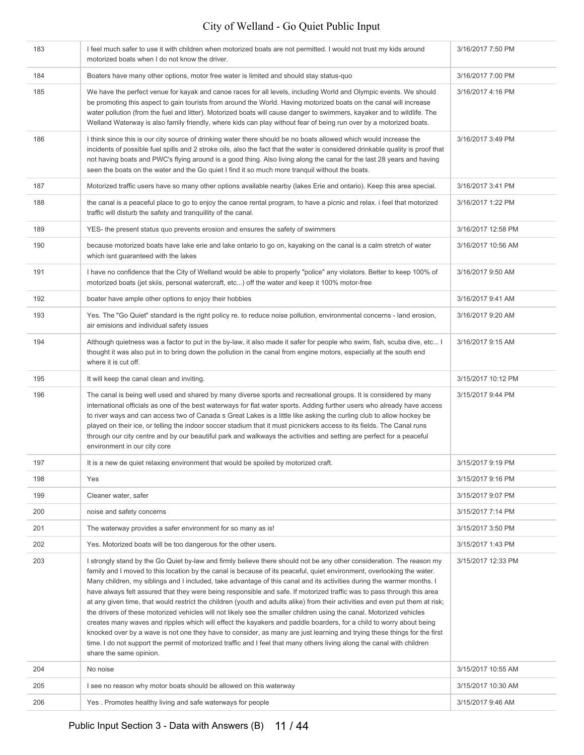| 183 | I feel much safer to use it with children when motorized boats are not permitted. I would not trust my kids around<br>motorized boats when I do not know the driver.                                                                                                                                                                                                                                                                                                                                                                                                                                                                                                                                                                                                                                                                                                                                                                                                                                                                                                                                                                                                  | 3/16/2017 7:50 PM  |
|-----|-----------------------------------------------------------------------------------------------------------------------------------------------------------------------------------------------------------------------------------------------------------------------------------------------------------------------------------------------------------------------------------------------------------------------------------------------------------------------------------------------------------------------------------------------------------------------------------------------------------------------------------------------------------------------------------------------------------------------------------------------------------------------------------------------------------------------------------------------------------------------------------------------------------------------------------------------------------------------------------------------------------------------------------------------------------------------------------------------------------------------------------------------------------------------|--------------------|
| 184 | Boaters have many other options, motor free water is limited and should stay status-quo                                                                                                                                                                                                                                                                                                                                                                                                                                                                                                                                                                                                                                                                                                                                                                                                                                                                                                                                                                                                                                                                               | 3/16/2017 7:00 PM  |
| 185 | We have the perfect venue for kayak and canoe races for all levels, including World and Olympic events. We should<br>be promoting this aspect to gain tourists from around the World. Having motorized boats on the canal will increase<br>water pollution (from the fuel and litter). Motorized boats will cause danger to swimmers, kayaker and to wildlife. The<br>Welland Waterway is also family friendly, where kids can play without fear of being run over by a motorized boats.                                                                                                                                                                                                                                                                                                                                                                                                                                                                                                                                                                                                                                                                              | 3/16/2017 4:16 PM  |
| 186 | I think since this is our city source of drinking water there should be no boats allowed which would increase the<br>incidents of possible fuel spills and 2 stroke oils, also the fact that the water is considered drinkable quality is proof that<br>not having boats and PWC's flying around is a good thing. Also living along the canal for the last 28 years and having<br>seen the boats on the water and the Go quiet I find it so much more tranquil without the boats.                                                                                                                                                                                                                                                                                                                                                                                                                                                                                                                                                                                                                                                                                     | 3/16/2017 3:49 PM  |
| 187 | Motorized traffic users have so many other options available nearby (lakes Erie and ontario). Keep this area special.                                                                                                                                                                                                                                                                                                                                                                                                                                                                                                                                                                                                                                                                                                                                                                                                                                                                                                                                                                                                                                                 | 3/16/2017 3:41 PM  |
| 188 | the canal is a peaceful place to go to enjoy the canoe rental program, to have a picnic and relax. i feel that motorized<br>traffic will disturb the safety and tranquillity of the canal.                                                                                                                                                                                                                                                                                                                                                                                                                                                                                                                                                                                                                                                                                                                                                                                                                                                                                                                                                                            | 3/16/2017 1:22 PM  |
| 189 | YES- the present status quo prevents erosion and ensures the safety of swimmers                                                                                                                                                                                                                                                                                                                                                                                                                                                                                                                                                                                                                                                                                                                                                                                                                                                                                                                                                                                                                                                                                       | 3/16/2017 12:58 PM |
| 190 | because motorized boats have lake erie and lake ontario to go on, kayaking on the canal is a calm stretch of water<br>which isnt guaranteed with the lakes                                                                                                                                                                                                                                                                                                                                                                                                                                                                                                                                                                                                                                                                                                                                                                                                                                                                                                                                                                                                            | 3/16/2017 10:56 AM |
| 191 | I have no confidence that the City of Welland would be able to properly "police" any violators. Better to keep 100% of<br>motorized boats (jet skiis, personal watercraft, etc) off the water and keep it 100% motor-free                                                                                                                                                                                                                                                                                                                                                                                                                                                                                                                                                                                                                                                                                                                                                                                                                                                                                                                                             | 3/16/2017 9:50 AM  |
| 192 | boater have ample other options to enjoy their hobbies                                                                                                                                                                                                                                                                                                                                                                                                                                                                                                                                                                                                                                                                                                                                                                                                                                                                                                                                                                                                                                                                                                                | 3/16/2017 9:41 AM  |
| 193 | Yes. The "Go Quiet" standard is the right policy re. to reduce noise pollution, environmental concerns - land erosion,<br>air emisions and individual safety issues                                                                                                                                                                                                                                                                                                                                                                                                                                                                                                                                                                                                                                                                                                                                                                                                                                                                                                                                                                                                   | 3/16/2017 9:20 AM  |
| 194 | Although quietness was a factor to put in the by-law, it also made it safer for people who swim, fish, scuba dive, etc I<br>thought it was also put in to bring down the pollution in the canal from engine motors, especially at the south end<br>where it is cut off.                                                                                                                                                                                                                                                                                                                                                                                                                                                                                                                                                                                                                                                                                                                                                                                                                                                                                               | 3/16/2017 9:15 AM  |
| 195 | It will keep the canal clean and inviting.                                                                                                                                                                                                                                                                                                                                                                                                                                                                                                                                                                                                                                                                                                                                                                                                                                                                                                                                                                                                                                                                                                                            | 3/15/2017 10:12 PM |
| 196 | The canal is being well used and shared by many diverse sports and recreational groups. It is considered by many<br>international officials as one of the best waterways for flat water sports. Adding further users who already have access<br>to river ways and can access two of Canada s Great Lakes is a little like asking the curling club to allow hockey be<br>played on their ice, or telling the indoor soccer stadium that it must picnickers access to its fields. The Canal runs<br>through our city centre and by our beautiful park and walkways the activities and setting are perfect for a peaceful<br>environment in our city core                                                                                                                                                                                                                                                                                                                                                                                                                                                                                                                | 3/15/2017 9:44 PM  |
| 197 | It is a new de quiet relaxing environment that would be spoiled by motorized craft.                                                                                                                                                                                                                                                                                                                                                                                                                                                                                                                                                                                                                                                                                                                                                                                                                                                                                                                                                                                                                                                                                   | 3/15/2017 9:19 PM  |
| 198 | Yes                                                                                                                                                                                                                                                                                                                                                                                                                                                                                                                                                                                                                                                                                                                                                                                                                                                                                                                                                                                                                                                                                                                                                                   | 3/15/2017 9:16 PM  |
| 199 | Cleaner water, safer                                                                                                                                                                                                                                                                                                                                                                                                                                                                                                                                                                                                                                                                                                                                                                                                                                                                                                                                                                                                                                                                                                                                                  | 3/15/2017 9:07 PM  |
| 200 | noise and safety concerns                                                                                                                                                                                                                                                                                                                                                                                                                                                                                                                                                                                                                                                                                                                                                                                                                                                                                                                                                                                                                                                                                                                                             | 3/15/2017 7:14 PM  |
| 201 | The waterway provides a safer environment for so many as is!                                                                                                                                                                                                                                                                                                                                                                                                                                                                                                                                                                                                                                                                                                                                                                                                                                                                                                                                                                                                                                                                                                          | 3/15/2017 3:50 PM  |
| 202 | Yes. Motorized boats will be too dangerous for the other users.                                                                                                                                                                                                                                                                                                                                                                                                                                                                                                                                                                                                                                                                                                                                                                                                                                                                                                                                                                                                                                                                                                       | 3/15/2017 1:43 PM  |
| 203 | I strongly stand by the Go Quiet by-law and firmly believe there should not be any other consideration. The reason my<br>family and I moved to this location by the canal is because of its peaceful, quiet environment, overlooking the water.<br>Many children, my siblings and I included, take advantage of this canal and its activities during the warmer months. I<br>have always felt assured that they were being responsible and safe. If motorized traffic was to pass through this area<br>at any given time, that would restrict the children (youth and adults alike) from their activities and even put them at risk;<br>the drivers of these motorized vehicles will not likely see the smaller children using the canal. Motorized vehicles<br>creates many waves and ripples which will effect the kayakers and paddle boarders, for a child to worry about being<br>knocked over by a wave is not one they have to consider, as many are just learning and trying these things for the first<br>time. I do not support the permit of motorized traffic and I feel that many others living along the canal with children<br>share the same opinion. | 3/15/2017 12:33 PM |
| 204 | No noise                                                                                                                                                                                                                                                                                                                                                                                                                                                                                                                                                                                                                                                                                                                                                                                                                                                                                                                                                                                                                                                                                                                                                              | 3/15/2017 10:55 AM |
| 205 | I see no reason why motor boats should be allowed on this waterway                                                                                                                                                                                                                                                                                                                                                                                                                                                                                                                                                                                                                                                                                                                                                                                                                                                                                                                                                                                                                                                                                                    | 3/15/2017 10:30 AM |
| 206 | Yes. Promotes healthy living and safe waterways for people                                                                                                                                                                                                                                                                                                                                                                                                                                                                                                                                                                                                                                                                                                                                                                                                                                                                                                                                                                                                                                                                                                            | 3/15/2017 9:46 AM  |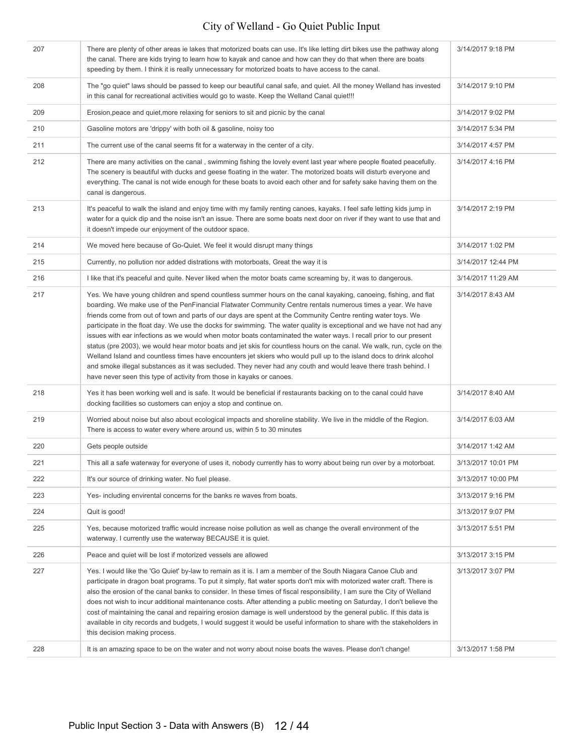| 207 | There are plenty of other areas ie lakes that motorized boats can use. It's like letting dirt bikes use the pathway along<br>the canal. There are kids trying to learn how to kayak and canoe and how can they do that when there are boats<br>speeding by them. I think it is really unnecessary for motorized boats to have access to the canal.                                                                                                                                                                                                                                                                                                                                                                                                                                                                                                                                                                                                                                                                                         | 3/14/2017 9:18 PM  |
|-----|--------------------------------------------------------------------------------------------------------------------------------------------------------------------------------------------------------------------------------------------------------------------------------------------------------------------------------------------------------------------------------------------------------------------------------------------------------------------------------------------------------------------------------------------------------------------------------------------------------------------------------------------------------------------------------------------------------------------------------------------------------------------------------------------------------------------------------------------------------------------------------------------------------------------------------------------------------------------------------------------------------------------------------------------|--------------------|
| 208 | The "go quiet" laws should be passed to keep our beautiful canal safe, and quiet. All the money Welland has invested<br>in this canal for recreational activities would go to waste. Keep the Welland Canal quiet!!!                                                                                                                                                                                                                                                                                                                                                                                                                                                                                                                                                                                                                                                                                                                                                                                                                       | 3/14/2017 9:10 PM  |
| 209 | Erosion, peace and quiet, more relaxing for seniors to sit and picnic by the canal                                                                                                                                                                                                                                                                                                                                                                                                                                                                                                                                                                                                                                                                                                                                                                                                                                                                                                                                                         | 3/14/2017 9:02 PM  |
| 210 | Gasoline motors are 'drippy' with both oil & gasoline, noisy too                                                                                                                                                                                                                                                                                                                                                                                                                                                                                                                                                                                                                                                                                                                                                                                                                                                                                                                                                                           | 3/14/2017 5:34 PM  |
| 211 | The current use of the canal seems fit for a waterway in the center of a city.                                                                                                                                                                                                                                                                                                                                                                                                                                                                                                                                                                                                                                                                                                                                                                                                                                                                                                                                                             | 3/14/2017 4:57 PM  |
| 212 | There are many activities on the canal, swimming fishing the lovely event last year where people floated peacefully.<br>The scenery is beautiful with ducks and geese floating in the water. The motorized boats will disturb everyone and<br>everything. The canal is not wide enough for these boats to avoid each other and for safety sake having them on the<br>canal is dangerous.                                                                                                                                                                                                                                                                                                                                                                                                                                                                                                                                                                                                                                                   | 3/14/2017 4:16 PM  |
| 213 | It's peaceful to walk the island and enjoy time with my family renting canoes, kayaks. I feel safe letting kids jump in<br>water for a quick dip and the noise isn't an issue. There are some boats next door on river if they want to use that and<br>it doesn't impede our enjoyment of the outdoor space.                                                                                                                                                                                                                                                                                                                                                                                                                                                                                                                                                                                                                                                                                                                               | 3/14/2017 2:19 PM  |
| 214 | We moved here because of Go-Quiet. We feel it would disrupt many things                                                                                                                                                                                                                                                                                                                                                                                                                                                                                                                                                                                                                                                                                                                                                                                                                                                                                                                                                                    | 3/14/2017 1:02 PM  |
| 215 | Currently, no pollution nor added distrations with motorboats, Great the way it is                                                                                                                                                                                                                                                                                                                                                                                                                                                                                                                                                                                                                                                                                                                                                                                                                                                                                                                                                         | 3/14/2017 12:44 PM |
| 216 | I like that it's peaceful and quite. Never liked when the motor boats came screaming by, it was to dangerous.                                                                                                                                                                                                                                                                                                                                                                                                                                                                                                                                                                                                                                                                                                                                                                                                                                                                                                                              | 3/14/2017 11:29 AM |
| 217 | Yes. We have young children and spend countless summer hours on the canal kayaking, canoeing, fishing, and flat<br>boarding. We make use of the PenFinancial Flatwater Community Centre rentals numerous times a year. We have<br>friends come from out of town and parts of our days are spent at the Community Centre renting water toys. We<br>participate in the float day. We use the docks for swimming. The water quality is exceptional and we have not had any<br>issues with ear infections as we would when motor boats contaminated the water ways. I recall prior to our present<br>status (pre 2003), we would hear motor boats and jet skis for countless hours on the canal. We walk, run, cycle on the<br>Welland Island and countless times have encounters jet skiers who would pull up to the island docs to drink alcohol<br>and smoke illegal substances as it was secluded. They never had any couth and would leave there trash behind. I<br>have never seen this type of activity from those in kayaks or canoes. | 3/14/2017 8:43 AM  |
| 218 | Yes it has been working well and is safe. It would be beneficial if restaurants backing on to the canal could have<br>docking facilities so customers can enjoy a stop and continue on.                                                                                                                                                                                                                                                                                                                                                                                                                                                                                                                                                                                                                                                                                                                                                                                                                                                    | 3/14/2017 8:40 AM  |
| 219 | Worried about noise but also about ecological impacts and shoreline stability. We live in the middle of the Region.<br>There is access to water every where around us, within 5 to 30 minutes                                                                                                                                                                                                                                                                                                                                                                                                                                                                                                                                                                                                                                                                                                                                                                                                                                              | 3/14/2017 6:03 AM  |
| 220 | Gets people outside                                                                                                                                                                                                                                                                                                                                                                                                                                                                                                                                                                                                                                                                                                                                                                                                                                                                                                                                                                                                                        | 3/14/2017 1:42 AM  |
| 221 | This all a safe waterway for everyone of uses it, nobody currently has to worry about being run over by a motorboat.                                                                                                                                                                                                                                                                                                                                                                                                                                                                                                                                                                                                                                                                                                                                                                                                                                                                                                                       | 3/13/2017 10:01 PM |
| 222 | It's our source of drinking water. No fuel please.                                                                                                                                                                                                                                                                                                                                                                                                                                                                                                                                                                                                                                                                                                                                                                                                                                                                                                                                                                                         | 3/13/2017 10:00 PM |
| 223 | Yes- including envirental concerns for the banks re waves from boats.                                                                                                                                                                                                                                                                                                                                                                                                                                                                                                                                                                                                                                                                                                                                                                                                                                                                                                                                                                      | 3/13/2017 9:16 PM  |
| 224 | Quit is good!                                                                                                                                                                                                                                                                                                                                                                                                                                                                                                                                                                                                                                                                                                                                                                                                                                                                                                                                                                                                                              | 3/13/2017 9:07 PM  |
| 225 | Yes, because motorized traffic would increase noise pollution as well as change the overall environment of the<br>waterway. I currently use the waterway BECAUSE it is quiet.                                                                                                                                                                                                                                                                                                                                                                                                                                                                                                                                                                                                                                                                                                                                                                                                                                                              | 3/13/2017 5:51 PM  |
| 226 | Peace and quiet will be lost if motorized vessels are allowed                                                                                                                                                                                                                                                                                                                                                                                                                                                                                                                                                                                                                                                                                                                                                                                                                                                                                                                                                                              | 3/13/2017 3:15 PM  |
| 227 | Yes. I would like the 'Go Quiet' by-law to remain as it is. I am a member of the South Niagara Canoe Club and<br>participate in dragon boat programs. To put it simply, flat water sports don't mix with motorized water craft. There is<br>also the erosion of the canal banks to consider. In these times of fiscal responsibility, I am sure the City of Welland<br>does not wish to incur additional maintenance costs. After attending a public meeting on Saturday, I don't believe the<br>cost of maintaining the canal and repairing erosion damage is well understood by the general public. If this data is<br>available in city records and budgets, I would suggest it would be useful information to share with the stakeholders in<br>this decision making process.                                                                                                                                                                                                                                                          | 3/13/2017 3:07 PM  |
| 228 | It is an amazing space to be on the water and not worry about noise boats the waves. Please don't change!                                                                                                                                                                                                                                                                                                                                                                                                                                                                                                                                                                                                                                                                                                                                                                                                                                                                                                                                  | 3/13/2017 1:58 PM  |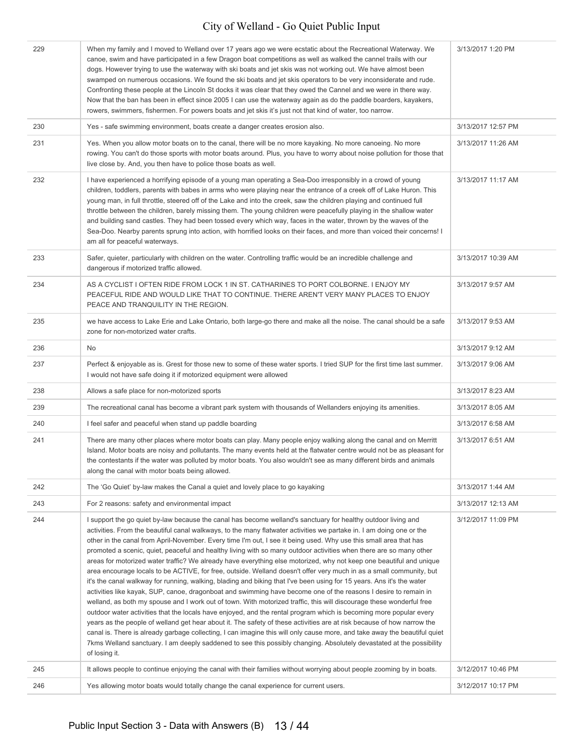| 229 | When my family and I moved to Welland over 17 years ago we were ecstatic about the Recreational Waterway. We<br>canoe, swim and have participated in a few Dragon boat competitions as well as walked the cannel trails with our<br>dogs. However trying to use the waterway with ski boats and jet skis was not working out. We have almost been<br>swamped on numerous occasions. We found the ski boats and jet skis operators to be very inconsiderate and rude.<br>Confronting these people at the Lincoln St docks it was clear that they owed the Cannel and we were in there way.<br>Now that the ban has been in effect since 2005 I can use the waterway again as do the paddle boarders, kayakers,<br>rowers, swimmers, fishermen. For powers boats and jet skis it's just not that kind of water, too narrow.                                                                                                                                                                                                                                                                                                                                                                                                                                                                                                                                                                                                                                                                                                                                                                                                | 3/13/2017 1:20 PM  |
|-----|--------------------------------------------------------------------------------------------------------------------------------------------------------------------------------------------------------------------------------------------------------------------------------------------------------------------------------------------------------------------------------------------------------------------------------------------------------------------------------------------------------------------------------------------------------------------------------------------------------------------------------------------------------------------------------------------------------------------------------------------------------------------------------------------------------------------------------------------------------------------------------------------------------------------------------------------------------------------------------------------------------------------------------------------------------------------------------------------------------------------------------------------------------------------------------------------------------------------------------------------------------------------------------------------------------------------------------------------------------------------------------------------------------------------------------------------------------------------------------------------------------------------------------------------------------------------------------------------------------------------------|--------------------|
| 230 | Yes - safe swimming environment, boats create a danger creates erosion also.                                                                                                                                                                                                                                                                                                                                                                                                                                                                                                                                                                                                                                                                                                                                                                                                                                                                                                                                                                                                                                                                                                                                                                                                                                                                                                                                                                                                                                                                                                                                             | 3/13/2017 12:57 PM |
| 231 | Yes. When you allow motor boats on to the canal, there will be no more kayaking. No more canoeing. No more<br>rowing. You can't do those sports with motor boats around. Plus, you have to worry about noise pollution for those that<br>live close by. And, you then have to police those boats as well.                                                                                                                                                                                                                                                                                                                                                                                                                                                                                                                                                                                                                                                                                                                                                                                                                                                                                                                                                                                                                                                                                                                                                                                                                                                                                                                | 3/13/2017 11:26 AM |
| 232 | I have experienced a horrifying episode of a young man operating a Sea-Doo irresponsibly in a crowd of young<br>children, toddlers, parents with babes in arms who were playing near the entrance of a creek off of Lake Huron. This<br>young man, in full throttle, steered off of the Lake and into the creek, saw the children playing and continued full<br>throttle between the children, barely missing them. The young children were peacefully playing in the shallow water<br>and building sand castles. They had been tossed every which way, faces in the water, thrown by the waves of the<br>Sea-Doo. Nearby parents sprung into action, with horrified looks on their faces, and more than voiced their concerns! I<br>am all for peaceful waterways.                                                                                                                                                                                                                                                                                                                                                                                                                                                                                                                                                                                                                                                                                                                                                                                                                                                      | 3/13/2017 11:17 AM |
| 233 | Safer, quieter, particularly with children on the water. Controlling traffic would be an incredible challenge and<br>dangerous if motorized traffic allowed.                                                                                                                                                                                                                                                                                                                                                                                                                                                                                                                                                                                                                                                                                                                                                                                                                                                                                                                                                                                                                                                                                                                                                                                                                                                                                                                                                                                                                                                             | 3/13/2017 10:39 AM |
| 234 | AS A CYCLIST I OFTEN RIDE FROM LOCK 1 IN ST. CATHARINES TO PORT COLBORNE. I ENJOY MY<br>PEACEFUL RIDE AND WOULD LIKE THAT TO CONTINUE. THERE AREN'T VERY MANY PLACES TO ENJOY<br>PEACE AND TRANQUILITY IN THE REGION.                                                                                                                                                                                                                                                                                                                                                                                                                                                                                                                                                                                                                                                                                                                                                                                                                                                                                                                                                                                                                                                                                                                                                                                                                                                                                                                                                                                                    | 3/13/2017 9:57 AM  |
| 235 | we have access to Lake Erie and Lake Ontario, both large-go there and make all the noise. The canal should be a safe<br>zone for non-motorized water crafts.                                                                                                                                                                                                                                                                                                                                                                                                                                                                                                                                                                                                                                                                                                                                                                                                                                                                                                                                                                                                                                                                                                                                                                                                                                                                                                                                                                                                                                                             | 3/13/2017 9:53 AM  |
| 236 | No                                                                                                                                                                                                                                                                                                                                                                                                                                                                                                                                                                                                                                                                                                                                                                                                                                                                                                                                                                                                                                                                                                                                                                                                                                                                                                                                                                                                                                                                                                                                                                                                                       | 3/13/2017 9:12 AM  |
| 237 | Perfect & enjoyable as is. Grest for those new to some of these water sports. I tried SUP for the first time last summer.<br>I would not have safe doing it if motorized equipment were allowed                                                                                                                                                                                                                                                                                                                                                                                                                                                                                                                                                                                                                                                                                                                                                                                                                                                                                                                                                                                                                                                                                                                                                                                                                                                                                                                                                                                                                          | 3/13/2017 9:06 AM  |
| 238 | Allows a safe place for non-motorized sports                                                                                                                                                                                                                                                                                                                                                                                                                                                                                                                                                                                                                                                                                                                                                                                                                                                                                                                                                                                                                                                                                                                                                                                                                                                                                                                                                                                                                                                                                                                                                                             | 3/13/2017 8:23 AM  |
| 239 | The recreational canal has become a vibrant park system with thousands of Wellanders enjoying its amenities.                                                                                                                                                                                                                                                                                                                                                                                                                                                                                                                                                                                                                                                                                                                                                                                                                                                                                                                                                                                                                                                                                                                                                                                                                                                                                                                                                                                                                                                                                                             | 3/13/2017 8:05 AM  |
| 240 | I feel safer and peaceful when stand up paddle boarding                                                                                                                                                                                                                                                                                                                                                                                                                                                                                                                                                                                                                                                                                                                                                                                                                                                                                                                                                                                                                                                                                                                                                                                                                                                                                                                                                                                                                                                                                                                                                                  | 3/13/2017 6:58 AM  |
| 241 | There are many other places where motor boats can play. Many people enjoy walking along the canal and on Merritt<br>Island. Motor boats are noisy and pollutants. The many events held at the flatwater centre would not be as pleasant for<br>the contestants if the water was polluted by motor boats. You also wouldn't see as many different birds and animals<br>along the canal with motor boats being allowed.                                                                                                                                                                                                                                                                                                                                                                                                                                                                                                                                                                                                                                                                                                                                                                                                                                                                                                                                                                                                                                                                                                                                                                                                    | 3/13/2017 6:51 AM  |
| 242 | The 'Go Quiet' by-law makes the Canal a quiet and lovely place to go kayaking                                                                                                                                                                                                                                                                                                                                                                                                                                                                                                                                                                                                                                                                                                                                                                                                                                                                                                                                                                                                                                                                                                                                                                                                                                                                                                                                                                                                                                                                                                                                            | 3/13/2017 1:44 AM  |
| 243 | For 2 reasons: safety and environmental impact                                                                                                                                                                                                                                                                                                                                                                                                                                                                                                                                                                                                                                                                                                                                                                                                                                                                                                                                                                                                                                                                                                                                                                                                                                                                                                                                                                                                                                                                                                                                                                           | 3/13/2017 12:13 AM |
| 244 | I support the go quiet by-law because the canal has become welland's sanctuary for healthy outdoor living and<br>activities. From the beautiful canal walkways, to the many flatwater activities we partake in. I am doing one or the<br>other in the canal from April-November. Every time I'm out, I see it being used. Why use this small area that has<br>promoted a scenic, quiet, peaceful and healthy living with so many outdoor activities when there are so many other<br>areas for motorized water traffic? We already have everything else motorized, why not keep one beautiful and unique<br>area encourage locals to be ACTIVE, for free, outside. Welland doesn't offer very much in as a small community, but<br>it's the canal walkway for running, walking, blading and biking that I've been using for 15 years. Ans it's the water<br>activities like kayak, SUP, canoe, dragonboat and swimming have become one of the reasons I desire to remain in<br>welland, as both my spouse and I work out of town. With motorized traffic, this will discourage these wonderful free<br>outdoor water activities that the locals have enjoyed, and the rental program which is becoming more popular every<br>years as the people of welland get hear about it. The safety of these activities are at risk because of how narrow the<br>canal is. There is already garbage collecting, I can imagine this will only cause more, and take away the beautiful quiet<br>7kms Welland sanctuary. I am deeply saddened to see this possibly changing. Absolutely devastated at the possibility<br>of losing it. | 3/12/2017 11:09 PM |
| 245 | It allows people to continue enjoying the canal with their families without worrying about people zooming by in boats.                                                                                                                                                                                                                                                                                                                                                                                                                                                                                                                                                                                                                                                                                                                                                                                                                                                                                                                                                                                                                                                                                                                                                                                                                                                                                                                                                                                                                                                                                                   | 3/12/2017 10:46 PM |
| 246 | Yes allowing motor boats would totally change the canal experience for current users.                                                                                                                                                                                                                                                                                                                                                                                                                                                                                                                                                                                                                                                                                                                                                                                                                                                                                                                                                                                                                                                                                                                                                                                                                                                                                                                                                                                                                                                                                                                                    | 3/12/2017 10:17 PM |
|     |                                                                                                                                                                                                                                                                                                                                                                                                                                                                                                                                                                                                                                                                                                                                                                                                                                                                                                                                                                                                                                                                                                                                                                                                                                                                                                                                                                                                                                                                                                                                                                                                                          |                    |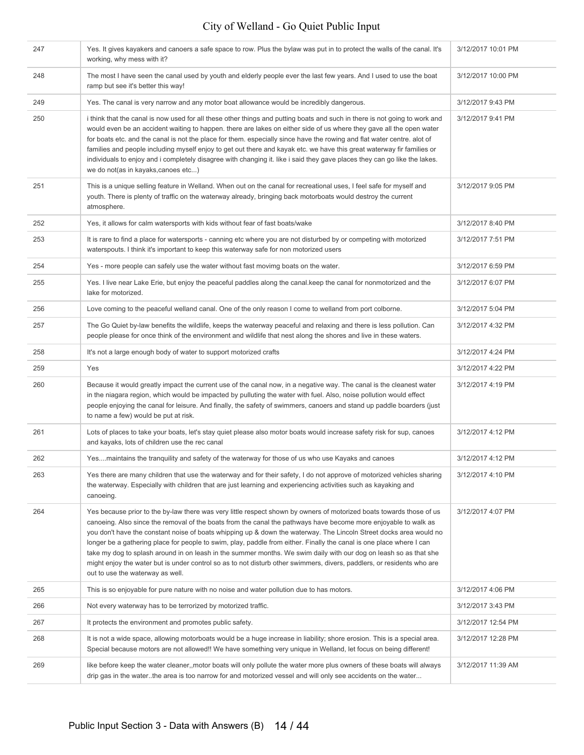| 247 | Yes. It gives kayakers and canoers a safe space to row. Plus the bylaw was put in to protect the walls of the canal. It's<br>working, why mess with it?                                                                                                                                                                                                                                                                                                                                                                                                                                                                                                                     | 3/12/2017 10:01 PM |
|-----|-----------------------------------------------------------------------------------------------------------------------------------------------------------------------------------------------------------------------------------------------------------------------------------------------------------------------------------------------------------------------------------------------------------------------------------------------------------------------------------------------------------------------------------------------------------------------------------------------------------------------------------------------------------------------------|--------------------|
| 248 | The most I have seen the canal used by youth and elderly people ever the last few years. And I used to use the boat<br>ramp but see it's better this way!                                                                                                                                                                                                                                                                                                                                                                                                                                                                                                                   | 3/12/2017 10:00 PM |
| 249 | Yes. The canal is very narrow and any motor boat allowance would be incredibly dangerous.                                                                                                                                                                                                                                                                                                                                                                                                                                                                                                                                                                                   | 3/12/2017 9:43 PM  |
| 250 | i think that the canal is now used for all these other things and putting boats and such in there is not going to work and<br>would even be an accident waiting to happen. there are lakes on either side of us where they gave all the open water<br>for boats etc. and the canal is not the place for them. especially since have the rowing and flat water centre. alot of<br>families and people including myself enjoy to get out there and kayak etc. we have this great waterway fir families or<br>individuals to enjoy and i completely disagree with changing it. like i said they gave places they can go like the lakes.<br>we do not(as in kayaks, canoes etc) | 3/12/2017 9:41 PM  |
| 251 | This is a unique selling feature in Welland. When out on the canal for recreational uses, I feel safe for myself and<br>youth. There is plenty of traffic on the waterway already, bringing back motorboats would destroy the current<br>atmosphere.                                                                                                                                                                                                                                                                                                                                                                                                                        | 3/12/2017 9:05 PM  |
| 252 | Yes, it allows for calm watersports with kids without fear of fast boats/wake                                                                                                                                                                                                                                                                                                                                                                                                                                                                                                                                                                                               | 3/12/2017 8:40 PM  |
| 253 | It is rare to find a place for watersports - canning etc where you are not disturbed by or competing with motorized<br>waterspouts. I think it's important to keep this waterway safe for non motorized users                                                                                                                                                                                                                                                                                                                                                                                                                                                               | 3/12/2017 7:51 PM  |
| 254 | Yes - more people can safely use the water without fast movimg boats on the water.                                                                                                                                                                                                                                                                                                                                                                                                                                                                                                                                                                                          | 3/12/2017 6:59 PM  |
| 255 | Yes. I live near Lake Erie, but enjoy the peaceful paddles along the canal keep the canal for nonmotorized and the<br>lake for motorized.                                                                                                                                                                                                                                                                                                                                                                                                                                                                                                                                   | 3/12/2017 6:07 PM  |
| 256 | Love coming to the peaceful welland canal. One of the only reason I come to welland from port colborne.                                                                                                                                                                                                                                                                                                                                                                                                                                                                                                                                                                     | 3/12/2017 5:04 PM  |
| 257 | The Go Quiet by-law benefits the wildlife, keeps the waterway peaceful and relaxing and there is less pollution. Can<br>people please for once think of the environment and wildlife that nest along the shores and live in these waters.                                                                                                                                                                                                                                                                                                                                                                                                                                   | 3/12/2017 4:32 PM  |
| 258 | It's not a large enough body of water to support motorized crafts                                                                                                                                                                                                                                                                                                                                                                                                                                                                                                                                                                                                           | 3/12/2017 4:24 PM  |
| 259 | Yes                                                                                                                                                                                                                                                                                                                                                                                                                                                                                                                                                                                                                                                                         | 3/12/2017 4:22 PM  |
| 260 | Because it would greatly impact the current use of the canal now, in a negative way. The canal is the cleanest water<br>in the niagara region, which would be impacted by pulluting the water with fuel. Also, noise pollution would effect<br>people enjoying the canal for leisure. And finally, the safety of swimmers, canoers and stand up paddle boarders (just<br>to name a few) would be put at risk.                                                                                                                                                                                                                                                               | 3/12/2017 4:19 PM  |
| 261 | Lots of places to take your boats, let's stay quiet please also motor boats would increase safety risk for sup, canoes<br>and kayaks, lots of children use the rec canal                                                                                                                                                                                                                                                                                                                                                                                                                                                                                                    | 3/12/2017 4:12 PM  |
| 262 | Yesmaintains the tranquility and safety of the waterway for those of us who use Kayaks and canoes                                                                                                                                                                                                                                                                                                                                                                                                                                                                                                                                                                           | 3/12/2017 4:12 PM  |
| 263 | Yes there are many children that use the waterway and for their safety, I do not approve of motorized vehicles sharing<br>the waterway. Especially with children that are just learning and experiencing activities such as kayaking and<br>canoeing.                                                                                                                                                                                                                                                                                                                                                                                                                       | 3/12/2017 4:10 PM  |
| 264 | Yes because prior to the by-law there was very little respect shown by owners of motorized boats towards those of us<br>canoeing. Also since the removal of the boats from the canal the pathways have become more enjoyable to walk as                                                                                                                                                                                                                                                                                                                                                                                                                                     | 3/12/2017 4:07 PM  |
|     | you don't have the constant noise of boats whipping up & down the waterway. The Lincoln Street docks area would no<br>longer be a gathering place for people to swim, play, paddle from either. Finally the canal is one place where I can<br>take my dog to splash around in on leash in the summer months. We swim daily with our dog on leash so as that she<br>might enjoy the water but is under control so as to not disturb other swimmers, divers, paddlers, or residents who are<br>out to use the waterway as well.                                                                                                                                               |                    |
| 265 | This is so enjoyable for pure nature with no noise and water pollution due to has motors.                                                                                                                                                                                                                                                                                                                                                                                                                                                                                                                                                                                   | 3/12/2017 4:06 PM  |
| 266 | Not every waterway has to be terrorized by motorized traffic.                                                                                                                                                                                                                                                                                                                                                                                                                                                                                                                                                                                                               | 3/12/2017 3:43 PM  |
| 267 | It protects the environment and promotes public safety.                                                                                                                                                                                                                                                                                                                                                                                                                                                                                                                                                                                                                     | 3/12/2017 12:54 PM |
| 268 | It is not a wide space, allowing motorboats would be a huge increase in liability; shore erosion. This is a special area.<br>Special because motors are not allowed!! We have something very unique in Welland, let focus on being different!                                                                                                                                                                                                                                                                                                                                                                                                                               | 3/12/2017 12:28 PM |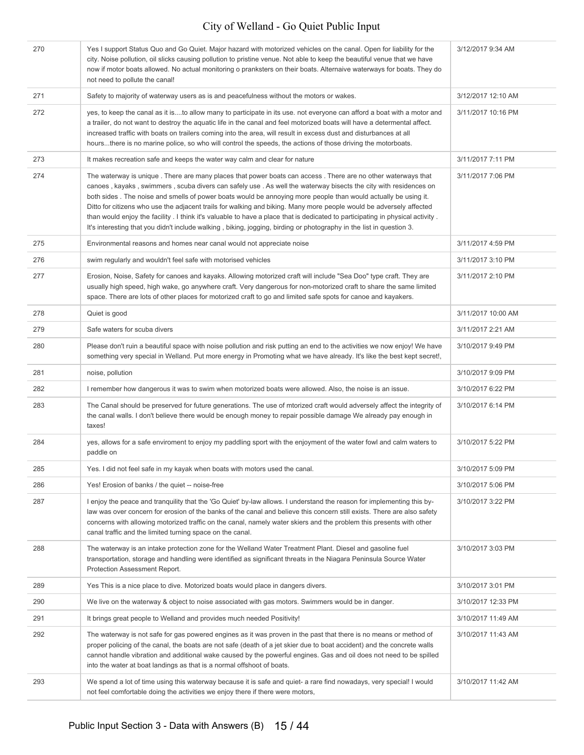| 270 | Yes I support Status Quo and Go Quiet. Major hazard with motorized vehicles on the canal. Open for liability for the<br>city. Noise pollution, oil slicks causing pollution to pristine venue. Not able to keep the beautiful venue that we have<br>now if motor boats allowed. No actual monitoring o pranksters on their boats. Alternaive waterways for boats. They do<br>not need to pollute the canal!                                                                                                                                                                                                                                                                                                                       | 3/12/2017 9:34 AM  |
|-----|-----------------------------------------------------------------------------------------------------------------------------------------------------------------------------------------------------------------------------------------------------------------------------------------------------------------------------------------------------------------------------------------------------------------------------------------------------------------------------------------------------------------------------------------------------------------------------------------------------------------------------------------------------------------------------------------------------------------------------------|--------------------|
| 271 | Safety to majority of waterway users as is and peacefulness without the motors or wakes.                                                                                                                                                                                                                                                                                                                                                                                                                                                                                                                                                                                                                                          | 3/12/2017 12:10 AM |
| 272 | yes, to keep the canal as it isto allow many to participate in its use. not everyone can afford a boat with a motor and<br>a trailer, do not want to destroy the aquatic life in the canal and feel motorized boats will have a determental affect.<br>increased traffic with boats on trailers coming into the area, will result in excess dust and disturbances at all<br>hoursthere is no marine police, so who will control the speeds, the actions of those driving the motorboats.                                                                                                                                                                                                                                          | 3/11/2017 10:16 PM |
| 273 | It makes recreation safe and keeps the water way calm and clear for nature                                                                                                                                                                                                                                                                                                                                                                                                                                                                                                                                                                                                                                                        | 3/11/2017 7:11 PM  |
| 274 | The waterway is unique. There are many places that power boats can access. There are no other waterways that<br>canoes, kayaks, swimmers, scuba divers can safely use. As well the waterway bisects the city with residences on<br>both sides. The noise and smells of power boats would be annoying more people than would actually be using it.<br>Ditto for citizens who use the adjacent trails for walking and biking. Many more people would be adversely affected<br>than would enjoy the facility. I think it's valuable to have a place that is dedicated to participating in physical activity.<br>It's interesting that you didn't include walking, biking, jogging, birding or photography in the list in question 3. | 3/11/2017 7:06 PM  |
| 275 | Environmental reasons and homes near canal would not appreciate noise                                                                                                                                                                                                                                                                                                                                                                                                                                                                                                                                                                                                                                                             | 3/11/2017 4:59 PM  |
| 276 | swim regularly and wouldn't feel safe with motorised vehicles                                                                                                                                                                                                                                                                                                                                                                                                                                                                                                                                                                                                                                                                     | 3/11/2017 3:10 PM  |
| 277 | Erosion, Noise, Safety for canoes and kayaks. Allowing motorized craft will include "Sea Doo" type craft. They are<br>usually high speed, high wake, go anywhere craft. Very dangerous for non-motorized craft to share the same limited<br>space. There are lots of other places for motorized craft to go and limited safe spots for canoe and kayakers.                                                                                                                                                                                                                                                                                                                                                                        | 3/11/2017 2:10 PM  |
| 278 | Quiet is good                                                                                                                                                                                                                                                                                                                                                                                                                                                                                                                                                                                                                                                                                                                     | 3/11/2017 10:00 AM |
| 279 | Safe waters for scuba divers                                                                                                                                                                                                                                                                                                                                                                                                                                                                                                                                                                                                                                                                                                      | 3/11/2017 2:21 AM  |
| 280 | Please don't ruin a beautiful space with noise pollution and risk putting an end to the activities we now enjoy! We have<br>something very special in Welland. Put more energy in Promoting what we have already. It's like the best kept secret!,                                                                                                                                                                                                                                                                                                                                                                                                                                                                                | 3/10/2017 9:49 PM  |
| 281 | noise, pollution                                                                                                                                                                                                                                                                                                                                                                                                                                                                                                                                                                                                                                                                                                                  | 3/10/2017 9:09 PM  |
| 282 | I remember how dangerous it was to swim when motorized boats were allowed. Also, the noise is an issue.                                                                                                                                                                                                                                                                                                                                                                                                                                                                                                                                                                                                                           | 3/10/2017 6:22 PM  |
| 283 | The Canal should be preserved for future generations. The use of mtorized craft would adversely affect the integrity of<br>the canal walls. I don't believe there would be enough money to repair possible damage We already pay enough in<br>taxes!                                                                                                                                                                                                                                                                                                                                                                                                                                                                              | 3/10/2017 6:14 PM  |
| 284 | yes, allows for a safe enviroment to enjoy my paddling sport with the enjoyment of the water fowl and calm waters to<br>paddle on                                                                                                                                                                                                                                                                                                                                                                                                                                                                                                                                                                                                 | 3/10/2017 5:22 PM  |
| 285 | Yes. I did not feel safe in my kayak when boats with motors used the canal.                                                                                                                                                                                                                                                                                                                                                                                                                                                                                                                                                                                                                                                       | 3/10/2017 5:09 PM  |
| 286 | Yes! Erosion of banks / the quiet -- noise-free                                                                                                                                                                                                                                                                                                                                                                                                                                                                                                                                                                                                                                                                                   | 3/10/2017 5:06 PM  |
| 287 | I enjoy the peace and tranguility that the 'Go Quiet' by-law allows. I understand the reason for implementing this by-<br>law was over concern for erosion of the banks of the canal and believe this concern still exists. There are also safety<br>concerns with allowing motorized traffic on the canal, namely water skiers and the problem this presents with other<br>canal traffic and the limited turning space on the canal.                                                                                                                                                                                                                                                                                             | 3/10/2017 3:22 PM  |
| 288 | The waterway is an intake protection zone for the Welland Water Treatment Plant. Diesel and gasoline fuel<br>transportation, storage and handling were identified as significant threats in the Niagara Peninsula Source Water<br>Protection Assessment Report.                                                                                                                                                                                                                                                                                                                                                                                                                                                                   | 3/10/2017 3:03 PM  |
| 289 | Yes This is a nice place to dive. Motorized boats would place in dangers divers.                                                                                                                                                                                                                                                                                                                                                                                                                                                                                                                                                                                                                                                  | 3/10/2017 3:01 PM  |
| 290 | We live on the waterway & object to noise associated with gas motors. Swimmers would be in danger.                                                                                                                                                                                                                                                                                                                                                                                                                                                                                                                                                                                                                                | 3/10/2017 12:33 PM |
| 291 | It brings great people to Welland and provides much needed Positivity!                                                                                                                                                                                                                                                                                                                                                                                                                                                                                                                                                                                                                                                            | 3/10/2017 11:49 AM |
| 292 | The waterway is not safe for gas powered engines as it was proven in the past that there is no means or method of<br>proper policing of the canal, the boats are not safe (death of a jet skier due to boat accident) and the concrete walls<br>cannot handle vibration and additional wake caused by the powerful engines. Gas and oil does not need to be spilled<br>into the water at boat landings as that is a normal offshoot of boats.                                                                                                                                                                                                                                                                                     | 3/10/2017 11:43 AM |
| 293 | We spend a lot of time using this waterway because it is safe and quiet- a rare find nowadays, very special! I would<br>not feel comfortable doing the activities we enjoy there if there were motors,                                                                                                                                                                                                                                                                                                                                                                                                                                                                                                                            | 3/10/2017 11:42 AM |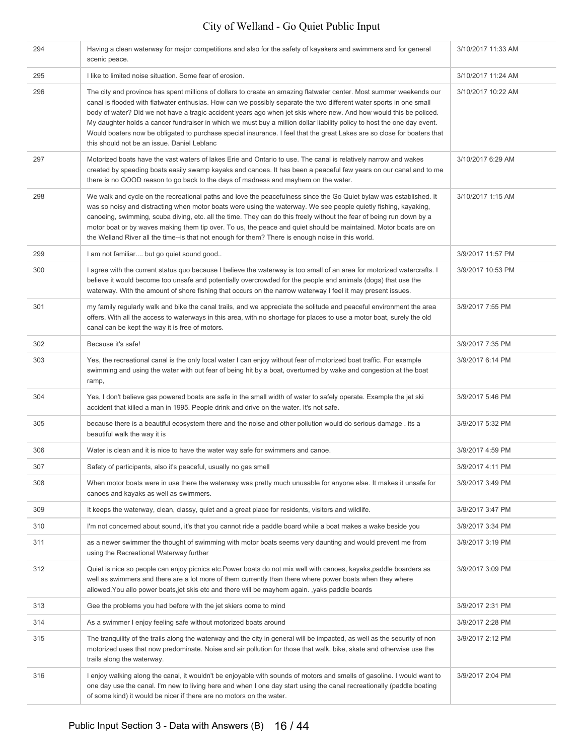| 294 | Having a clean waterway for major competitions and also for the safety of kayakers and swimmers and for general<br>scenic peace.                                                                                                                                                                                                                                                                                                                                                                                                                                                                                                                                      | 3/10/2017 11:33 AM |
|-----|-----------------------------------------------------------------------------------------------------------------------------------------------------------------------------------------------------------------------------------------------------------------------------------------------------------------------------------------------------------------------------------------------------------------------------------------------------------------------------------------------------------------------------------------------------------------------------------------------------------------------------------------------------------------------|--------------------|
| 295 | I like to limited noise situation. Some fear of erosion.                                                                                                                                                                                                                                                                                                                                                                                                                                                                                                                                                                                                              | 3/10/2017 11:24 AM |
| 296 | The city and province has spent millions of dollars to create an amazing flatwater center. Most summer weekends our<br>canal is flooded with flatwater enthusias. How can we possibly separate the two different water sports in one small<br>body of water? Did we not have a tragic accident years ago when jet skis where new. And how would this be policed.<br>My daughter holds a cancer fundraiser in which we must buy a million dollar liability policy to host the one day event.<br>Would boaters now be obligated to purchase special insurance. I feel that the great Lakes are so close for boaters that<br>this should not be an issue. Daniel Leblanc | 3/10/2017 10:22 AM |
| 297 | Motorized boats have the vast waters of lakes Erie and Ontario to use. The canal is relatively narrow and wakes<br>created by speeding boats easily swamp kayaks and canoes. It has been a peaceful few years on our canal and to me<br>there is no GOOD reason to go back to the days of madness and mayhem on the water.                                                                                                                                                                                                                                                                                                                                            | 3/10/2017 6:29 AM  |
| 298 | We walk and cycle on the recreational paths and love the peacefulness since the Go Quiet bylaw was established. It<br>was so noisy and distracting when motor boats were using the waterway. We see people quietly fishing, kayaking,<br>canoeing, swimming, scuba diving, etc. all the time. They can do this freely without the fear of being run down by a<br>motor boat or by waves making them tip over. To us, the peace and quiet should be maintained. Motor boats are on<br>the Welland River all the time--is that not enough for them? There is enough noise in this world.                                                                                | 3/10/2017 1:15 AM  |
| 299 | I am not familiar but go quiet sound good                                                                                                                                                                                                                                                                                                                                                                                                                                                                                                                                                                                                                             | 3/9/2017 11:57 PM  |
| 300 | I agree with the current status quo because I believe the waterway is too small of an area for motorized watercrafts. I<br>believe it would become too unsafe and potentially overcrowded for the people and animals (dogs) that use the<br>waterway. With the amount of shore fishing that occurs on the narrow waterway I feel it may present issues.                                                                                                                                                                                                                                                                                                               | 3/9/2017 10:53 PM  |
| 301 | my family regularly walk and bike the canal trails, and we appreciate the solitude and peaceful environment the area<br>offers. With all the access to waterways in this area, with no shortage for places to use a motor boat, surely the old<br>canal can be kept the way it is free of motors.                                                                                                                                                                                                                                                                                                                                                                     | 3/9/2017 7:55 PM   |
| 302 | Because it's safe!                                                                                                                                                                                                                                                                                                                                                                                                                                                                                                                                                                                                                                                    | 3/9/2017 7:35 PM   |
| 303 | Yes, the recreational canal is the only local water I can enjoy without fear of motorized boat traffic. For example<br>swimming and using the water with out fear of being hit by a boat, overturned by wake and congestion at the boat<br>ramp,                                                                                                                                                                                                                                                                                                                                                                                                                      | 3/9/2017 6:14 PM   |
| 304 | Yes, I don't believe gas powered boats are safe in the small width of water to safely operate. Example the jet ski<br>accident that killed a man in 1995. People drink and drive on the water. It's not safe.                                                                                                                                                                                                                                                                                                                                                                                                                                                         | 3/9/2017 5:46 PM   |
| 305 | because there is a beautiful ecosystem there and the noise and other pollution would do serious damage . its a<br>beautiful walk the way it is                                                                                                                                                                                                                                                                                                                                                                                                                                                                                                                        | 3/9/2017 5:32 PM   |
| 306 | Water is clean and it is nice to have the water way safe for swimmers and canoe.                                                                                                                                                                                                                                                                                                                                                                                                                                                                                                                                                                                      | 3/9/2017 4:59 PM   |
| 307 | Safety of participants, also it's peaceful, usually no gas smell                                                                                                                                                                                                                                                                                                                                                                                                                                                                                                                                                                                                      | 3/9/2017 4:11 PM   |
| 308 | When motor boats were in use there the waterway was pretty much unusable for anyone else. It makes it unsafe for<br>canoes and kayaks as well as swimmers.                                                                                                                                                                                                                                                                                                                                                                                                                                                                                                            | 3/9/2017 3:49 PM   |
| 309 | It keeps the waterway, clean, classy, quiet and a great place for residents, visitors and wildlife.                                                                                                                                                                                                                                                                                                                                                                                                                                                                                                                                                                   | 3/9/2017 3:47 PM   |
| 310 | I'm not concerned about sound, it's that you cannot ride a paddle board while a boat makes a wake beside you                                                                                                                                                                                                                                                                                                                                                                                                                                                                                                                                                          | 3/9/2017 3:34 PM   |
| 311 | as a newer swimmer the thought of swimming with motor boats seems very daunting and would prevent me from<br>using the Recreational Waterway further                                                                                                                                                                                                                                                                                                                                                                                                                                                                                                                  | 3/9/2017 3:19 PM   |
| 312 | Quiet is nice so people can enjoy picnics etc. Power boats do not mix well with canoes, kayaks, paddle boarders as<br>well as swimmers and there are a lot more of them currently than there where power boats when they where<br>allowed. You allo power boats, jet skis etc and there will be mayhem again. , yaks paddle boards                                                                                                                                                                                                                                                                                                                                    | 3/9/2017 3:09 PM   |
| 313 | Gee the problems you had before with the jet skiers come to mind                                                                                                                                                                                                                                                                                                                                                                                                                                                                                                                                                                                                      | 3/9/2017 2:31 PM   |
| 314 | As a swimmer I enjoy feeling safe without motorized boats around                                                                                                                                                                                                                                                                                                                                                                                                                                                                                                                                                                                                      | 3/9/2017 2:28 PM   |
| 315 | The tranquility of the trails along the waterway and the city in general will be impacted, as well as the security of non<br>motorized uses that now predominate. Noise and air pollution for those that walk, bike, skate and otherwise use the<br>trails along the waterway.                                                                                                                                                                                                                                                                                                                                                                                        | 3/9/2017 2:12 PM   |
| 316 | I enjoy walking along the canal, it wouldn't be enjoyable with sounds of motors and smells of gasoline. I would want to<br>one day use the canal. I'm new to living here and when I one day start using the canal recreationally (paddle boating<br>of some kind) it would be nicer if there are no motors on the water.                                                                                                                                                                                                                                                                                                                                              | 3/9/2017 2:04 PM   |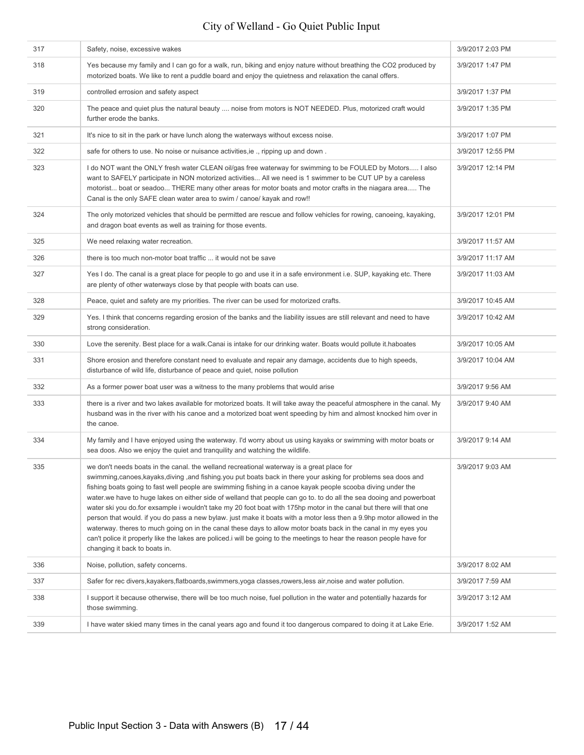| 317 | Safety, noise, excessive wakes                                                                                                                                                                                                                                                                                                                                                                                                                                                                                                                                                                                                                                                                                                                                                                                                                                                                                                                                                      | 3/9/2017 2:03 PM  |
|-----|-------------------------------------------------------------------------------------------------------------------------------------------------------------------------------------------------------------------------------------------------------------------------------------------------------------------------------------------------------------------------------------------------------------------------------------------------------------------------------------------------------------------------------------------------------------------------------------------------------------------------------------------------------------------------------------------------------------------------------------------------------------------------------------------------------------------------------------------------------------------------------------------------------------------------------------------------------------------------------------|-------------------|
| 318 | Yes because my family and I can go for a walk, run, biking and enjoy nature without breathing the CO2 produced by<br>motorized boats. We like to rent a puddle board and enjoy the quietness and relaxation the canal offers.                                                                                                                                                                                                                                                                                                                                                                                                                                                                                                                                                                                                                                                                                                                                                       | 3/9/2017 1:47 PM  |
| 319 | controlled errosion and safety aspect                                                                                                                                                                                                                                                                                                                                                                                                                                                                                                                                                                                                                                                                                                                                                                                                                                                                                                                                               | 3/9/2017 1:37 PM  |
| 320 | The peace and quiet plus the natural beauty  noise from motors is NOT NEEDED. Plus, motorized craft would<br>further erode the banks.                                                                                                                                                                                                                                                                                                                                                                                                                                                                                                                                                                                                                                                                                                                                                                                                                                               | 3/9/2017 1:35 PM  |
| 321 | It's nice to sit in the park or have lunch along the waterways without excess noise.                                                                                                                                                                                                                                                                                                                                                                                                                                                                                                                                                                                                                                                                                                                                                                                                                                                                                                | 3/9/2017 1:07 PM  |
| 322 | safe for others to use. No noise or nuisance activities, ie., ripping up and down.                                                                                                                                                                                                                                                                                                                                                                                                                                                                                                                                                                                                                                                                                                                                                                                                                                                                                                  | 3/9/2017 12:55 PM |
| 323 | I do NOT want the ONLY fresh water CLEAN oil/gas free waterway for swimming to be FOULED by Motors I also<br>want to SAFELY participate in NON motorized activities All we need is 1 swimmer to be CUT UP by a careless<br>motorist boat or seadoo THERE many other areas for motor boats and motor crafts in the niagara area The<br>Canal is the only SAFE clean water area to swim / canoe/ kayak and row!!                                                                                                                                                                                                                                                                                                                                                                                                                                                                                                                                                                      | 3/9/2017 12:14 PM |
| 324 | The only motorized vehicles that should be permitted are rescue and follow vehicles for rowing, canoeing, kayaking,<br>and dragon boat events as well as training for those events.                                                                                                                                                                                                                                                                                                                                                                                                                                                                                                                                                                                                                                                                                                                                                                                                 | 3/9/2017 12:01 PM |
| 325 | We need relaxing water recreation.                                                                                                                                                                                                                                                                                                                                                                                                                                                                                                                                                                                                                                                                                                                                                                                                                                                                                                                                                  | 3/9/2017 11:57 AM |
| 326 | there is too much non-motor boat traffic  it would not be save                                                                                                                                                                                                                                                                                                                                                                                                                                                                                                                                                                                                                                                                                                                                                                                                                                                                                                                      | 3/9/2017 11:17 AM |
| 327 | Yes I do. The canal is a great place for people to go and use it in a safe environment i.e. SUP, kayaking etc. There<br>are plenty of other waterways close by that people with boats can use.                                                                                                                                                                                                                                                                                                                                                                                                                                                                                                                                                                                                                                                                                                                                                                                      | 3/9/2017 11:03 AM |
| 328 | Peace, quiet and safety are my priorities. The river can be used for motorized crafts.                                                                                                                                                                                                                                                                                                                                                                                                                                                                                                                                                                                                                                                                                                                                                                                                                                                                                              | 3/9/2017 10:45 AM |
| 329 | Yes. I think that concerns regarding erosion of the banks and the liability issues are still relevant and need to have<br>strong consideration.                                                                                                                                                                                                                                                                                                                                                                                                                                                                                                                                                                                                                                                                                                                                                                                                                                     | 3/9/2017 10:42 AM |
| 330 | Love the serenity. Best place for a walk.Canai is intake for our drinking water. Boats would pollute it haboates                                                                                                                                                                                                                                                                                                                                                                                                                                                                                                                                                                                                                                                                                                                                                                                                                                                                    | 3/9/2017 10:05 AM |
| 331 | Shore erosion and therefore constant need to evaluate and repair any damage, accidents due to high speeds,<br>disturbance of wild life, disturbance of peace and quiet, noise pollution                                                                                                                                                                                                                                                                                                                                                                                                                                                                                                                                                                                                                                                                                                                                                                                             | 3/9/2017 10:04 AM |
| 332 | As a former power boat user was a witness to the many problems that would arise                                                                                                                                                                                                                                                                                                                                                                                                                                                                                                                                                                                                                                                                                                                                                                                                                                                                                                     | 3/9/2017 9:56 AM  |
| 333 | there is a river and two lakes available for motorized boats. It will take away the peaceful atmosphere in the canal. My<br>husband was in the river with his canoe and a motorized boat went speeding by him and almost knocked him over in<br>the canoe.                                                                                                                                                                                                                                                                                                                                                                                                                                                                                                                                                                                                                                                                                                                          | 3/9/2017 9:40 AM  |
| 334 | My family and I have enjoyed using the waterway. I'd worry about us using kayaks or swimming with motor boats or<br>sea doos. Also we enjoy the quiet and tranquility and watching the wildlife.                                                                                                                                                                                                                                                                                                                                                                                                                                                                                                                                                                                                                                                                                                                                                                                    | 3/9/2017 9:14 AM  |
| 335 | we don't needs boats in the canal. the welland recreational waterway is a great place for<br>swimming, canoes, kayaks, diving, and fishing. you put boats back in there your asking for problems sea doos and<br>fishing boats going to fast well people are swimming fishing in a canoe kayak people scooba diving under the<br>water we have to huge lakes on either side of welland that people can go to. to do all the sea dooing and powerboat<br>water ski you do for exsample i wouldn't take my 20 foot boat with 175hp motor in the canal but there will that one<br>person that would. If you do pass a new bylaw, just make it boats with a motor less then a 9.9hp motor allowed in the<br>waterway. theres to much going on in the canal these days to allow motor boats back in the canal in my eyes you<br>can't police it properly like the lakes are policed. i will be going to the meetings to hear the reason people have for<br>changing it back to boats in. | 3/9/2017 9:03 AM  |
| 336 | Noise, pollution, safety concerns.                                                                                                                                                                                                                                                                                                                                                                                                                                                                                                                                                                                                                                                                                                                                                                                                                                                                                                                                                  | 3/9/2017 8:02 AM  |
| 337 | Safer for rec divers, kayakers, flatboards, swimmers, yoga classes, rowers, less air, noise and water pollution.                                                                                                                                                                                                                                                                                                                                                                                                                                                                                                                                                                                                                                                                                                                                                                                                                                                                    | 3/9/2017 7:59 AM  |
| 338 | I support it because otherwise, there will be too much noise, fuel pollution in the water and potentially hazards for<br>those swimming.                                                                                                                                                                                                                                                                                                                                                                                                                                                                                                                                                                                                                                                                                                                                                                                                                                            | 3/9/2017 3:12 AM  |
| 339 | I have water skied many times in the canal years ago and found it too dangerous compared to doing it at Lake Erie.                                                                                                                                                                                                                                                                                                                                                                                                                                                                                                                                                                                                                                                                                                                                                                                                                                                                  | 3/9/2017 1:52 AM  |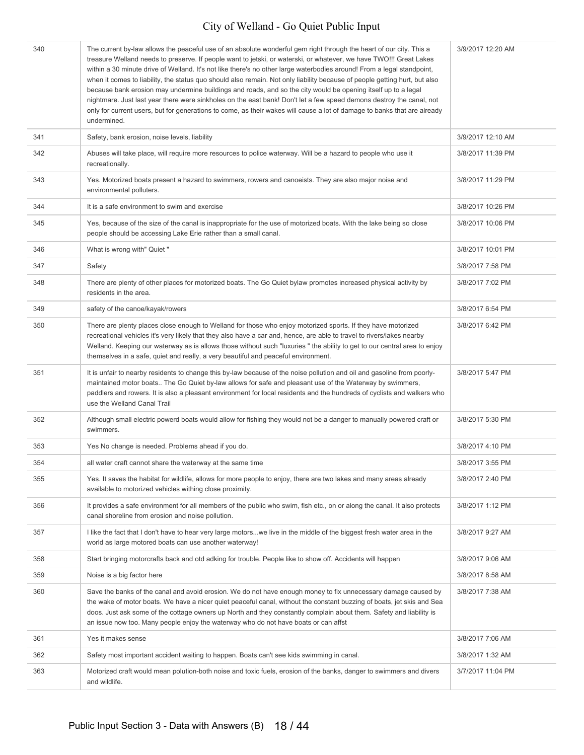| 340 | The current by-law allows the peaceful use of an absolute wonderful gem right through the heart of our city. This a<br>treasure Welland needs to preserve. If people want to jetski, or waterski, or whatever, we have TWO!!! Great Lakes<br>within a 30 minute drive of Welland. It's not like there's no other large waterbodies around! From a legal standpoint,<br>when it comes to liability, the status quo should also remain. Not only liability because of people getting hurt, but also<br>because bank erosion may undermine buildings and roads, and so the city would be opening itself up to a legal<br>nightmare. Just last year there were sinkholes on the east bank! Don't let a few speed demons destroy the canal, not<br>only for current users, but for generations to come, as their wakes will cause a lot of damage to banks that are already<br>undermined. | 3/9/2017 12:20 AM |
|-----|---------------------------------------------------------------------------------------------------------------------------------------------------------------------------------------------------------------------------------------------------------------------------------------------------------------------------------------------------------------------------------------------------------------------------------------------------------------------------------------------------------------------------------------------------------------------------------------------------------------------------------------------------------------------------------------------------------------------------------------------------------------------------------------------------------------------------------------------------------------------------------------|-------------------|
| 341 | Safety, bank erosion, noise levels, liability                                                                                                                                                                                                                                                                                                                                                                                                                                                                                                                                                                                                                                                                                                                                                                                                                                         | 3/9/2017 12:10 AM |
| 342 | Abuses will take place, will require more resources to police waterway. Will be a hazard to people who use it<br>recreationally.                                                                                                                                                                                                                                                                                                                                                                                                                                                                                                                                                                                                                                                                                                                                                      | 3/8/2017 11:39 PM |
| 343 | Yes. Motorized boats present a hazard to swimmers, rowers and canoeists. They are also major noise and<br>environmental polluters.                                                                                                                                                                                                                                                                                                                                                                                                                                                                                                                                                                                                                                                                                                                                                    | 3/8/2017 11:29 PM |
| 344 | It is a safe environment to swim and exercise                                                                                                                                                                                                                                                                                                                                                                                                                                                                                                                                                                                                                                                                                                                                                                                                                                         | 3/8/2017 10:26 PM |
| 345 | Yes, because of the size of the canal is inappropriate for the use of motorized boats. With the lake being so close<br>people should be accessing Lake Erie rather than a small canal.                                                                                                                                                                                                                                                                                                                                                                                                                                                                                                                                                                                                                                                                                                | 3/8/2017 10:06 PM |
| 346 | What is wrong with" Quiet "                                                                                                                                                                                                                                                                                                                                                                                                                                                                                                                                                                                                                                                                                                                                                                                                                                                           | 3/8/2017 10:01 PM |
| 347 | Safety                                                                                                                                                                                                                                                                                                                                                                                                                                                                                                                                                                                                                                                                                                                                                                                                                                                                                | 3/8/2017 7:58 PM  |
| 348 | There are plenty of other places for motorized boats. The Go Quiet bylaw promotes increased physical activity by<br>residents in the area.                                                                                                                                                                                                                                                                                                                                                                                                                                                                                                                                                                                                                                                                                                                                            | 3/8/2017 7:02 PM  |
| 349 | safety of the canoe/kayak/rowers                                                                                                                                                                                                                                                                                                                                                                                                                                                                                                                                                                                                                                                                                                                                                                                                                                                      | 3/8/2017 6:54 PM  |
| 350 | There are plenty places close enough to Welland for those who enjoy motorized sports. If they have motorized<br>recreational vehicles it's very likely that they also have a car and, hence, are able to travel to rivers/lakes nearby<br>Welland. Keeping our waterway as is allows those without such "luxuries" the ability to get to our central area to enjoy<br>themselves in a safe, quiet and really, a very beautiful and peaceful environment.                                                                                                                                                                                                                                                                                                                                                                                                                              | 3/8/2017 6:42 PM  |
| 351 | It is unfair to nearby residents to change this by-law because of the noise pollution and oil and gasoline from poorly-<br>maintained motor boats The Go Quiet by-law allows for safe and pleasant use of the Waterway by swimmers,<br>paddlers and rowers. It is also a pleasant environment for local residents and the hundreds of cyclists and walkers who<br>use the Welland Canal Trail                                                                                                                                                                                                                                                                                                                                                                                                                                                                                         | 3/8/2017 5:47 PM  |
| 352 | Although small electric powerd boats would allow for fishing they would not be a danger to manually powered craft or<br>swimmers.                                                                                                                                                                                                                                                                                                                                                                                                                                                                                                                                                                                                                                                                                                                                                     | 3/8/2017 5:30 PM  |
| 353 | Yes No change is needed. Problems ahead if you do.                                                                                                                                                                                                                                                                                                                                                                                                                                                                                                                                                                                                                                                                                                                                                                                                                                    | 3/8/2017 4:10 PM  |
| 354 | all water craft cannot share the waterway at the same time                                                                                                                                                                                                                                                                                                                                                                                                                                                                                                                                                                                                                                                                                                                                                                                                                            | 3/8/2017 3:55 PM  |
| 355 | Yes. It saves the habitat for wildlife, allows for more people to enjoy, there are two lakes and many areas already<br>available to motorized vehicles withing close proximity.                                                                                                                                                                                                                                                                                                                                                                                                                                                                                                                                                                                                                                                                                                       | 3/8/2017 2:40 PM  |
| 356 | It provides a safe environment for all members of the public who swim, fish etc., on or along the canal. It also protects<br>canal shoreline from erosion and noise pollution.                                                                                                                                                                                                                                                                                                                                                                                                                                                                                                                                                                                                                                                                                                        | 3/8/2017 1:12 PM  |
| 357 | I like the fact that I don't have to hear very large motorswe live in the middle of the biggest fresh water area in the<br>world as large motored boats can use another waterway!                                                                                                                                                                                                                                                                                                                                                                                                                                                                                                                                                                                                                                                                                                     | 3/8/2017 9:27 AM  |
| 358 | Start bringing motorcrafts back and otd adking for trouble. People like to show off. Accidents will happen                                                                                                                                                                                                                                                                                                                                                                                                                                                                                                                                                                                                                                                                                                                                                                            | 3/8/2017 9:06 AM  |
| 359 | Noise is a big factor here                                                                                                                                                                                                                                                                                                                                                                                                                                                                                                                                                                                                                                                                                                                                                                                                                                                            | 3/8/2017 8:58 AM  |
| 360 | Save the banks of the canal and avoid erosion. We do not have enough money to fix unnecessary damage caused by<br>the wake of motor boats. We have a nicer quiet peaceful canal, without the constant buzzing of boats, jet skis and Sea<br>doos. Just ask some of the cottage owners up North and they constantly complain about them. Safety and liability is<br>an issue now too. Many people enjoy the waterway who do not have boats or can affst                                                                                                                                                                                                                                                                                                                                                                                                                                | 3/8/2017 7:38 AM  |
| 361 | Yes it makes sense                                                                                                                                                                                                                                                                                                                                                                                                                                                                                                                                                                                                                                                                                                                                                                                                                                                                    | 3/8/2017 7:06 AM  |
| 362 | Safety most important accident waiting to happen. Boats can't see kids swimming in canal.                                                                                                                                                                                                                                                                                                                                                                                                                                                                                                                                                                                                                                                                                                                                                                                             | 3/8/2017 1:32 AM  |
| 363 | Motorized craft would mean polution-both noise and toxic fuels, erosion of the banks, danger to swimmers and divers<br>and wildlife.                                                                                                                                                                                                                                                                                                                                                                                                                                                                                                                                                                                                                                                                                                                                                  | 3/7/2017 11:04 PM |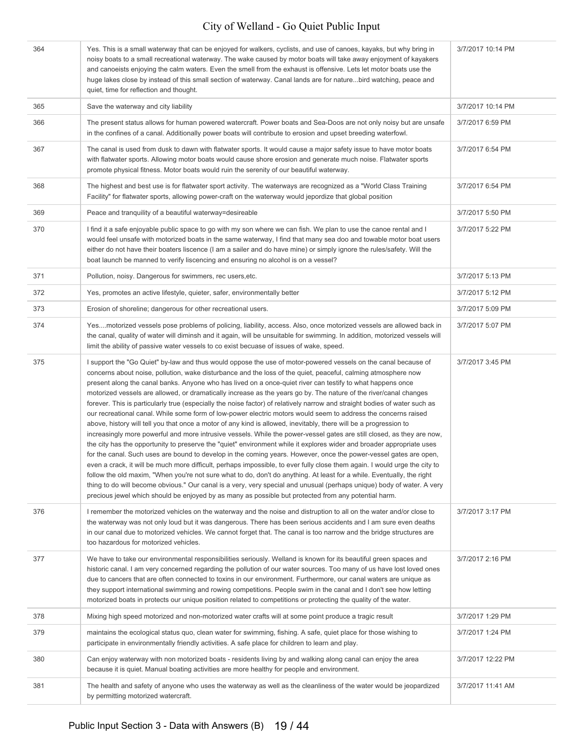| 364 | Yes. This is a small waterway that can be enjoyed for walkers, cyclists, and use of canoes, kayaks, but why bring in<br>noisy boats to a small recreational waterway. The wake caused by motor boats will take away enjoyment of kayakers<br>and canoeists enjoying the calm waters. Even the smell from the exhaust is offensive. Lets let motor boats use the<br>huge lakes close by instead of this small section of waterway. Canal lands are for naturebird watching, peace and<br>quiet, time for reflection and thought.                                                                                                                                                                                                                                                                                                                                                                                                                                                                                                                                                                                                                                                                                                                                                                                                                                                                                                                                                                                                                                                                                                                                                                           | 3/7/2017 10:14 PM |
|-----|-----------------------------------------------------------------------------------------------------------------------------------------------------------------------------------------------------------------------------------------------------------------------------------------------------------------------------------------------------------------------------------------------------------------------------------------------------------------------------------------------------------------------------------------------------------------------------------------------------------------------------------------------------------------------------------------------------------------------------------------------------------------------------------------------------------------------------------------------------------------------------------------------------------------------------------------------------------------------------------------------------------------------------------------------------------------------------------------------------------------------------------------------------------------------------------------------------------------------------------------------------------------------------------------------------------------------------------------------------------------------------------------------------------------------------------------------------------------------------------------------------------------------------------------------------------------------------------------------------------------------------------------------------------------------------------------------------------|-------------------|
| 365 | Save the waterway and city liability                                                                                                                                                                                                                                                                                                                                                                                                                                                                                                                                                                                                                                                                                                                                                                                                                                                                                                                                                                                                                                                                                                                                                                                                                                                                                                                                                                                                                                                                                                                                                                                                                                                                      | 3/7/2017 10:14 PM |
| 366 | The present status allows for human powered watercraft. Power boats and Sea-Doos are not only noisy but are unsafe<br>in the confines of a canal. Additionally power boats will contribute to erosion and upset breeding waterfowl.                                                                                                                                                                                                                                                                                                                                                                                                                                                                                                                                                                                                                                                                                                                                                                                                                                                                                                                                                                                                                                                                                                                                                                                                                                                                                                                                                                                                                                                                       | 3/7/2017 6:59 PM  |
| 367 | The canal is used from dusk to dawn with flatwater sports. It would cause a major safety issue to have motor boats<br>with flatwater sports. Allowing motor boats would cause shore erosion and generate much noise. Flatwater sports<br>promote physical fitness. Motor boats would ruin the serenity of our beautiful waterway.                                                                                                                                                                                                                                                                                                                                                                                                                                                                                                                                                                                                                                                                                                                                                                                                                                                                                                                                                                                                                                                                                                                                                                                                                                                                                                                                                                         | 3/7/2017 6:54 PM  |
| 368 | The highest and best use is for flatwater sport activity. The waterways are recognized as a "World Class Training<br>Facility" for flatwater sports, allowing power-craft on the waterway would jepordize that global position                                                                                                                                                                                                                                                                                                                                                                                                                                                                                                                                                                                                                                                                                                                                                                                                                                                                                                                                                                                                                                                                                                                                                                                                                                                                                                                                                                                                                                                                            | 3/7/2017 6:54 PM  |
| 369 | Peace and tranquility of a beautiful waterway=desireable                                                                                                                                                                                                                                                                                                                                                                                                                                                                                                                                                                                                                                                                                                                                                                                                                                                                                                                                                                                                                                                                                                                                                                                                                                                                                                                                                                                                                                                                                                                                                                                                                                                  | 3/7/2017 5:50 PM  |
| 370 | I find it a safe enjoyable public space to go with my son where we can fish. We plan to use the canoe rental and I<br>would feel unsafe with motorized boats in the same waterway, I find that many sea doo and towable motor boat users<br>either do not have their boaters liscence (I am a sailer and do have mine) or simply ignore the rules/safety. Will the<br>boat launch be manned to verify liscencing and ensuring no alcohol is on a vessel?                                                                                                                                                                                                                                                                                                                                                                                                                                                                                                                                                                                                                                                                                                                                                                                                                                                                                                                                                                                                                                                                                                                                                                                                                                                  | 3/7/2017 5:22 PM  |
| 371 | Pollution, noisy. Dangerous for swimmers, rec users, etc.                                                                                                                                                                                                                                                                                                                                                                                                                                                                                                                                                                                                                                                                                                                                                                                                                                                                                                                                                                                                                                                                                                                                                                                                                                                                                                                                                                                                                                                                                                                                                                                                                                                 | 3/7/2017 5:13 PM  |
| 372 | Yes, promotes an active lifestyle, quieter, safer, environmentally better                                                                                                                                                                                                                                                                                                                                                                                                                                                                                                                                                                                                                                                                                                                                                                                                                                                                                                                                                                                                                                                                                                                                                                                                                                                                                                                                                                                                                                                                                                                                                                                                                                 | 3/7/2017 5:12 PM  |
| 373 | Erosion of shoreline; dangerous for other recreational users.                                                                                                                                                                                                                                                                                                                                                                                                                                                                                                                                                                                                                                                                                                                                                                                                                                                                                                                                                                                                                                                                                                                                                                                                                                                                                                                                                                                                                                                                                                                                                                                                                                             | 3/7/2017 5:09 PM  |
| 374 | Yesmotorized vessels pose problems of policing, liability, access. Also, once motorized vessels are allowed back in<br>the canal, quality of water will diminsh and it again, will be unsuitable for swimming. In addition, motorized vessels will<br>limit the ability of passive water vessels to co exist becuase of issues of wake, speed.                                                                                                                                                                                                                                                                                                                                                                                                                                                                                                                                                                                                                                                                                                                                                                                                                                                                                                                                                                                                                                                                                                                                                                                                                                                                                                                                                            | 3/7/2017 5:07 PM  |
| 375 | I support the "Go Quiet" by-law and thus would oppose the use of motor-powered vessels on the canal because of<br>concerns about noise, pollution, wake disturbance and the loss of the quiet, peaceful, calming atmosphere now<br>present along the canal banks. Anyone who has lived on a once-quiet river can testify to what happens once<br>motorized vessels are allowed, or dramatically increase as the years go by. The nature of the river/canal changes<br>forever. This is particularly true (especially the noise factor) of relatively narrow and straight bodies of water such as<br>our recreational canal. While some form of low-power electric motors would seem to address the concerns raised<br>above, history will tell you that once a motor of any kind is allowed, inevitably, there will be a progression to<br>increasingly more powerful and more intrusive vessels. While the power-vessel gates are still closed, as they are now,<br>the city has the opportunity to preserve the "quiet" environment while it explores wider and broader appropriate uses<br>for the canal. Such uses are bound to develop in the coming years. However, once the power-vessel gates are open,<br>even a crack, it will be much more difficult, perhaps impossible, to ever fully close them again. I would urge the city to<br>follow the old maxim, "When you're not sure what to do, don't do anything. At least for a while. Eventually, the right<br>thing to do will become obvious." Our canal is a very, very special and unusual (perhaps unique) body of water. A very<br>precious jewel which should be enjoyed by as many as possible but protected from any potential harm. | 3/7/2017 3:45 PM  |
| 376 | I remember the motorized vehicles on the waterway and the noise and distruption to all on the water and/or close to<br>the waterway was not only loud but it was dangerous. There has been serious accidents and I am sure even deaths<br>in our canal due to motorized vehicles. We cannot forget that. The canal is too narrow and the bridge structures are<br>too hazardous for motorized vehicles.                                                                                                                                                                                                                                                                                                                                                                                                                                                                                                                                                                                                                                                                                                                                                                                                                                                                                                                                                                                                                                                                                                                                                                                                                                                                                                   | 3/7/2017 3:17 PM  |
| 377 | We have to take our environmental responsibilities seriously. Welland is known for its beautiful green spaces and<br>historic canal. I am very concerned regarding the pollution of our water sources. Too many of us have lost loved ones<br>due to cancers that are often connected to toxins in our environment. Furthermore, our canal waters are unique as<br>they support international swimming and rowing competitions. People swim in the canal and I don't see how letting<br>motorized boats in protects our unique position related to competitions or protecting the quality of the water.                                                                                                                                                                                                                                                                                                                                                                                                                                                                                                                                                                                                                                                                                                                                                                                                                                                                                                                                                                                                                                                                                                   | 3/7/2017 2:16 PM  |
| 378 | Mixing high speed motorized and non-motorized water crafts will at some point produce a tragic result                                                                                                                                                                                                                                                                                                                                                                                                                                                                                                                                                                                                                                                                                                                                                                                                                                                                                                                                                                                                                                                                                                                                                                                                                                                                                                                                                                                                                                                                                                                                                                                                     | 3/7/2017 1:29 PM  |
| 379 | maintains the ecological status quo, clean water for swimming, fishing. A safe, quiet place for those wishing to<br>participate in environmentally friendly activities. A safe place for children to learn and play.                                                                                                                                                                                                                                                                                                                                                                                                                                                                                                                                                                                                                                                                                                                                                                                                                                                                                                                                                                                                                                                                                                                                                                                                                                                                                                                                                                                                                                                                                      | 3/7/2017 1:24 PM  |
| 380 | Can enjoy waterway with non motorized boats - residents living by and walking along canal can enjoy the area<br>because it is quiet. Manual boating activities are more healthy for people and environment.                                                                                                                                                                                                                                                                                                                                                                                                                                                                                                                                                                                                                                                                                                                                                                                                                                                                                                                                                                                                                                                                                                                                                                                                                                                                                                                                                                                                                                                                                               | 3/7/2017 12:22 PM |
| 381 | The health and safety of anyone who uses the waterway as well as the cleanliness of the water would be jeopardized<br>by permitting motorized watercraft.                                                                                                                                                                                                                                                                                                                                                                                                                                                                                                                                                                                                                                                                                                                                                                                                                                                                                                                                                                                                                                                                                                                                                                                                                                                                                                                                                                                                                                                                                                                                                 | 3/7/2017 11:41 AM |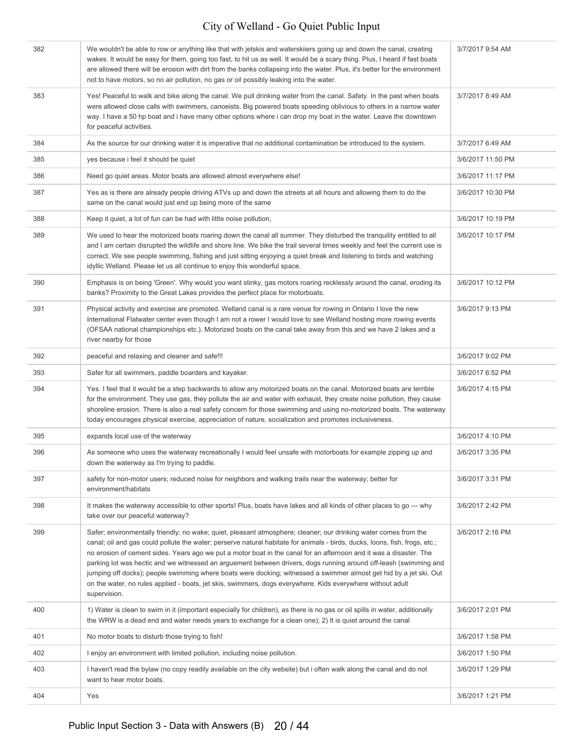| 382 | We wouldn't be able to row or anything like that with jetskis and waterskiiers going up and down the canal, creating<br>wakes. It would be easy for them, going too fast, to hit us as well. It would be a scary thing. Plus, I heard if fast boats<br>are allowed there will be erosion with dirt from the banks collapsing into the water. Plus, it's better for the environment<br>not to have motors, so no air pollution, no gas or oil possibly leaking into the water.                                                                                                                                                                                                                                                                  | 3/7/2017 9:54 AM  |
|-----|------------------------------------------------------------------------------------------------------------------------------------------------------------------------------------------------------------------------------------------------------------------------------------------------------------------------------------------------------------------------------------------------------------------------------------------------------------------------------------------------------------------------------------------------------------------------------------------------------------------------------------------------------------------------------------------------------------------------------------------------|-------------------|
| 383 | Yes! Peaceful to walk and bike along the canal. We pull drinking water from the canal. Safety. In the past when boats<br>were allowed close calls with swimmers, canoeists. Big powered boats speeding oblivious to others in a narrow water<br>way. I have a 50 hp boat and i have many other options where i can drop my boat in the water. Leave the downtown<br>for peaceful activities.                                                                                                                                                                                                                                                                                                                                                   | 3/7/2017 8:49 AM  |
| 384 | As the source for our drinking water it is imperative that no additional contamination be introduced to the system.                                                                                                                                                                                                                                                                                                                                                                                                                                                                                                                                                                                                                            | 3/7/2017 6:49 AM  |
| 385 | yes because i feel it should be quiet                                                                                                                                                                                                                                                                                                                                                                                                                                                                                                                                                                                                                                                                                                          | 3/6/2017 11:50 PM |
| 386 | Need go quiet areas. Motor boats are allowed almost everywhere else!                                                                                                                                                                                                                                                                                                                                                                                                                                                                                                                                                                                                                                                                           | 3/6/2017 11:17 PM |
| 387 | Yes as is there are already people driving ATVs up and down the streets at all hours and allowing them to do the<br>same on the canal would just end up being more of the same                                                                                                                                                                                                                                                                                                                                                                                                                                                                                                                                                                 | 3/6/2017 10:30 PM |
| 388 | Keep it quiet, a lot of fun can be had with little noise pollution,                                                                                                                                                                                                                                                                                                                                                                                                                                                                                                                                                                                                                                                                            | 3/6/2017 10:19 PM |
| 389 | We used to hear the motorized boats roaring down the canal all summer. They disturbed the tranquility entitled to all<br>and I am certain disrupted the wildlife and shore line. We bike the trail several times weekly and feel the current use is<br>correct. We see people swimming, fishing and just sitting enjoying a quiet break and listening to birds and watching<br>idyllic Welland. Please let us all continue to enjoy this wonderful space.                                                                                                                                                                                                                                                                                      | 3/6/2017 10:17 PM |
| 390 | Emphasis is on being 'Green'. Why would you want stinky, gas motors roaring recklessly around the canal, eroding its<br>banks? Proximity to the Great Lakes provides the perfect place for motorboats.                                                                                                                                                                                                                                                                                                                                                                                                                                                                                                                                         | 3/6/2017 10:12 PM |
| 391 | Physical activity and exercise are promoted. Welland canal is a rare venue for rowing in Ontario I love the new<br>International Flatwater center even though I am not a rower I would love to see Welland hosting more rowing events<br>(OFSAA national championships etc.). Motorized boats on the canal take away from this and we have 2 lakes and a<br>river nearby for those                                                                                                                                                                                                                                                                                                                                                             | 3/6/2017 9:13 PM  |
| 392 | peaceful and relaxing and cleaner and safe!!!                                                                                                                                                                                                                                                                                                                                                                                                                                                                                                                                                                                                                                                                                                  | 3/6/2017 9:02 PM  |
| 393 | Safer for all swimmers, paddle boarders and kayaker.                                                                                                                                                                                                                                                                                                                                                                                                                                                                                                                                                                                                                                                                                           | 3/6/2017 6:52 PM  |
| 394 | Yes. I feel that it would be a step backwards to allow any motorized boats on the canal. Motorized boats are terrible<br>for the environment. They use gas, they pollute the air and water with exhaust, they create noise pollution, they cause<br>shoreline erosion. There is also a real safety concern for those swimming and using no-motorized boats. The waterway<br>today encourages physical exercise, appreciation of nature, socialization and promotes inclusiveness.                                                                                                                                                                                                                                                              | 3/6/2017 4:15 PM  |
| 395 | expands local use of the waterway                                                                                                                                                                                                                                                                                                                                                                                                                                                                                                                                                                                                                                                                                                              | 3/6/2017 4:10 PM  |
| 396 | As someone who uses the waterway recreationally I would feel unsafe with motorboats for example zipping up and<br>down the waterway as I'm trying to paddle.                                                                                                                                                                                                                                                                                                                                                                                                                                                                                                                                                                                   | 3/6/2017 3:35 PM  |
| 397 | safety for non-motor users; reduced noise for neighbors and walking trails near the waterway; better for<br>environment/habitats                                                                                                                                                                                                                                                                                                                                                                                                                                                                                                                                                                                                               | 3/6/2017 3:31 PM  |
| 398 | It makes the waterway accessible to other sports! Plus, boats have lakes and all kinds of other places to go --- why<br>take over our peaceful waterway?                                                                                                                                                                                                                                                                                                                                                                                                                                                                                                                                                                                       | 3/6/2017 2:42 PM  |
| 399 | Safer; environmentally friendly; no wake; quiet, pleasant atmosphere; cleaner; our drinking water comes from the<br>canal; oil and gas could pollute the water; perserve natural habitate for animals - birds, ducks, loons, fish, frogs, etc.;<br>no erosion of cement sides. Years ago we put a motor boat in the canal for an afternoon and it was a disaster. The<br>parking lot was hectic and we witnessed an arguement between drivers, dogs running around off-leash (swimming and<br>jumping off docks); people swimming where boats were docking; witnessed a swimmer almost get hid by a jet ski. Out<br>on the water, no rules applied - boats, jet skis, swimmers, dogs everywhere. Kids everywhere without adult<br>supervision. | 3/6/2017 2:16 PM  |
| 400 | 1) Water is clean to swim in it (important especially for children), as there is no gas or oil spills in water, additionally<br>the WRW is a dead end and water needs years to exchange for a clean one); 2) It is quiet around the canal                                                                                                                                                                                                                                                                                                                                                                                                                                                                                                      | 3/6/2017 2:01 PM  |
| 401 | No motor boats to disturb those trying to fish!                                                                                                                                                                                                                                                                                                                                                                                                                                                                                                                                                                                                                                                                                                | 3/6/2017 1:58 PM  |
| 402 | I enjoy an environment with limited pollution, including noise pollution.                                                                                                                                                                                                                                                                                                                                                                                                                                                                                                                                                                                                                                                                      | 3/6/2017 1:50 PM  |
| 403 | I haven't read the bylaw (no copy readily available on the city website) but i often walk along the canal and do not<br>want to hear motor boats.                                                                                                                                                                                                                                                                                                                                                                                                                                                                                                                                                                                              | 3/6/2017 1:29 PM  |
| 404 | Yes                                                                                                                                                                                                                                                                                                                                                                                                                                                                                                                                                                                                                                                                                                                                            | 3/6/2017 1:21 PM  |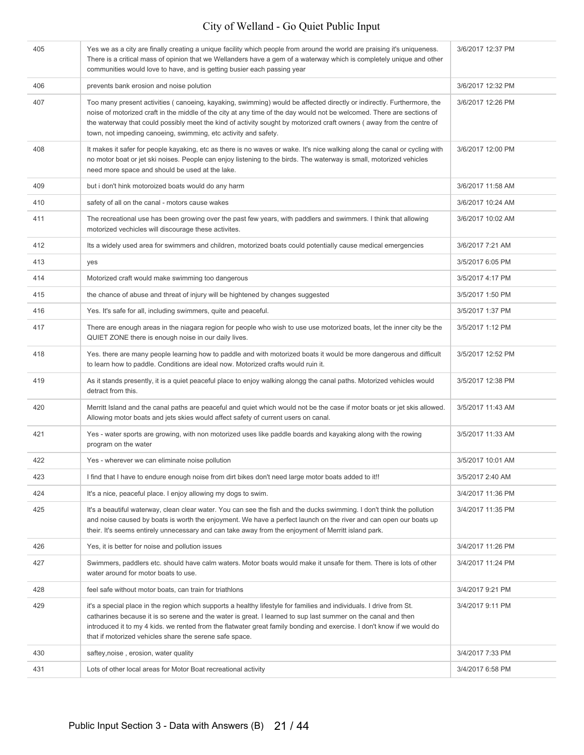| 405 | Yes we as a city are finally creating a unique facility which people from around the world are praising it's uniqueness.<br>There is a critical mass of opinion that we Wellanders have a gem of a waterway which is completely unique and other<br>communities would love to have, and is getting busier each passing year                                                                                                                | 3/6/2017 12:37 PM |
|-----|--------------------------------------------------------------------------------------------------------------------------------------------------------------------------------------------------------------------------------------------------------------------------------------------------------------------------------------------------------------------------------------------------------------------------------------------|-------------------|
| 406 | prevents bank erosion and noise polution                                                                                                                                                                                                                                                                                                                                                                                                   | 3/6/2017 12:32 PM |
| 407 | Too many present activities (canoeing, kayaking, swimming) would be affected directly or indirectly. Furthermore, the<br>noise of motorized craft in the middle of the city at any time of the day would not be welcomed. There are sections of<br>the waterway that could possibly meet the kind of activity sought by motorized craft owners (away from the centre of<br>town, not impeding canoeing, swimming, etc activity and safety. | 3/6/2017 12:26 PM |
| 408 | It makes it safer for people kayaking, etc as there is no waves or wake. It's nice walking along the canal or cycling with<br>no motor boat or jet ski noises. People can enjoy listening to the birds. The waterway is small, motorized vehicles<br>need more space and should be used at the lake.                                                                                                                                       | 3/6/2017 12:00 PM |
| 409 | but i don't hink motoroized boats would do any harm                                                                                                                                                                                                                                                                                                                                                                                        | 3/6/2017 11:58 AM |
| 410 | safety of all on the canal - motors cause wakes                                                                                                                                                                                                                                                                                                                                                                                            | 3/6/2017 10:24 AM |
| 411 | The recreational use has been growing over the past few years, with paddlers and swimmers. I think that allowing<br>motorized vechicles will discourage these activites.                                                                                                                                                                                                                                                                   | 3/6/2017 10:02 AM |
| 412 | Its a widely used area for swimmers and children, motorized boats could potentially cause medical emergencies                                                                                                                                                                                                                                                                                                                              | 3/6/2017 7:21 AM  |
| 413 | yes                                                                                                                                                                                                                                                                                                                                                                                                                                        | 3/5/2017 6:05 PM  |
| 414 | Motorized craft would make swimming too dangerous                                                                                                                                                                                                                                                                                                                                                                                          | 3/5/2017 4:17 PM  |
| 415 | the chance of abuse and threat of injury will be hightened by changes suggested                                                                                                                                                                                                                                                                                                                                                            | 3/5/2017 1:50 PM  |
| 416 | Yes. It's safe for all, including swimmers, quite and peaceful.                                                                                                                                                                                                                                                                                                                                                                            | 3/5/2017 1:37 PM  |
| 417 | There are enough areas in the niagara region for people who wish to use use motorized boats, let the inner city be the<br>QUIET ZONE there is enough noise in our daily lives.                                                                                                                                                                                                                                                             | 3/5/2017 1:12 PM  |
| 418 | Yes. there are many people learning how to paddle and with motorized boats it would be more dangerous and difficult<br>to learn how to paddle. Conditions are ideal now. Motorized crafts would ruin it.                                                                                                                                                                                                                                   | 3/5/2017 12:52 PM |
| 419 | As it stands presently, it is a quiet peaceful place to enjoy walking alongg the canal paths. Motorized vehicles would<br>detract from this.                                                                                                                                                                                                                                                                                               | 3/5/2017 12:38 PM |
| 420 | Merritt Island and the canal paths are peaceful and quiet which would not be the case if motor boats or jet skis allowed.<br>Allowing motor boats and jets skies would affect safety of current users on canal.                                                                                                                                                                                                                            | 3/5/2017 11:43 AM |
| 421 | Yes - water sports are growing, with non motorized uses like paddle boards and kayaking along with the rowing<br>program on the water                                                                                                                                                                                                                                                                                                      | 3/5/2017 11:33 AM |
| 422 | Yes - wherever we can eliminate noise pollution                                                                                                                                                                                                                                                                                                                                                                                            | 3/5/2017 10:01 AM |
| 423 | I find that I have to endure enough noise from dirt bikes don't need large motor boats added to it!!                                                                                                                                                                                                                                                                                                                                       | 3/5/2017 2:40 AM  |
| 424 | It's a nice, peaceful place. I enjoy allowing my dogs to swim.                                                                                                                                                                                                                                                                                                                                                                             | 3/4/2017 11:36 PM |
| 425 | It's a beautiful waterway, clean clear water. You can see the fish and the ducks swimming. I don't think the pollution<br>and noise caused by boats is worth the enjoyment. We have a perfect launch on the river and can open our boats up<br>their. It's seems entirely unnecessary and can take away from the enjoyment of Merritt island park.                                                                                         | 3/4/2017 11:35 PM |
| 426 | Yes, it is better for noise and pollution issues                                                                                                                                                                                                                                                                                                                                                                                           | 3/4/2017 11:26 PM |
| 427 | Swimmers, paddlers etc. should have calm waters. Motor boats would make it unsafe for them. There is lots of other<br>water around for motor boats to use.                                                                                                                                                                                                                                                                                 | 3/4/2017 11:24 PM |
| 428 | feel safe without motor boats, can train for triathlons                                                                                                                                                                                                                                                                                                                                                                                    | 3/4/2017 9:21 PM  |
| 429 | it's a special place in the region which supports a healthy lifestyle for families and individuals. I drive from St.<br>catharines because it is so serene and the water is great. I learned to sup last summer on the canal and then<br>introduced it to my 4 kids. we rented from the flatwater great family bonding and exercise. I don't know if we would do<br>that if motorized vehicles share the serene safe space.                | 3/4/2017 9:11 PM  |
| 430 | saftey, noise, erosion, water quality                                                                                                                                                                                                                                                                                                                                                                                                      | 3/4/2017 7:33 PM  |
| 431 | Lots of other local areas for Motor Boat recreational activity                                                                                                                                                                                                                                                                                                                                                                             | 3/4/2017 6:58 PM  |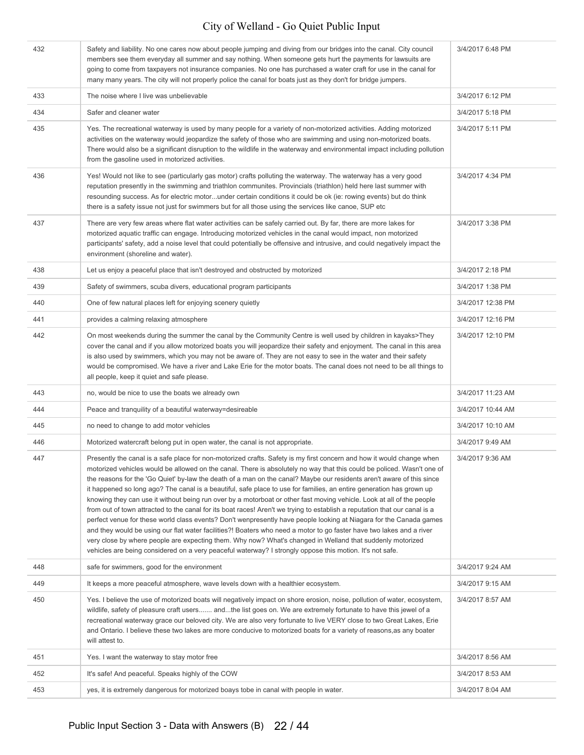| 432 | Safety and liability. No one cares now about people jumping and diving from our bridges into the canal. City council<br>members see them everyday all summer and say nothing. When someone gets hurt the payments for lawsuits are<br>going to come from taxpayers not insurance companies. No one has purchased a water craft for use in the canal for<br>many many years. The city will not properly police the canal for boats just as they don't for bridge jumpers.                                                                                                                                                                                                                                                                                                                                                                                                                                                                                                                                                                                                                                                                                                                                                       | 3/4/2017 6:48 PM  |
|-----|--------------------------------------------------------------------------------------------------------------------------------------------------------------------------------------------------------------------------------------------------------------------------------------------------------------------------------------------------------------------------------------------------------------------------------------------------------------------------------------------------------------------------------------------------------------------------------------------------------------------------------------------------------------------------------------------------------------------------------------------------------------------------------------------------------------------------------------------------------------------------------------------------------------------------------------------------------------------------------------------------------------------------------------------------------------------------------------------------------------------------------------------------------------------------------------------------------------------------------|-------------------|
| 433 | The noise where I live was unbelievable                                                                                                                                                                                                                                                                                                                                                                                                                                                                                                                                                                                                                                                                                                                                                                                                                                                                                                                                                                                                                                                                                                                                                                                        | 3/4/2017 6:12 PM  |
| 434 | Safer and cleaner water                                                                                                                                                                                                                                                                                                                                                                                                                                                                                                                                                                                                                                                                                                                                                                                                                                                                                                                                                                                                                                                                                                                                                                                                        | 3/4/2017 5:18 PM  |
| 435 | Yes. The recreational waterway is used by many people for a variety of non-motorized activities. Adding motorized<br>activities on the waterway would jeopardize the safety of those who are swimming and using non-motorized boats.<br>There would also be a significant disruption to the wildlife in the waterway and environmental impact including pollution<br>from the gasoline used in motorized activities.                                                                                                                                                                                                                                                                                                                                                                                                                                                                                                                                                                                                                                                                                                                                                                                                           | 3/4/2017 5:11 PM  |
| 436 | Yes! Would not like to see (particularly gas motor) crafts polluting the waterway. The waterway has a very good<br>reputation presently in the swimming and triathlon communites. Provincials (triathlon) held here last summer with<br>resounding success. As for electric motorunder certain conditions it could be ok (ie: rowing events) but do think<br>there is a safety issue not just for swimmers but for all those using the services like canoe, SUP etc                                                                                                                                                                                                                                                                                                                                                                                                                                                                                                                                                                                                                                                                                                                                                            | 3/4/2017 4:34 PM  |
| 437 | There are very few areas where flat water activities can be safely carried out. By far, there are more lakes for<br>motorized aquatic traffic can engage. Introducing motorized vehicles in the canal would impact, non motorized<br>participants' safety, add a noise level that could potentially be offensive and intrusive, and could negatively impact the<br>environment (shoreline and water).                                                                                                                                                                                                                                                                                                                                                                                                                                                                                                                                                                                                                                                                                                                                                                                                                          | 3/4/2017 3:38 PM  |
| 438 | Let us enjoy a peaceful place that isn't destroyed and obstructed by motorized                                                                                                                                                                                                                                                                                                                                                                                                                                                                                                                                                                                                                                                                                                                                                                                                                                                                                                                                                                                                                                                                                                                                                 | 3/4/2017 2:18 PM  |
| 439 | Safety of swimmers, scuba divers, educational program participants                                                                                                                                                                                                                                                                                                                                                                                                                                                                                                                                                                                                                                                                                                                                                                                                                                                                                                                                                                                                                                                                                                                                                             | 3/4/2017 1:38 PM  |
| 440 | One of few natural places left for enjoying scenery quietly                                                                                                                                                                                                                                                                                                                                                                                                                                                                                                                                                                                                                                                                                                                                                                                                                                                                                                                                                                                                                                                                                                                                                                    | 3/4/2017 12:38 PM |
| 441 | provides a calming relaxing atmosphere                                                                                                                                                                                                                                                                                                                                                                                                                                                                                                                                                                                                                                                                                                                                                                                                                                                                                                                                                                                                                                                                                                                                                                                         | 3/4/2017 12:16 PM |
| 442 | On most weekends during the summer the canal by the Community Centre is well used by children in kayaks>They<br>cover the canal and if you allow motorized boats you will jeopardize their safety and enjoyment. The canal in this area<br>is also used by swimmers, which you may not be aware of. They are not easy to see in the water and their safety<br>would be compromised. We have a river and Lake Erie for the motor boats. The canal does not need to be all things to<br>all people, keep it quiet and safe please.                                                                                                                                                                                                                                                                                                                                                                                                                                                                                                                                                                                                                                                                                               | 3/4/2017 12:10 PM |
| 443 | no, would be nice to use the boats we already own                                                                                                                                                                                                                                                                                                                                                                                                                                                                                                                                                                                                                                                                                                                                                                                                                                                                                                                                                                                                                                                                                                                                                                              | 3/4/2017 11:23 AM |
| 444 | Peace and tranquility of a beautiful waterway=desireable                                                                                                                                                                                                                                                                                                                                                                                                                                                                                                                                                                                                                                                                                                                                                                                                                                                                                                                                                                                                                                                                                                                                                                       | 3/4/2017 10:44 AM |
| 445 | no need to change to add motor vehicles                                                                                                                                                                                                                                                                                                                                                                                                                                                                                                                                                                                                                                                                                                                                                                                                                                                                                                                                                                                                                                                                                                                                                                                        | 3/4/2017 10:10 AM |
| 446 | Motorized watercraft belong put in open water, the canal is not appropriate.                                                                                                                                                                                                                                                                                                                                                                                                                                                                                                                                                                                                                                                                                                                                                                                                                                                                                                                                                                                                                                                                                                                                                   | 3/4/2017 9:49 AM  |
| 447 | Presently the canal is a safe place for non-motorized crafts. Safety is my first concern and how it would change when<br>motorized vehicles would be allowed on the canal. There is absolutely no way that this could be policed. Wasn't one of<br>the reasons for the 'Go Quiet' by-law the death of a man on the canal? Maybe our residents aren't aware of this since<br>it happened so long ago? The canal is a beautiful, safe place to use for families, an entire generation has grown up<br>knowing they can use it without being run over by a motorboat or other fast moving vehicle. Look at all of the people<br>from out of town attracted to the canal for its boat races! Aren't we trying to establish a reputation that our canal is a<br>perfect venue for these world class events? Don't wenpresently have people looking at Niagara for the Canada games<br>and they would be using our flat water facilities?! Boaters who need a motor to go faster have two lakes and a river<br>very close by where people are expecting them. Why now? What's changed in Welland that suddenly motorized<br>vehicles are being considered on a very peaceful waterway? I strongly oppose this motion. It's not safe. | 3/4/2017 9:36 AM  |
| 448 | safe for swimmers, good for the environment                                                                                                                                                                                                                                                                                                                                                                                                                                                                                                                                                                                                                                                                                                                                                                                                                                                                                                                                                                                                                                                                                                                                                                                    | 3/4/2017 9:24 AM  |
| 449 | It keeps a more peaceful atmosphere, wave levels down with a healthier ecosystem.                                                                                                                                                                                                                                                                                                                                                                                                                                                                                                                                                                                                                                                                                                                                                                                                                                                                                                                                                                                                                                                                                                                                              | 3/4/2017 9:15 AM  |
| 450 | Yes. I believe the use of motorized boats will negatively impact on shore erosion, noise, pollution of water, ecosystem,<br>wildlife, safety of pleasure craft users andthe list goes on. We are extremely fortunate to have this jewel of a<br>recreational waterway grace our beloved city. We are also very fortunate to live VERY close to two Great Lakes, Erie<br>and Ontario. I believe these two lakes are more conducive to motorized boats for a variety of reasons, as any boater<br>will attest to.                                                                                                                                                                                                                                                                                                                                                                                                                                                                                                                                                                                                                                                                                                                | 3/4/2017 8:57 AM  |
| 451 | Yes. I want the waterway to stay motor free                                                                                                                                                                                                                                                                                                                                                                                                                                                                                                                                                                                                                                                                                                                                                                                                                                                                                                                                                                                                                                                                                                                                                                                    | 3/4/2017 8:56 AM  |
| 452 | It's safe! And peaceful. Speaks highly of the COW                                                                                                                                                                                                                                                                                                                                                                                                                                                                                                                                                                                                                                                                                                                                                                                                                                                                                                                                                                                                                                                                                                                                                                              | 3/4/2017 8:53 AM  |
| 453 | yes, it is extremely dangerous for motorized boays tobe in canal with people in water.                                                                                                                                                                                                                                                                                                                                                                                                                                                                                                                                                                                                                                                                                                                                                                                                                                                                                                                                                                                                                                                                                                                                         | 3/4/2017 8:04 AM  |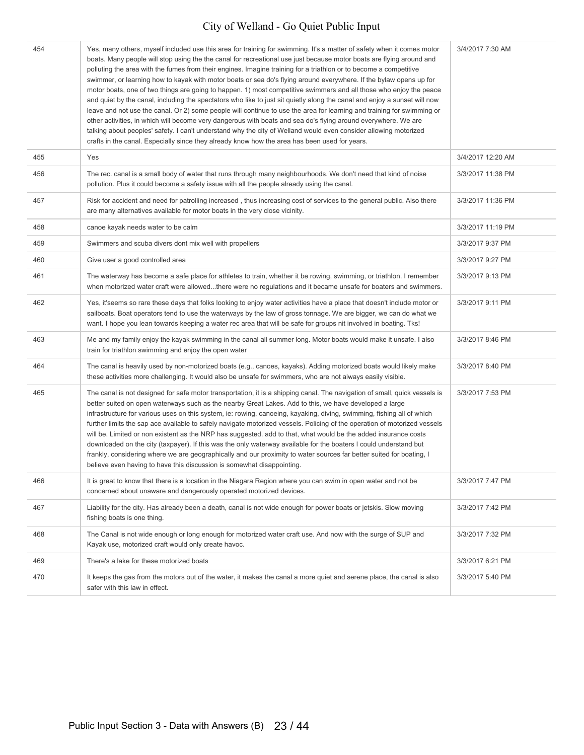| 454 | Yes, many others, myself included use this area for training for swimming. It's a matter of safety when it comes motor<br>boats. Many people will stop using the the canal for recreational use just because motor boats are flying around and<br>polluting the area with the fumes from their engines. Imagine training for a triathlon or to become a competitive<br>swimmer, or learning how to kayak with motor boats or sea do's flying around everywhere. If the bylaw opens up for<br>motor boats, one of two things are going to happen. 1) most competitive swimmers and all those who enjoy the peace<br>and quiet by the canal, including the spectators who like to just sit quietly along the canal and enjoy a sunset will now<br>leave and not use the canal. Or 2) some people will continue to use the area for learning and training for swimming or<br>other activities, in which will become very dangerous with boats and sea do's flying around everywhere. We are<br>talking about peoples' safety. I can't understand why the city of Welland would even consider allowing motorized<br>crafts in the canal. Especially since they already know how the area has been used for years. | 3/4/2017 7:30 AM  |
|-----|---------------------------------------------------------------------------------------------------------------------------------------------------------------------------------------------------------------------------------------------------------------------------------------------------------------------------------------------------------------------------------------------------------------------------------------------------------------------------------------------------------------------------------------------------------------------------------------------------------------------------------------------------------------------------------------------------------------------------------------------------------------------------------------------------------------------------------------------------------------------------------------------------------------------------------------------------------------------------------------------------------------------------------------------------------------------------------------------------------------------------------------------------------------------------------------------------------------|-------------------|
| 455 | Yes                                                                                                                                                                                                                                                                                                                                                                                                                                                                                                                                                                                                                                                                                                                                                                                                                                                                                                                                                                                                                                                                                                                                                                                                           | 3/4/2017 12:20 AM |
| 456 | The rec. canal is a small body of water that runs through many neighbourhoods. We don't need that kind of noise<br>pollution. Plus it could become a safety issue with all the people already using the canal.                                                                                                                                                                                                                                                                                                                                                                                                                                                                                                                                                                                                                                                                                                                                                                                                                                                                                                                                                                                                | 3/3/2017 11:38 PM |
| 457 | Risk for accident and need for patrolling increased, thus increasing cost of services to the general public. Also there<br>are many alternatives available for motor boats in the very close vicinity.                                                                                                                                                                                                                                                                                                                                                                                                                                                                                                                                                                                                                                                                                                                                                                                                                                                                                                                                                                                                        | 3/3/2017 11:36 PM |
| 458 | canoe kayak needs water to be calm                                                                                                                                                                                                                                                                                                                                                                                                                                                                                                                                                                                                                                                                                                                                                                                                                                                                                                                                                                                                                                                                                                                                                                            | 3/3/2017 11:19 PM |
| 459 | Swimmers and scuba divers dont mix well with propellers                                                                                                                                                                                                                                                                                                                                                                                                                                                                                                                                                                                                                                                                                                                                                                                                                                                                                                                                                                                                                                                                                                                                                       | 3/3/2017 9:37 PM  |
| 460 | Give user a good controlled area                                                                                                                                                                                                                                                                                                                                                                                                                                                                                                                                                                                                                                                                                                                                                                                                                                                                                                                                                                                                                                                                                                                                                                              | 3/3/2017 9:27 PM  |
| 461 | The waterway has become a safe place for athletes to train, whether it be rowing, swimming, or triathlon. I remember<br>when motorized water craft were allowedthere were no regulations and it became unsafe for boaters and swimmers.                                                                                                                                                                                                                                                                                                                                                                                                                                                                                                                                                                                                                                                                                                                                                                                                                                                                                                                                                                       | 3/3/2017 9:13 PM  |
| 462 | Yes, it'seems so rare these days that folks looking to enjoy water activities have a place that doesn't include motor or<br>sailboats. Boat operators tend to use the waterways by the law of gross tonnage. We are bigger, we can do what we<br>want. I hope you lean towards keeping a water rec area that will be safe for groups nit involved in boating. Tks!                                                                                                                                                                                                                                                                                                                                                                                                                                                                                                                                                                                                                                                                                                                                                                                                                                            | 3/3/2017 9:11 PM  |
| 463 | Me and my family enjoy the kayak swimming in the canal all summer long. Motor boats would make it unsafe. I also<br>train for triathlon swimming and enjoy the open water                                                                                                                                                                                                                                                                                                                                                                                                                                                                                                                                                                                                                                                                                                                                                                                                                                                                                                                                                                                                                                     | 3/3/2017 8:46 PM  |
| 464 | The canal is heavily used by non-motorized boats (e.g., canoes, kayaks). Adding motorized boats would likely make<br>these activities more challenging. It would also be unsafe for swimmers, who are not always easily visible.                                                                                                                                                                                                                                                                                                                                                                                                                                                                                                                                                                                                                                                                                                                                                                                                                                                                                                                                                                              | 3/3/2017 8:40 PM  |
| 465 | The canal is not designed for safe motor transportation, it is a shipping canal. The navigation of small, quick vessels is<br>better suited on open waterways such as the nearby Great Lakes. Add to this, we have developed a large<br>infrastructure for various uses on this system, ie: rowing, canoeing, kayaking, diving, swimming, fishing all of which<br>further limits the sap ace available to safely navigate motorized vessels. Policing of the operation of motorized vessels<br>will be. Limited or non existent as the NRP has suggested, add to that, what would be the added insurance costs<br>downloaded on the city (taxpayer). If this was the only waterway available for the boaters I could understand but<br>frankly, considering where we are geographically and our proximity to water sources far better suited for boating, I<br>believe even having to have this discussion is somewhat disappointing.                                                                                                                                                                                                                                                                         | 3/3/2017 7:53 PM  |
| 466 | It is great to know that there is a location in the Niagara Region where you can swim in open water and not be<br>concerned about unaware and dangerously operated motorized devices.                                                                                                                                                                                                                                                                                                                                                                                                                                                                                                                                                                                                                                                                                                                                                                                                                                                                                                                                                                                                                         | 3/3/2017 7:47 PM  |
| 467 | Liability for the city. Has already been a death, canal is not wide enough for power boats or jetskis. Slow moving<br>fishing boats is one thing.                                                                                                                                                                                                                                                                                                                                                                                                                                                                                                                                                                                                                                                                                                                                                                                                                                                                                                                                                                                                                                                             | 3/3/2017 7:42 PM  |
| 468 | The Canal is not wide enough or long enough for motorized water craft use. And now with the surge of SUP and<br>Kayak use, motorized craft would only create havoc.                                                                                                                                                                                                                                                                                                                                                                                                                                                                                                                                                                                                                                                                                                                                                                                                                                                                                                                                                                                                                                           | 3/3/2017 7:32 PM  |
| 469 | There's a lake for these motorized boats                                                                                                                                                                                                                                                                                                                                                                                                                                                                                                                                                                                                                                                                                                                                                                                                                                                                                                                                                                                                                                                                                                                                                                      | 3/3/2017 6:21 PM  |
| 470 | It keeps the gas from the motors out of the water, it makes the canal a more quiet and serene place, the canal is also<br>safer with this law in effect.                                                                                                                                                                                                                                                                                                                                                                                                                                                                                                                                                                                                                                                                                                                                                                                                                                                                                                                                                                                                                                                      | 3/3/2017 5:40 PM  |
|     |                                                                                                                                                                                                                                                                                                                                                                                                                                                                                                                                                                                                                                                                                                                                                                                                                                                                                                                                                                                                                                                                                                                                                                                                               |                   |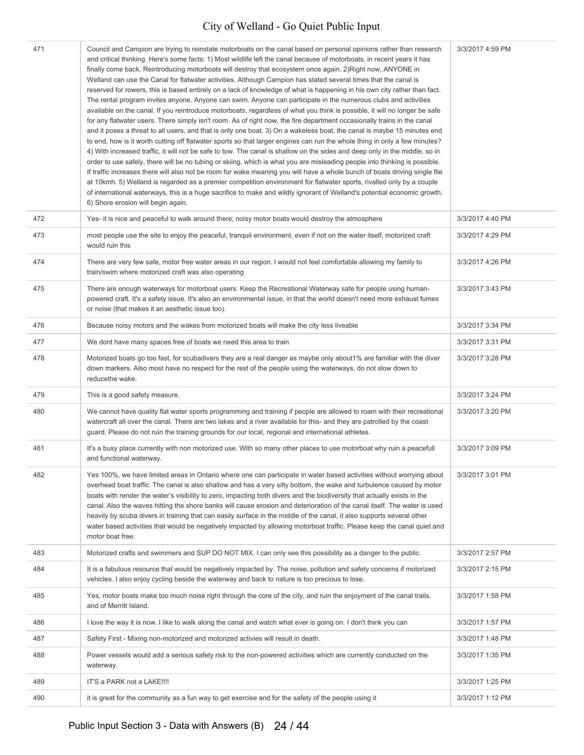| 471 | Council and Campion are trying to reinstate motorboats on the canal based on personal opinions rather than research<br>and critical thinking. Here's some facts: 1) Most wildlife left the canal because of motorboats, in recent years it has<br>finally come back. Reintroducing motorboats will destroy that ecosystem once again. 2) Right now, ANYONE in<br>Welland can use the Canal for flatwater activities. Although Campion has stated several times that the canal is<br>reserved for rowers, this is based entirely on a lack of knowledge of what is happening in his own city rather than fact.<br>The rental program invites anyone. Anyone can swim. Anyone can participate in the numerous clubs and activities<br>available on the canal. If you reintroduce motorboats, regardless of what you think is possible, it will no longer be safe<br>for any flatwater users. There simply isn't room. As of right now, the fire department occasionally trains in the canal<br>and it poses a threat to all users, and that is only one boat. 3) On a wakeless boat, the canal is maybe 15 minutes end<br>to end, how is it worth cutting off flatwater sports so that larger engines can run the whole thing in only a few minutes?<br>4) With increased traffic, it will not be safe to tow. The canal is shallow on the sides and deep only in the middle, so in<br>order to use safely, there will be no tubing or skiing, which is what you are misleading people into thinking is possible.<br>If traffic increases there will also not be room for wake meaning you will have a whole bunch of boats driving single file<br>at 10kmh. 5) Welland is regarded as a premier competition environment for flatwater sports, rivalled only by a couple<br>of international waterways, this is a huge sacrifice to make and wildly ignorant of Welland's potential economic growth.<br>6) Shore erosion will begin again. | 3/3/2017 4:59 PM |
|-----|------------------------------------------------------------------------------------------------------------------------------------------------------------------------------------------------------------------------------------------------------------------------------------------------------------------------------------------------------------------------------------------------------------------------------------------------------------------------------------------------------------------------------------------------------------------------------------------------------------------------------------------------------------------------------------------------------------------------------------------------------------------------------------------------------------------------------------------------------------------------------------------------------------------------------------------------------------------------------------------------------------------------------------------------------------------------------------------------------------------------------------------------------------------------------------------------------------------------------------------------------------------------------------------------------------------------------------------------------------------------------------------------------------------------------------------------------------------------------------------------------------------------------------------------------------------------------------------------------------------------------------------------------------------------------------------------------------------------------------------------------------------------------------------------------------------------------------------------------------------------------------------------------------------------------------------|------------------|
| 472 | Yes- it is nice and peaceful to walk around there; noisy motor boats would destroy the atmosphere                                                                                                                                                                                                                                                                                                                                                                                                                                                                                                                                                                                                                                                                                                                                                                                                                                                                                                                                                                                                                                                                                                                                                                                                                                                                                                                                                                                                                                                                                                                                                                                                                                                                                                                                                                                                                                        | 3/3/2017 4:40 PM |
| 473 | most people use the site to enjoy the peaceful, tranquil environment, even if not on the water itself, motorized craft<br>would ruin this                                                                                                                                                                                                                                                                                                                                                                                                                                                                                                                                                                                                                                                                                                                                                                                                                                                                                                                                                                                                                                                                                                                                                                                                                                                                                                                                                                                                                                                                                                                                                                                                                                                                                                                                                                                                | 3/3/2017 4:29 PM |
| 474 | There are very few safe, motor free water areas in our region. I would not feel comfortable allowing my family to<br>train/swim where motorized craft was also operating                                                                                                                                                                                                                                                                                                                                                                                                                                                                                                                                                                                                                                                                                                                                                                                                                                                                                                                                                                                                                                                                                                                                                                                                                                                                                                                                                                                                                                                                                                                                                                                                                                                                                                                                                                 | 3/3/2017 4:26 PM |
| 475 | There are enough waterways for motorboat users. Keep the Recreational Waterway safe for people using human-<br>powered craft. It's a safety issue. It's also an environmental issue, in that the world doesn't need more exhaust fumes<br>or noise (that makes it an aesthetic issue too).                                                                                                                                                                                                                                                                                                                                                                                                                                                                                                                                                                                                                                                                                                                                                                                                                                                                                                                                                                                                                                                                                                                                                                                                                                                                                                                                                                                                                                                                                                                                                                                                                                               | 3/3/2017 3:43 PM |
| 476 | Because noisy motors and the wakes from motorized boats will make the city less liveable                                                                                                                                                                                                                                                                                                                                                                                                                                                                                                                                                                                                                                                                                                                                                                                                                                                                                                                                                                                                                                                                                                                                                                                                                                                                                                                                                                                                                                                                                                                                                                                                                                                                                                                                                                                                                                                 | 3/3/2017 3:34 PM |
| 477 | We dont have many spaces free of boats we need this area to train                                                                                                                                                                                                                                                                                                                                                                                                                                                                                                                                                                                                                                                                                                                                                                                                                                                                                                                                                                                                                                                                                                                                                                                                                                                                                                                                                                                                                                                                                                                                                                                                                                                                                                                                                                                                                                                                        | 3/3/2017 3:31 PM |
| 478 | Motorized boats go too fast, for scubadivers they are a real danger as maybe only about 1% are familiar with the diver<br>down markers. Also most have no respect for the rest of the people using the waterways, do not slow down to<br>reducethe wake.                                                                                                                                                                                                                                                                                                                                                                                                                                                                                                                                                                                                                                                                                                                                                                                                                                                                                                                                                                                                                                                                                                                                                                                                                                                                                                                                                                                                                                                                                                                                                                                                                                                                                 | 3/3/2017 3:28 PM |
| 479 | This is a good safety measure.                                                                                                                                                                                                                                                                                                                                                                                                                                                                                                                                                                                                                                                                                                                                                                                                                                                                                                                                                                                                                                                                                                                                                                                                                                                                                                                                                                                                                                                                                                                                                                                                                                                                                                                                                                                                                                                                                                           | 3/3/2017 3:24 PM |
| 480 | We cannot have quality flat water sports programming and training if people are allowed to roam with their recreational<br>watercraft all over the canal. There are two lakes and a river available for this- and they are patrolled by the coast<br>guard. Please do not ruin the training grounds for our local, regional and international athletes.                                                                                                                                                                                                                                                                                                                                                                                                                                                                                                                                                                                                                                                                                                                                                                                                                                                                                                                                                                                                                                                                                                                                                                                                                                                                                                                                                                                                                                                                                                                                                                                  | 3/3/2017 3:20 PM |
| 481 | It's a busy place currently with non motorized use. With so many other places to use motorboat why ruin a peacefull<br>and functional waterway.                                                                                                                                                                                                                                                                                                                                                                                                                                                                                                                                                                                                                                                                                                                                                                                                                                                                                                                                                                                                                                                                                                                                                                                                                                                                                                                                                                                                                                                                                                                                                                                                                                                                                                                                                                                          | 3/3/2017 3:09 PM |
| 482 | Yes 100%, we have limited areas in Ontario where one can participate in water based activities without worrying about<br>overhead boat traffic. The canal is also shallow and has a very silty bottom, the wake and turbulence caused by motor<br>boats with render the water's visibility to zero, impacting both divers and the biodiversity that actually exists in the<br>canal. Also the waves hitting the shore banks will cause erosion and deterioration of the canal itself. The water is used<br>heavily by scuba divers in training that can easily surface in the middle of the canal, it also supports several other<br>water based activities that would be negatively impacted by allowing motorboat traffic. Please keep the canal quiet and<br>motor boat free.                                                                                                                                                                                                                                                                                                                                                                                                                                                                                                                                                                                                                                                                                                                                                                                                                                                                                                                                                                                                                                                                                                                                                         | 3/3/2017 3:01 PM |
| 483 | Motorized crafts and swimmers and SUP DO NOT MIX. I can only see this possibility as a danger to the public.                                                                                                                                                                                                                                                                                                                                                                                                                                                                                                                                                                                                                                                                                                                                                                                                                                                                                                                                                                                                                                                                                                                                                                                                                                                                                                                                                                                                                                                                                                                                                                                                                                                                                                                                                                                                                             | 3/3/2017 2:57 PM |
| 484 | It is a fabulous resource that would be negatively impacted by. The noise, pollution and safety concerns if motorized<br>vehicles. I also enjoy cycling beside the waterway and back to nature is too precious to lose.                                                                                                                                                                                                                                                                                                                                                                                                                                                                                                                                                                                                                                                                                                                                                                                                                                                                                                                                                                                                                                                                                                                                                                                                                                                                                                                                                                                                                                                                                                                                                                                                                                                                                                                  | 3/3/2017 2:15 PM |
| 485 | Yes, motor boats make too much noise right through the core of the city, and ruin the enjoyment of the canal trails,<br>and of Merritt Island.                                                                                                                                                                                                                                                                                                                                                                                                                                                                                                                                                                                                                                                                                                                                                                                                                                                                                                                                                                                                                                                                                                                                                                                                                                                                                                                                                                                                                                                                                                                                                                                                                                                                                                                                                                                           | 3/3/2017 1:58 PM |
| 486 | I love the way it is now. I like to walk along the canal and watch what ever is going on. I don't think you can                                                                                                                                                                                                                                                                                                                                                                                                                                                                                                                                                                                                                                                                                                                                                                                                                                                                                                                                                                                                                                                                                                                                                                                                                                                                                                                                                                                                                                                                                                                                                                                                                                                                                                                                                                                                                          | 3/3/2017 1:57 PM |
| 487 | Safety First - Mixing non-motorized and motorized activies will result in death.                                                                                                                                                                                                                                                                                                                                                                                                                                                                                                                                                                                                                                                                                                                                                                                                                                                                                                                                                                                                                                                                                                                                                                                                                                                                                                                                                                                                                                                                                                                                                                                                                                                                                                                                                                                                                                                         | 3/3/2017 1:48 PM |
| 488 | Power vessels would add a serious safety risk to the non-powered activities which are currently conducted on the<br>waterway.                                                                                                                                                                                                                                                                                                                                                                                                                                                                                                                                                                                                                                                                                                                                                                                                                                                                                                                                                                                                                                                                                                                                                                                                                                                                                                                                                                                                                                                                                                                                                                                                                                                                                                                                                                                                            | 3/3/2017 1:35 PM |
| 489 | IT'S a PARK not a LAKE!!!!                                                                                                                                                                                                                                                                                                                                                                                                                                                                                                                                                                                                                                                                                                                                                                                                                                                                                                                                                                                                                                                                                                                                                                                                                                                                                                                                                                                                                                                                                                                                                                                                                                                                                                                                                                                                                                                                                                               | 3/3/2017 1:25 PM |
| 490 | it is great for the community as a fun way to get exercise and for the safety of the people using it                                                                                                                                                                                                                                                                                                                                                                                                                                                                                                                                                                                                                                                                                                                                                                                                                                                                                                                                                                                                                                                                                                                                                                                                                                                                                                                                                                                                                                                                                                                                                                                                                                                                                                                                                                                                                                     | 3/3/2017 1:12 PM |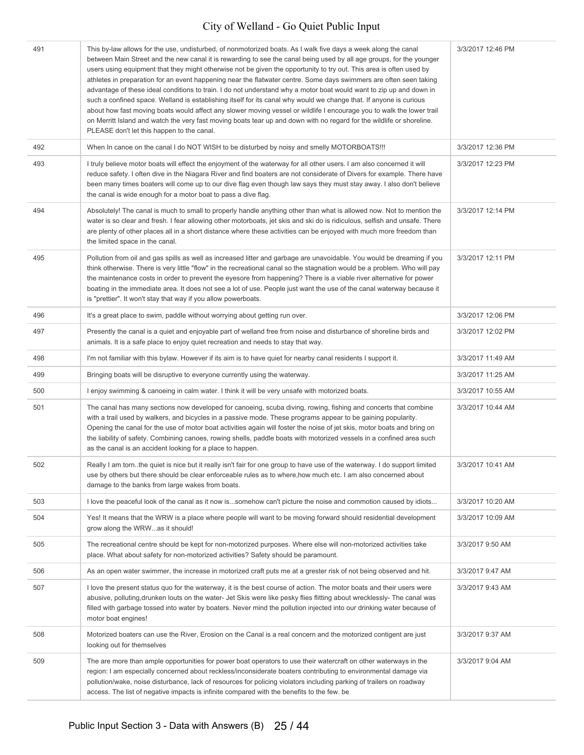| 491 | This by-law allows for the use, undisturbed, of nonmotorized boats. As I walk five days a week along the canal<br>between Main Street and the new canal it is rewarding to see the canal being used by all age groups, for the younger<br>users using equipment that they might otherwise not be given the opportunity to try out. This area is often used by<br>athletes in preparation for an event happening near the flatwater centre. Some days swimmers are often seen taking<br>advantage of these ideal conditions to train. I do not understand why a motor boat would want to zip up and down in<br>such a confined space. Welland is establishing itself for its canal why would we change that. If anyone is curious<br>about how fast moving boats would affect any slower moving vessel or wildlife I encourage you to walk the lower trail<br>on Merritt Island and watch the very fast moving boats tear up and down with no regard for the wildlife or shoreline.<br>PLEASE don't let this happen to the canal. | 3/3/2017 12:46 PM |
|-----|----------------------------------------------------------------------------------------------------------------------------------------------------------------------------------------------------------------------------------------------------------------------------------------------------------------------------------------------------------------------------------------------------------------------------------------------------------------------------------------------------------------------------------------------------------------------------------------------------------------------------------------------------------------------------------------------------------------------------------------------------------------------------------------------------------------------------------------------------------------------------------------------------------------------------------------------------------------------------------------------------------------------------------|-------------------|
| 492 | When In canoe on the canal I do NOT WISH to be disturbed by noisy and smelly MOTORBOATS!!!                                                                                                                                                                                                                                                                                                                                                                                                                                                                                                                                                                                                                                                                                                                                                                                                                                                                                                                                       | 3/3/2017 12:36 PM |
| 493 | I truly believe motor boats will effect the enjoyment of the waterway for all other users. I am also concerned it will<br>reduce safety. I often dive in the Niagara River and find boaters are not considerate of Divers for example. There have<br>been many times boaters will come up to our dive flag even though law says they must stay away. I also don't believe<br>the canal is wide enough for a motor boat to pass a dive flag.                                                                                                                                                                                                                                                                                                                                                                                                                                                                                                                                                                                      | 3/3/2017 12:23 PM |
| 494 | Absolutely! The canal is much to small to properly handle anything other than what is allowed now. Not to mention the<br>water is so clear and fresh. I fear allowing other motorboats, jet skis and ski do is ridiculous, selfish and unsafe. There<br>are plenty of other places all in a short distance where these activities can be enjoyed with much more freedom than<br>the limited space in the canal.                                                                                                                                                                                                                                                                                                                                                                                                                                                                                                                                                                                                                  | 3/3/2017 12:14 PM |
| 495 | Pollution from oil and gas spills as well as increased litter and garbage are unavoidable. You would be dreaming if you<br>think otherwise. There is very little "flow" in the recreational canal so the stagnation would be a problem. Who will pay<br>the maintenance costs in order to prevent the eyesore from happening? There is a viable river alternative for power<br>boating in the immediate area. It does not see a lot of use. People just want the use of the canal waterway because it<br>is "prettier". It won't stay that way if you allow powerboats.                                                                                                                                                                                                                                                                                                                                                                                                                                                          | 3/3/2017 12:11 PM |
| 496 | It's a great place to swim, paddle without worrying about getting run over.                                                                                                                                                                                                                                                                                                                                                                                                                                                                                                                                                                                                                                                                                                                                                                                                                                                                                                                                                      | 3/3/2017 12:06 PM |
| 497 | Presently the canal is a quiet and enjoyable part of welland free from noise and disturbance of shoreline birds and<br>animals. It is a safe place to enjoy quiet recreation and needs to stay that way.                                                                                                                                                                                                                                                                                                                                                                                                                                                                                                                                                                                                                                                                                                                                                                                                                         | 3/3/2017 12:02 PM |
| 498 | I'm not familiar with this bylaw. However if its aim is to have quiet for nearby canal residents I support it.                                                                                                                                                                                                                                                                                                                                                                                                                                                                                                                                                                                                                                                                                                                                                                                                                                                                                                                   | 3/3/2017 11:49 AM |
| 499 | Bringing boats will be disruptive to everyone currently using the waterway.                                                                                                                                                                                                                                                                                                                                                                                                                                                                                                                                                                                                                                                                                                                                                                                                                                                                                                                                                      | 3/3/2017 11:25 AM |
| 500 | I enjoy swimming & canoeing in calm water. I think it will be very unsafe with motorized boats.                                                                                                                                                                                                                                                                                                                                                                                                                                                                                                                                                                                                                                                                                                                                                                                                                                                                                                                                  | 3/3/2017 10:55 AM |
| 501 | The canal has many sections now developed for canoeing, scuba diving, rowing, fishing and concerts that combine<br>with a trail used by walkers, and bicycles in a passive mode. These programs appear to be gaining popularity.<br>Opening the canal for the use of motor boat activities again will foster the noise of jet skis, motor boats and bring on<br>the liability of safety. Combining canoes, rowing shells, paddle boats with motorized vessels in a confined area such<br>as the canal is an accident looking for a place to happen.                                                                                                                                                                                                                                                                                                                                                                                                                                                                              | 3/3/2017 10:44 AM |
| 502 | Really I am torn. the quiet is nice but it really isn't fair for one group to have use of the waterway. I do support limited<br>use by others but there should be clear enforceable rules as to where, how much etc. I am also concerned about<br>damage to the banks from large wakes from boats.                                                                                                                                                                                                                                                                                                                                                                                                                                                                                                                                                                                                                                                                                                                               | 3/3/2017 10:41 AM |
| 503 | I love the peaceful look of the canal as it now issomehow can't picture the noise and commotion caused by idiots                                                                                                                                                                                                                                                                                                                                                                                                                                                                                                                                                                                                                                                                                                                                                                                                                                                                                                                 | 3/3/2017 10:20 AM |
| 504 | Yes! It means that the WRW is a place where people will want to be moving forward should residential development<br>grow along the WRWas it should!                                                                                                                                                                                                                                                                                                                                                                                                                                                                                                                                                                                                                                                                                                                                                                                                                                                                              | 3/3/2017 10:09 AM |
| 505 | The recreational centre should be kept for non-motorized purposes. Where else will non-motorized activities take<br>place. What about safety for non-motorized activities? Safety should be paramount.                                                                                                                                                                                                                                                                                                                                                                                                                                                                                                                                                                                                                                                                                                                                                                                                                           | 3/3/2017 9:50 AM  |
| 506 | As an open water swimmer, the increase in motorized craft puts me at a grester risk of not being observed and hit.                                                                                                                                                                                                                                                                                                                                                                                                                                                                                                                                                                                                                                                                                                                                                                                                                                                                                                               | 3/3/2017 9:47 AM  |
| 507 | I love the present status quo for the waterway, it is the best course of action. The motor boats and their users were<br>abusive, polluting, drunken louts on the water- Jet Skis were like pesky flies flitting about wrecklessly- The canal was<br>filled with garbage tossed into water by boaters. Never mind the pollution injected into our drinking water because of<br>motor boat engines!                                                                                                                                                                                                                                                                                                                                                                                                                                                                                                                                                                                                                               | 3/3/2017 9:43 AM  |
| 508 | Motorized boaters can use the River, Erosion on the Canal is a real concern and the motorized contigent are just<br>looking out for themselves                                                                                                                                                                                                                                                                                                                                                                                                                                                                                                                                                                                                                                                                                                                                                                                                                                                                                   | 3/3/2017 9:37 AM  |
| 509 | The are more than ample opportunities for power boat operators to use their watercraft on other waterways in the<br>region: I am especially concerned about reckless/inconsiderate boaters contributing to environmental damage via<br>pollution/wake, noise disturbance, lack of resources for policing violators including parking of trailers on roadway<br>access. The list of negative impacts is infinite compared with the benefits to the few. be                                                                                                                                                                                                                                                                                                                                                                                                                                                                                                                                                                        | 3/3/2017 9:04 AM  |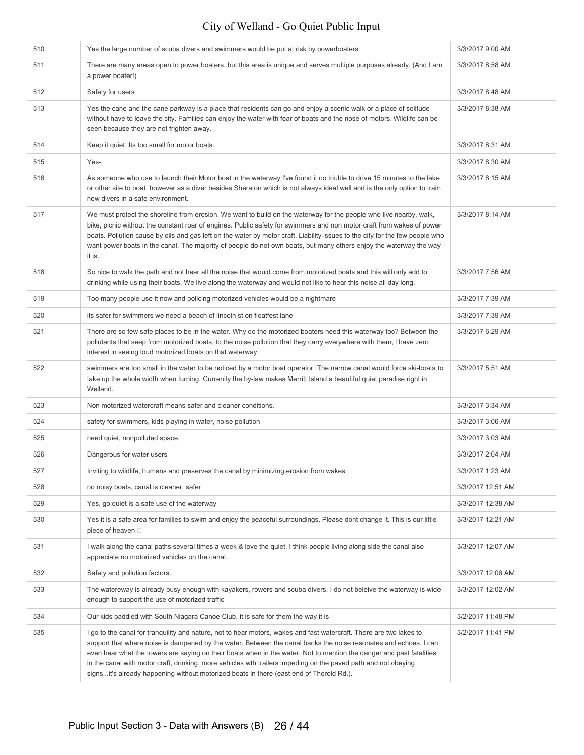| 510 | Yes the large number of scuba divers and swimmers would be put at risk by powerboaters                                                                                                                                                                                                                                                                                                                                                                                                                                                                                       | 3/3/2017 9:00 AM  |
|-----|------------------------------------------------------------------------------------------------------------------------------------------------------------------------------------------------------------------------------------------------------------------------------------------------------------------------------------------------------------------------------------------------------------------------------------------------------------------------------------------------------------------------------------------------------------------------------|-------------------|
| 511 | There are many areas open to power boaters, but this area is unique and serves multiple purposes already. (And I am<br>a power boater!)                                                                                                                                                                                                                                                                                                                                                                                                                                      | 3/3/2017 8:58 AM  |
| 512 | Safety for users                                                                                                                                                                                                                                                                                                                                                                                                                                                                                                                                                             | 3/3/2017 8:48 AM  |
| 513 | Yes the cane and the cane parkway is a place that residents can go and enjoy a scenic walk or a place of solitude<br>without have to leave the city. Families can enjoy the water with fear of boats and the nose of motors. Wildlife can be<br>seen because they are not frighten away.                                                                                                                                                                                                                                                                                     | 3/3/2017 8:38 AM  |
| 514 | Keep it quiet. Its too small for motor boats.                                                                                                                                                                                                                                                                                                                                                                                                                                                                                                                                | 3/3/2017 8:31 AM  |
| 515 | Yes-                                                                                                                                                                                                                                                                                                                                                                                                                                                                                                                                                                         | 3/3/2017 8:30 AM  |
| 516 | As someone who use to launch their Motor boat in the waterway I've found it no triuble to drive 15 minutes to the lake<br>or other site to boat, however as a diver besides Sheraton which is not always ideal well and is the only option to train<br>new divers in a safe environment.                                                                                                                                                                                                                                                                                     | 3/3/2017 8:15 AM  |
| 517 | We must protect the shoreline from erosion. We want to build on the waterway for the people who live nearby, walk,<br>bike, picnic without the constant roar of engines. Public safety for swimmers and non motor craft from wakes of power<br>boats. Pollution cause by oils and gas left on the water by motor craft. Liability issues to the city for the few people who<br>want power boats in the canal. The majority of people do not own boats, but many others enjoy the waterway the way<br>it is.                                                                  | 3/3/2017 8:14 AM  |
| 518 | So nice to walk the path and not hear all the noise that would come from motorized boats and this will only add to<br>drinking while using their boats. We live along the waterway and would not like to hear this noise all day long.                                                                                                                                                                                                                                                                                                                                       | 3/3/2017 7:56 AM  |
| 519 | Too many people use it now and policing motorized vehicles would be a nightmare                                                                                                                                                                                                                                                                                                                                                                                                                                                                                              | 3/3/2017 7:39 AM  |
| 520 | its safer for swimmers we need a beach of lincoln st on floatfest lane                                                                                                                                                                                                                                                                                                                                                                                                                                                                                                       | 3/3/2017 7:39 AM  |
| 521 | There are so few safe places to be in the water. Why do the motorized boaters need this waterway too? Between the<br>pollutants that seep from motorized boats, to the noise pollution that they carry everywhere with them, I have zero<br>interest in seeing loud motorized boats on that waterway.                                                                                                                                                                                                                                                                        | 3/3/2017 6:29 AM  |
| 522 | swimmers are too small in the water to be noticed by a motor boat operator. The narrow canal would force ski-boats to<br>take up the whole width when turning. Currently the by-law makes Merritt Island a beautiful quiet paradise right in<br>Welland.                                                                                                                                                                                                                                                                                                                     | 3/3/2017 5:51 AM  |
| 523 | Non motorized watercraft means safer and cleaner conditions.                                                                                                                                                                                                                                                                                                                                                                                                                                                                                                                 | 3/3/2017 3:34 AM  |
| 524 | safety for swimmers, kids playing in water, noise pollution                                                                                                                                                                                                                                                                                                                                                                                                                                                                                                                  | 3/3/2017 3:06 AM  |
| 525 | need quiet, nonpolluted space.                                                                                                                                                                                                                                                                                                                                                                                                                                                                                                                                               | 3/3/2017 3:03 AM  |
| 526 | Dangerous for water users                                                                                                                                                                                                                                                                                                                                                                                                                                                                                                                                                    | 3/3/2017 2:04 AM  |
| 527 | Inviting to wildlife, humans and preserves the canal by minimizing erosion from wakes                                                                                                                                                                                                                                                                                                                                                                                                                                                                                        | 3/3/2017 1:23 AM  |
| 528 | no noisy boats, canal is cleaner, safer                                                                                                                                                                                                                                                                                                                                                                                                                                                                                                                                      | 3/3/2017 12:51 AM |
| 529 | Yes, go quiet is a safe use of the waterway                                                                                                                                                                                                                                                                                                                                                                                                                                                                                                                                  | 3/3/2017 12:38 AM |
| 530 | Yes it is a safe area for families to swim and enjoy the peaceful surroundings. Please dont change it. This is our little<br>piece of heaven □                                                                                                                                                                                                                                                                                                                                                                                                                               | 3/3/2017 12:21 AM |
| 531 | I walk along the canal paths several times a week & love the quiet. I think people living along side the canal also<br>appreciate no motorized vehicles on the canal.                                                                                                                                                                                                                                                                                                                                                                                                        | 3/3/2017 12:07 AM |
| 532 | Safety and pollution factors.                                                                                                                                                                                                                                                                                                                                                                                                                                                                                                                                                | 3/3/2017 12:06 AM |
| 533 | The watereway is already busy enough with kayakers, rowers and scuba divers. I do not beleive the waterway is wide<br>enough to support the use of motorized traffic                                                                                                                                                                                                                                                                                                                                                                                                         | 3/3/2017 12:02 AM |
| 534 | Our kids paddled with South Niagara Canoe Club, it is safe for them the way it is                                                                                                                                                                                                                                                                                                                                                                                                                                                                                            | 3/2/2017 11:48 PM |
| 535 | I go to the canal for tranquility and nature, not to hear motors, wakes and fast watercraft. There are two lakes to<br>support that where noise is dampened by the water. Between the canal banks the noise resonates and echoes. I can<br>even hear what the towers are saying on their boats when in the water. Not to mention the danger and past fatalities<br>in the canal with motor craft, drinking, more vehicles wth trailers impeding on the paved path and not obeying<br>signsit's already happening without motorized boats in there (east end of Thorold Rd.). | 3/2/2017 11:41 PM |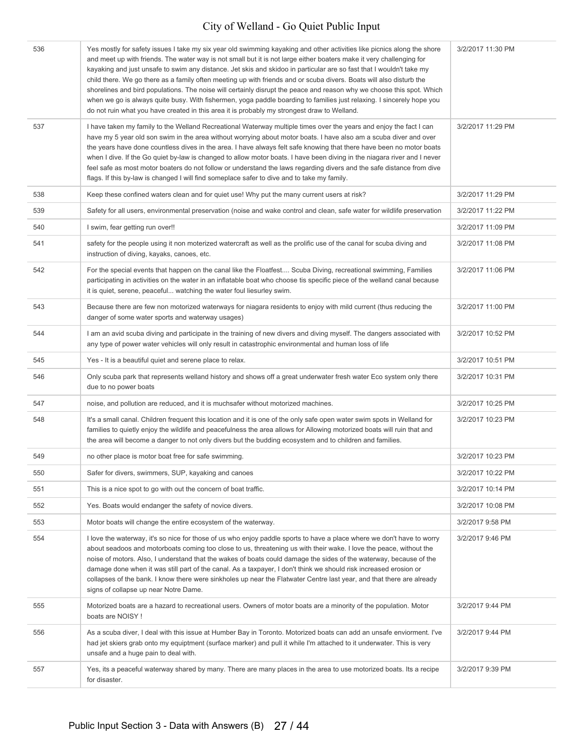| 536 | Yes mostly for safety issues I take my six year old swimming kayaking and other activities like picnics along the shore<br>and meet up with friends. The water way is not small but it is not large either boaters make it very challenging for<br>kayaking and just unsafe to swim any distance. Jet skis and skidoo in particular are so fast that I wouldn't take my<br>child there. We go there as a family often meeting up with friends and or scuba divers. Boats will also disturb the<br>shorelines and bird populations. The noise will certainly disrupt the peace and reason why we choose this spot. Which<br>when we go is always quite busy. With fishermen, yoga paddle boarding to families just relaxing. I sincerely hope you<br>do not ruin what you have created in this area it is probably my strongest draw to Welland. | 3/2/2017 11:30 PM |
|-----|-------------------------------------------------------------------------------------------------------------------------------------------------------------------------------------------------------------------------------------------------------------------------------------------------------------------------------------------------------------------------------------------------------------------------------------------------------------------------------------------------------------------------------------------------------------------------------------------------------------------------------------------------------------------------------------------------------------------------------------------------------------------------------------------------------------------------------------------------|-------------------|
| 537 | I have taken my family to the Welland Recreational Waterway multiple times over the years and enjoy the fact I can<br>have my 5 year old son swim in the area without worrying about motor boats. I have also am a scuba diver and over<br>the years have done countless dives in the area. I have always felt safe knowing that there have been no motor boats<br>when I dive. If the Go quiet by-law is changed to allow motor boats. I have been diving in the niagara river and I never<br>feel safe as most motor boaters do not follow or understand the laws regarding divers and the safe distance from dive<br>flags. If this by-law is changed I will find someplace safer to dive and to take my family.                                                                                                                             | 3/2/2017 11:29 PM |
| 538 | Keep these confined waters clean and for quiet use! Why put the many current users at risk?                                                                                                                                                                                                                                                                                                                                                                                                                                                                                                                                                                                                                                                                                                                                                     | 3/2/2017 11:29 PM |
| 539 | Safety for all users, environmental preservation (noise and wake control and clean, safe water for wildlife preservation                                                                                                                                                                                                                                                                                                                                                                                                                                                                                                                                                                                                                                                                                                                        | 3/2/2017 11:22 PM |
| 540 | I swim, fear getting run over!!                                                                                                                                                                                                                                                                                                                                                                                                                                                                                                                                                                                                                                                                                                                                                                                                                 | 3/2/2017 11:09 PM |
| 541 | safety for the people using it non moterized watercraft as well as the prolific use of the canal for scuba diving and<br>instruction of diving, kayaks, canoes, etc.                                                                                                                                                                                                                                                                                                                                                                                                                                                                                                                                                                                                                                                                            | 3/2/2017 11:08 PM |
| 542 | For the special events that happen on the canal like the Floatfest Scuba Diving, recreational swimming, Families<br>participating in activities on the water in an inflatable boat who choose tis specific piece of the welland canal because<br>it is quiet, serene, peaceful watching the water foul liesurley swim.                                                                                                                                                                                                                                                                                                                                                                                                                                                                                                                          | 3/2/2017 11:06 PM |
| 543 | Because there are few non motorized waterways for niagara residents to enjoy with mild current (thus reducing the<br>danger of some water sports and waterway usages)                                                                                                                                                                                                                                                                                                                                                                                                                                                                                                                                                                                                                                                                           | 3/2/2017 11:00 PM |
| 544 | I am an avid scuba diving and participate in the training of new divers and diving myself. The dangers associated with<br>any type of power water vehicles will only result in catastrophic environmental and human loss of life                                                                                                                                                                                                                                                                                                                                                                                                                                                                                                                                                                                                                | 3/2/2017 10:52 PM |
| 545 | Yes - It is a beautiful quiet and serene place to relax.                                                                                                                                                                                                                                                                                                                                                                                                                                                                                                                                                                                                                                                                                                                                                                                        | 3/2/2017 10:51 PM |
| 546 | Only scuba park that represents welland history and shows off a great underwater fresh water Eco system only there<br>due to no power boats                                                                                                                                                                                                                                                                                                                                                                                                                                                                                                                                                                                                                                                                                                     | 3/2/2017 10:31 PM |
| 547 | noise, and pollution are reduced, and it is muchsafer without motorized machines.                                                                                                                                                                                                                                                                                                                                                                                                                                                                                                                                                                                                                                                                                                                                                               | 3/2/2017 10:25 PM |
| 548 | It's a small canal. Children frequent this location and it is one of the only safe open water swim spots in Welland for<br>families to quietly enjoy the wildlife and peacefulness the area allows for Allowing motorized boats will ruin that and<br>the area will become a danger to not only divers but the budding ecosystem and to children and families.                                                                                                                                                                                                                                                                                                                                                                                                                                                                                  | 3/2/2017 10:23 PM |
| 549 | no other place is motor boat free for safe swimming.                                                                                                                                                                                                                                                                                                                                                                                                                                                                                                                                                                                                                                                                                                                                                                                            | 3/2/2017 10:23 PM |
| 550 | Safer for divers, swimmers, SUP, kayaking and canoes                                                                                                                                                                                                                                                                                                                                                                                                                                                                                                                                                                                                                                                                                                                                                                                            | 3/2/2017 10:22 PM |
| 551 | This is a nice spot to go with out the concern of boat traffic.                                                                                                                                                                                                                                                                                                                                                                                                                                                                                                                                                                                                                                                                                                                                                                                 | 3/2/2017 10:14 PM |
| 552 | Yes. Boats would endanger the safety of novice divers.                                                                                                                                                                                                                                                                                                                                                                                                                                                                                                                                                                                                                                                                                                                                                                                          | 3/2/2017 10:08 PM |
| 553 | Motor boats will change the entire ecosystem of the waterway.                                                                                                                                                                                                                                                                                                                                                                                                                                                                                                                                                                                                                                                                                                                                                                                   | 3/2/2017 9:58 PM  |
| 554 | I love the waterway, it's so nice for those of us who enjoy paddle sports to have a place where we don't have to worry<br>about seadoos and motorboats coming too close to us, threatening us with their wake. I love the peace, without the<br>noise of motors. Also, I understand that the wakes of boats could damage the sides of the waterway, because of the<br>damage done when it was still part of the canal. As a taxpayer, I don't think we should risk increased erosion or<br>collapses of the bank. I know there were sinkholes up near the Flatwater Centre last year, and that there are already<br>signs of collapse up near Notre Dame.                                                                                                                                                                                       | 3/2/2017 9:46 PM  |
| 555 | Motorized boats are a hazard to recreational users. Owners of motor boats are a minority of the population. Motor<br>boats are NOISY!                                                                                                                                                                                                                                                                                                                                                                                                                                                                                                                                                                                                                                                                                                           | 3/2/2017 9:44 PM  |
| 556 | As a scuba diver, I deal with this issue at Humber Bay in Toronto. Motorized boats can add an unsafe enviorment. I've<br>had jet skiers grab onto my equiptment (surface marker) and pull it while I'm attached to it underwater. This is very<br>unsafe and a huge pain to deal with.                                                                                                                                                                                                                                                                                                                                                                                                                                                                                                                                                          | 3/2/2017 9:44 PM  |
| 557 | Yes, its a peaceful waterway shared by many. There are many places in the area to use motorized boats. Its a recipe<br>for disaster.                                                                                                                                                                                                                                                                                                                                                                                                                                                                                                                                                                                                                                                                                                            | 3/2/2017 9:39 PM  |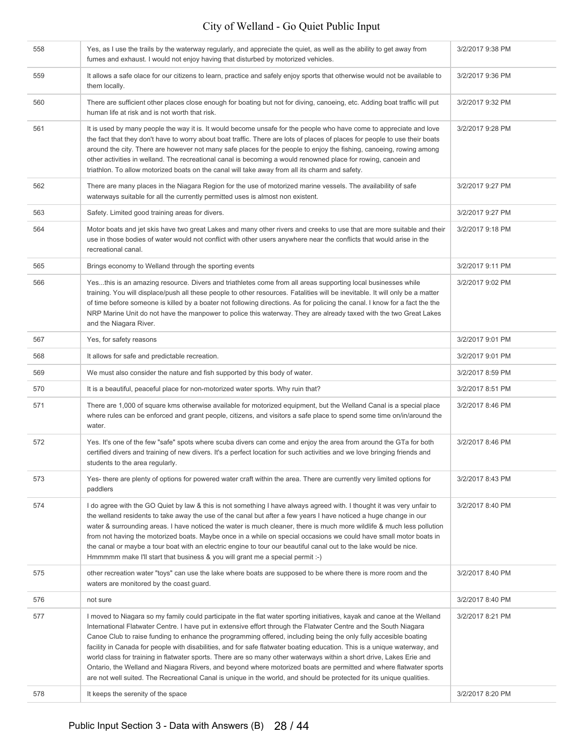| 558 | Yes, as I use the trails by the waterway regularly, and appreciate the quiet, as well as the ability to get away from<br>fumes and exhaust. I would not enjoy having that disturbed by motorized vehicles.                                                                                                                                                                                                                                                                                                                                                                                                                                                                                                                                                                                                                                                            | 3/2/2017 9:38 PM |
|-----|-----------------------------------------------------------------------------------------------------------------------------------------------------------------------------------------------------------------------------------------------------------------------------------------------------------------------------------------------------------------------------------------------------------------------------------------------------------------------------------------------------------------------------------------------------------------------------------------------------------------------------------------------------------------------------------------------------------------------------------------------------------------------------------------------------------------------------------------------------------------------|------------------|
| 559 | It allows a safe olace for our citizens to learn, practice and safely enjoy sports that otherwise would not be available to<br>them locally.                                                                                                                                                                                                                                                                                                                                                                                                                                                                                                                                                                                                                                                                                                                          | 3/2/2017 9:36 PM |
| 560 | There are sufficient other places close enough for boating but not for diving, canoeing, etc. Adding boat traffic will put<br>human life at risk and is not worth that risk.                                                                                                                                                                                                                                                                                                                                                                                                                                                                                                                                                                                                                                                                                          | 3/2/2017 9:32 PM |
| 561 | It is used by many people the way it is. It would become unsafe for the people who have come to appreciate and love<br>the fact that they don't have to worry about boat traffic. There are lots of places of places for people to use their boats<br>around the city. There are however not many safe places for the people to enjoy the fishing, canoeing, rowing among<br>other activities in welland. The recreational canal is becoming a would renowned place for rowing, canoein and<br>triathlon. To allow motorized boats on the canal will take away from all its charm and safety.                                                                                                                                                                                                                                                                         | 3/2/2017 9:28 PM |
| 562 | There are many places in the Niagara Region for the use of motorized marine vessels. The availability of safe<br>waterways suitable for all the currently permitted uses is almost non existent.                                                                                                                                                                                                                                                                                                                                                                                                                                                                                                                                                                                                                                                                      | 3/2/2017 9:27 PM |
| 563 | Safety. Limited good training areas for divers.                                                                                                                                                                                                                                                                                                                                                                                                                                                                                                                                                                                                                                                                                                                                                                                                                       | 3/2/2017 9:27 PM |
| 564 | Motor boats and jet skis have two great Lakes and many other rivers and creeks to use that are more suitable and their<br>use in those bodies of water would not conflict with other users anywhere near the conflicts that would arise in the<br>recreational canal.                                                                                                                                                                                                                                                                                                                                                                                                                                                                                                                                                                                                 | 3/2/2017 9:18 PM |
| 565 | Brings economy to Welland through the sporting events                                                                                                                                                                                                                                                                                                                                                                                                                                                                                                                                                                                                                                                                                                                                                                                                                 | 3/2/2017 9:11 PM |
| 566 | Yesthis is an amazing resource. Divers and triathletes come from all areas supporting local businesses while<br>training. You will displace/push all these people to other resources. Fatalities will be inevitable. It will only be a matter<br>of time before someone is killed by a boater not following directions. As for policing the canal. I know for a fact the the<br>NRP Marine Unit do not have the manpower to police this waterway. They are already taxed with the two Great Lakes<br>and the Niagara River.                                                                                                                                                                                                                                                                                                                                           | 3/2/2017 9:02 PM |
| 567 | Yes, for safety reasons                                                                                                                                                                                                                                                                                                                                                                                                                                                                                                                                                                                                                                                                                                                                                                                                                                               | 3/2/2017 9:01 PM |
| 568 | It allows for safe and predictable recreation.                                                                                                                                                                                                                                                                                                                                                                                                                                                                                                                                                                                                                                                                                                                                                                                                                        | 3/2/2017 9:01 PM |
| 569 | We must also consider the nature and fish supported by this body of water.                                                                                                                                                                                                                                                                                                                                                                                                                                                                                                                                                                                                                                                                                                                                                                                            | 3/2/2017 8:59 PM |
| 570 | It is a beautiful, peaceful place for non-motorized water sports. Why ruin that?                                                                                                                                                                                                                                                                                                                                                                                                                                                                                                                                                                                                                                                                                                                                                                                      | 3/2/2017 8:51 PM |
| 571 | There are 1,000 of square kms otherwise available for motorized equipment, but the Welland Canal is a special place<br>where rules can be enforced and grant people, citizens, and visitors a safe place to spend some time on/in/around the<br>water.                                                                                                                                                                                                                                                                                                                                                                                                                                                                                                                                                                                                                | 3/2/2017 8:46 PM |
| 572 | Yes. It's one of the few "safe" spots where scuba divers can come and enjoy the area from around the GTa for both<br>certified divers and training of new divers. It's a perfect location for such activities and we love bringing friends and<br>students to the area regularly.                                                                                                                                                                                                                                                                                                                                                                                                                                                                                                                                                                                     | 3/2/2017 8:46 PM |
| 573 | Yes- there are plenty of options for powered water craft within the area. There are currently very limited options for<br>paddlers                                                                                                                                                                                                                                                                                                                                                                                                                                                                                                                                                                                                                                                                                                                                    | 3/2/2017 8:43 PM |
| 574 | I do agree with the GO Quiet by law & this is not something I have always agreed with. I thought it was very unfair to<br>the welland residents to take away the use of the canal but after a few years I have noticed a huge change in our<br>water & surrounding areas. I have noticed the water is much cleaner, there is much more wildlife & much less pollution<br>from not having the motorized boats. Maybe once in a while on special occasions we could have small motor boats in<br>the canal or maybe a tour boat with an electric engine to tour our beautiful canal out to the lake would be nice.<br>Hmmmmm make I'll start that business & you will grant me a special permit :-)                                                                                                                                                                     | 3/2/2017 8:40 PM |
| 575 | other recreation water "toys" can use the lake where boats are supposed to be where there is more room and the<br>waters are monitored by the coast guard.                                                                                                                                                                                                                                                                                                                                                                                                                                                                                                                                                                                                                                                                                                            | 3/2/2017 8:40 PM |
| 576 | not sure                                                                                                                                                                                                                                                                                                                                                                                                                                                                                                                                                                                                                                                                                                                                                                                                                                                              | 3/2/2017 8:40 PM |
| 577 | I moved to Niagara so my family could participate in the flat water sporting initiatives, kayak and canoe at the Welland<br>International Flatwater Centre. I have put in extensive effort through the Flatwater Centre and the South Niagara<br>Canoe Club to raise funding to enhance the programming offered, including being the only fully accesible boating<br>facility in Canada for people with disabilities, and for safe flatwater boating education. This is a unique waterway, and<br>world class for training in flatwater sports. There are so many other waterways within a short drive, Lakes Erie and<br>Ontario, the Welland and Niagara Rivers, and beyond where motorized boats are permitted and where flatwater sports<br>are not well suited. The Recreational Canal is unique in the world, and should be protected for its unique qualities. | 3/2/2017 8:21 PM |
| 578 | It keeps the serenity of the space                                                                                                                                                                                                                                                                                                                                                                                                                                                                                                                                                                                                                                                                                                                                                                                                                                    | 3/2/2017 8:20 PM |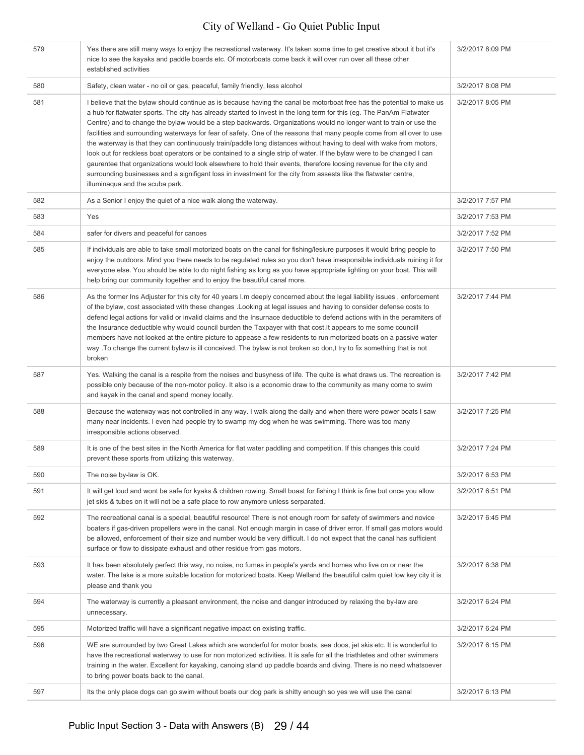| 579 | Yes there are still many ways to enjoy the recreational waterway. It's taken some time to get creative about it but it's<br>nice to see the kayaks and paddle boards etc. Of motorboats come back it will over run over all these other<br>established activities                                                                                                                                                                                                                                                                                                                                                                                                                                                                                                                                                                                                                                                                                                                                                             | 3/2/2017 8:09 PM |
|-----|-------------------------------------------------------------------------------------------------------------------------------------------------------------------------------------------------------------------------------------------------------------------------------------------------------------------------------------------------------------------------------------------------------------------------------------------------------------------------------------------------------------------------------------------------------------------------------------------------------------------------------------------------------------------------------------------------------------------------------------------------------------------------------------------------------------------------------------------------------------------------------------------------------------------------------------------------------------------------------------------------------------------------------|------------------|
| 580 | Safety, clean water - no oil or gas, peaceful, family friendly, less alcohol                                                                                                                                                                                                                                                                                                                                                                                                                                                                                                                                                                                                                                                                                                                                                                                                                                                                                                                                                  | 3/2/2017 8:08 PM |
| 581 | I believe that the bylaw should continue as is because having the canal be motorboat free has the potential to make us<br>a hub for flatwater sports. The city has already started to invest in the long term for this (eg. The PanAm Flatwater<br>Centre) and to change the bylaw would be a step backwards. Organizations would no longer want to train or use the<br>facilities and surrounding waterways for fear of safety. One of the reasons that many people come from all over to use<br>the waterway is that they can continuously train/paddle long distances without having to deal with wake from motors,<br>look out for reckless boat operators or be contained to a single strip of water. If the bylaw were to be changed I can<br>gaurentee that organizations would look elsewhere to hold their events, therefore loosing revenue for the city and<br>surrounding businesses and a signifigant loss in investment for the city from assests like the flatwater centre,<br>illuminaqua and the scuba park. | 3/2/2017 8:05 PM |
| 582 | As a Senior I enjoy the quiet of a nice walk along the waterway.                                                                                                                                                                                                                                                                                                                                                                                                                                                                                                                                                                                                                                                                                                                                                                                                                                                                                                                                                              | 3/2/2017 7:57 PM |
| 583 | Yes                                                                                                                                                                                                                                                                                                                                                                                                                                                                                                                                                                                                                                                                                                                                                                                                                                                                                                                                                                                                                           | 3/2/2017 7:53 PM |
| 584 | safer for divers and peaceful for canoes                                                                                                                                                                                                                                                                                                                                                                                                                                                                                                                                                                                                                                                                                                                                                                                                                                                                                                                                                                                      | 3/2/2017 7:52 PM |
| 585 | If individuals are able to take small motorized boats on the canal for fishing/lesiure purposes it would bring people to<br>enjoy the outdoors. Mind you there needs to be regulated rules so you don't have irresponsible individuals ruining it for<br>everyone else. You should be able to do night fishing as long as you have appropriate lighting on your boat. This will<br>help bring our community together and to enjoy the beautiful canal more.                                                                                                                                                                                                                                                                                                                                                                                                                                                                                                                                                                   | 3/2/2017 7:50 PM |
| 586 | As the former Ins Adjuster for this city for 40 years I.m deeply concerned about the legal liability issues, enforcement<br>of the bylaw, cost associated with these changes .Looking at legal issues and having to consider defense costs to<br>defend legal actions for valid or invalid claims and the Insurnace deductible to defend actions with in the peramiters of<br>the Insurance deductible why would council burden the Taxpayer with that cost. It appears to me some councill<br>members have not looked at the entire picture to appease a few residents to run motorized boats on a passive water<br>way .To change the current bylaw is ill conceived. The bylaw is not broken so don,t try to fix something that is not<br>broken                                                                                                                                                                                                                                                                           | 3/2/2017 7:44 PM |
| 587 | Yes. Walking the canal is a respite from the noises and busyness of life. The quite is what draws us. The recreation is<br>possible only because of the non-motor policy. It also is a economic draw to the community as many come to swim<br>and kayak in the canal and spend money locally.                                                                                                                                                                                                                                                                                                                                                                                                                                                                                                                                                                                                                                                                                                                                 | 3/2/2017 7:42 PM |
| 588 | Because the waterway was not controlled in any way. I walk along the daily and when there were power boats I saw<br>many near incidents. I even had people try to swamp my dog when he was swimming. There was too many<br>irresponsible actions observed.                                                                                                                                                                                                                                                                                                                                                                                                                                                                                                                                                                                                                                                                                                                                                                    | 3/2/2017 7:25 PM |
| 589 | It is one of the best sites in the North America for flat water paddling and competition. If this changes this could<br>prevent these sports from utilizing this waterway.                                                                                                                                                                                                                                                                                                                                                                                                                                                                                                                                                                                                                                                                                                                                                                                                                                                    | 3/2/2017 7:24 PM |
| 590 | The noise by-law is OK.                                                                                                                                                                                                                                                                                                                                                                                                                                                                                                                                                                                                                                                                                                                                                                                                                                                                                                                                                                                                       | 3/2/2017 6:53 PM |
| 591 | It will get loud and wont be safe for kyaks & children rowing. Small boast for fishing I think is fine but once you allow<br>jet skis & tubes on it will not be a safe place to row anymore unless serparated.                                                                                                                                                                                                                                                                                                                                                                                                                                                                                                                                                                                                                                                                                                                                                                                                                | 3/2/2017 6:51 PM |
| 592 | The recreational canal is a special, beautiful resource! There is not enough room for safety of swimmers and novice<br>boaters if gas-driven propellers were in the canal. Not enough margin in case of driver error. If small gas motors would<br>be allowed, enforcement of their size and number would be very difficult. I do not expect that the canal has sufficient<br>surface or flow to dissipate exhaust and other residue from gas motors.                                                                                                                                                                                                                                                                                                                                                                                                                                                                                                                                                                         | 3/2/2017 6:45 PM |
| 593 | It has been absolutely perfect this way, no noise, no fumes in people's yards and homes who live on or near the<br>water. The lake is a more suitable location for motorized boats. Keep Welland the beautiful calm quiet low key city it is<br>please and thank you                                                                                                                                                                                                                                                                                                                                                                                                                                                                                                                                                                                                                                                                                                                                                          | 3/2/2017 6:38 PM |
| 594 | The waterway is currently a pleasant environment, the noise and danger introduced by relaxing the by-law are<br>unnecessary.                                                                                                                                                                                                                                                                                                                                                                                                                                                                                                                                                                                                                                                                                                                                                                                                                                                                                                  | 3/2/2017 6:24 PM |
| 595 | Motorized traffic will have a significant negative impact on existing traffic.                                                                                                                                                                                                                                                                                                                                                                                                                                                                                                                                                                                                                                                                                                                                                                                                                                                                                                                                                | 3/2/2017 6:24 PM |
| 596 | WE are surrounded by two Great Lakes which are wonderful for motor boats, sea doos, jet skis etc. It is wonderful to<br>have the recreational waterway to use for non motorized activities. It is safe for all the triathletes and other swimmers<br>training in the water. Excellent for kayaking, canoing stand up paddle boards and diving. There is no need whatsoever<br>to bring power boats back to the canal.                                                                                                                                                                                                                                                                                                                                                                                                                                                                                                                                                                                                         | 3/2/2017 6:15 PM |
| 597 | Its the only place dogs can go swim without boats our dog park is shitty enough so yes we will use the canal                                                                                                                                                                                                                                                                                                                                                                                                                                                                                                                                                                                                                                                                                                                                                                                                                                                                                                                  | 3/2/2017 6:13 PM |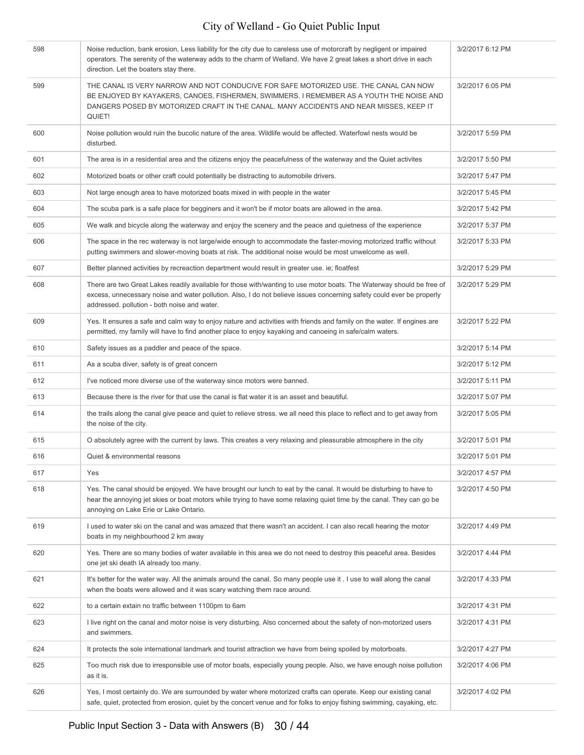| 598 | Noise reduction, bank erosion, Less liability for the city due to careless use of motorcraft by negligent or impaired<br>operators. The serenity of the waterway adds to the charm of Welland. We have 2 great lakes a short drive in each<br>direction. Let the boaters stay there.           | 3/2/2017 6:12 PM |
|-----|------------------------------------------------------------------------------------------------------------------------------------------------------------------------------------------------------------------------------------------------------------------------------------------------|------------------|
| 599 | THE CANAL IS VERY NARROW AND NOT CONDUCIVE FOR SAFE MOTORIZED USE. THE CANAL CAN NOW<br>BE ENJOYED BY KAYAKERS, CANOES, FISHERMEN, SWIMMERS. I REMEMBER AS A YOUTH THE NOISE AND<br>DANGERS POSED BY MOTORIZED CRAFT IN THE CANAL. MANY ACCIDENTS AND NEAR MISSES, KEEP IT<br>QUIET!           | 3/2/2017 6:05 PM |
| 600 | Noise pollution would ruin the bucolic nature of the area. Wildlife would be affected. Waterfowl nests would be<br>disturbed.                                                                                                                                                                  | 3/2/2017 5:59 PM |
| 601 | The area is in a residential area and the citizens enjoy the peacefulness of the waterway and the Quiet activites                                                                                                                                                                              | 3/2/2017 5:50 PM |
| 602 | Motorized boats or other craft could potentially be distracting to automobile drivers.                                                                                                                                                                                                         | 3/2/2017 5:47 PM |
| 603 | Not large enough area to have motorized boats mixed in with people in the water                                                                                                                                                                                                                | 3/2/2017 5:45 PM |
| 604 | The scuba park is a safe place for begginers and it won't be if motor boats are allowed in the area.                                                                                                                                                                                           | 3/2/2017 5:42 PM |
| 605 | We walk and bicycle along the waterway and enjoy the scenery and the peace and quietness of the experience                                                                                                                                                                                     | 3/2/2017 5:37 PM |
| 606 | The space in the rec waterway is not large/wide enough to accommodate the faster-moving motorized traffic without<br>putting swimmers and slower-moving boats at risk. The additional noise would be most unwelcome as well.                                                                   | 3/2/2017 5:33 PM |
| 607 | Better planned activities by recreaction department would result in greater use, ie; floatfest                                                                                                                                                                                                 | 3/2/2017 5:29 PM |
| 608 | There are two Great Lakes readily available for those with/wanting to use motor boats. The Waterway should be free of<br>excess, unnecessary noise and water pollution. Also, I do not believe issues concerning safety could ever be properly<br>addressed. pollution - both noise and water. | 3/2/2017 5:29 PM |
| 609 | Yes. It ensures a safe and calm way to enjoy nature and activities with friends and family on the water. If engines are<br>permitted, my family will have to find another place to enjoy kayaking and canoeing in safe/calm waters.                                                            | 3/2/2017 5:22 PM |
| 610 | Safety issues as a paddler and peace of the space.                                                                                                                                                                                                                                             | 3/2/2017 5:14 PM |
| 611 | As a scuba diver, safety is of great concern                                                                                                                                                                                                                                                   | 3/2/2017 5:12 PM |
| 612 | I've noticed more diverse use of the waterway since motors were banned.                                                                                                                                                                                                                        | 3/2/2017 5:11 PM |
| 613 | Because there is the river for that use the canal is flat water it is an asset and beautiful.                                                                                                                                                                                                  | 3/2/2017 5:07 PM |
| 614 | the trails along the canal give peace and quiet to relieve stress. we all need this place to reflect and to get away from<br>the noise of the city.                                                                                                                                            | 3/2/2017 5:05 PM |
| 615 | O absolutely agree with the current by laws. This creates a very relaxing and pleasurable atmosphere in the city                                                                                                                                                                               | 3/2/2017 5:01 PM |
| 616 | Quiet & environmental reasons                                                                                                                                                                                                                                                                  | 3/2/2017 5:01 PM |
| 617 | Yes                                                                                                                                                                                                                                                                                            | 3/2/2017 4:57 PM |
| 618 | Yes. The canal should be enjoyed. We have brought our lunch to eat by the canal. It would be disturbing to have to<br>hear the annoying jet skies or boat motors while trying to have some relaxing quiet time by the canal. They can go be<br>annoying on Lake Erie or Lake Ontario.          | 3/2/2017 4:50 PM |
| 619 | I used to water ski on the canal and was amazed that there wasn't an accident. I can also recall hearing the motor<br>boats in my neighbourhood 2 km away                                                                                                                                      | 3/2/2017 4:49 PM |
| 620 | Yes. There are so many bodies of water available in this area we do not need to destroy this peaceful area. Besides<br>one jet ski death IA already too many.                                                                                                                                  | 3/2/2017 4:44 PM |
| 621 | It's better for the water way. All the animals around the canal. So many people use it . I use to wall along the canal<br>when the boats were allowed and it was scary watching them race around.                                                                                              | 3/2/2017 4:33 PM |
| 622 | to a certain extain no traffic between 1100pm to 6am                                                                                                                                                                                                                                           | 3/2/2017 4:31 PM |
| 623 | I live right on the canal and motor noise is very disturbing. Also concerned about the safety of non-motorized users<br>and swimmers.                                                                                                                                                          | 3/2/2017 4:31 PM |
| 624 | It protects the sole international landmark and tourist attraction we have from being spoiled by motorboats.                                                                                                                                                                                   | 3/2/2017 4:27 PM |
| 625 | Too much risk due to irresponsible use of motor boats, especially young people. Also, we have enough noise pollution<br>as it is.                                                                                                                                                              | 3/2/2017 4:06 PM |
| 626 | Yes, I most certainly do. We are surrounded by water where motorized crafts can operate. Keep our existing canal<br>safe, quiet, protected from erosion, quiet by the concert venue and for folks to enjoy fishing swimming, cayaking, etc.                                                    | 3/2/2017 4:02 PM |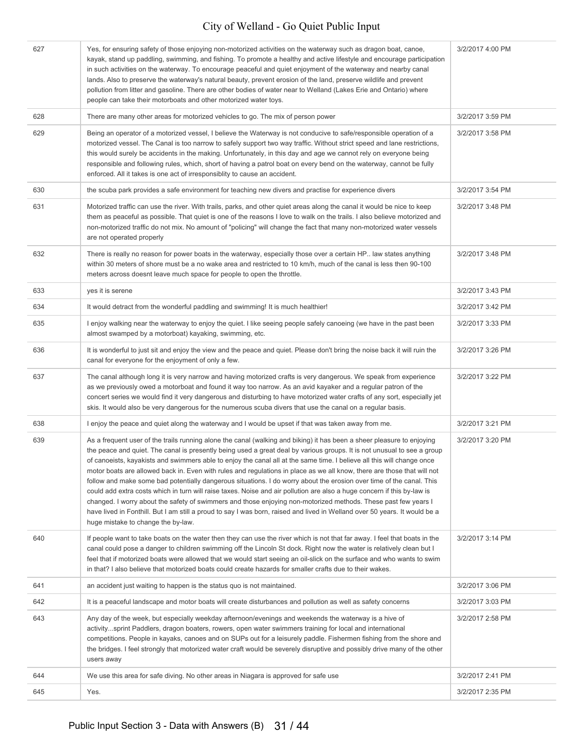| 627 | Yes, for ensuring safety of those enjoying non-motorized activities on the waterway such as dragon boat, canoe,<br>kayak, stand up paddling, swimming, and fishing. To promote a healthy and active lifestyle and encourage participation<br>in such activities on the waterway. To encourage peaceful and quiet enjoyment of the waterway and nearby canal<br>lands. Also to preserve the waterway's natural beauty, prevent erosion of the land, preserve wildlife and prevent<br>pollution from litter and gasoline. There are other bodies of water near to Welland (Lakes Erie and Ontario) where<br>people can take their motorboats and other motorized water toys.                                                                                                                                                                                                                                                                                                                                                                      | 3/2/2017 4:00 PM |
|-----|-------------------------------------------------------------------------------------------------------------------------------------------------------------------------------------------------------------------------------------------------------------------------------------------------------------------------------------------------------------------------------------------------------------------------------------------------------------------------------------------------------------------------------------------------------------------------------------------------------------------------------------------------------------------------------------------------------------------------------------------------------------------------------------------------------------------------------------------------------------------------------------------------------------------------------------------------------------------------------------------------------------------------------------------------|------------------|
| 628 | There are many other areas for motorized vehicles to go. The mix of person power                                                                                                                                                                                                                                                                                                                                                                                                                                                                                                                                                                                                                                                                                                                                                                                                                                                                                                                                                                | 3/2/2017 3:59 PM |
| 629 | Being an operator of a motorized vessel, I believe the Waterway is not conducive to safe/responsible operation of a<br>motorized vessel. The Canal is too narrow to safely support two way traffic. Without strict speed and lane restrictions,<br>this would surely be accidents in the making. Unfortunately, in this day and age we cannot rely on everyone being<br>responsible and following rules, which, short of having a patrol boat on every bend on the waterway, cannot be fully<br>enforced. All it takes is one act of irresponsiblity to cause an accident.                                                                                                                                                                                                                                                                                                                                                                                                                                                                      | 3/2/2017 3:58 PM |
| 630 | the scuba park provides a safe environment for teaching new divers and practise for experience divers                                                                                                                                                                                                                                                                                                                                                                                                                                                                                                                                                                                                                                                                                                                                                                                                                                                                                                                                           | 3/2/2017 3:54 PM |
| 631 | Motorized traffic can use the river. With trails, parks, and other quiet areas along the canal it would be nice to keep<br>them as peaceful as possible. That quiet is one of the reasons I love to walk on the trails. I also believe motorized and<br>non-motorized traffic do not mix. No amount of "policing" will change the fact that many non-motorized water vessels<br>are not operated properly                                                                                                                                                                                                                                                                                                                                                                                                                                                                                                                                                                                                                                       | 3/2/2017 3:48 PM |
| 632 | There is really no reason for power boats in the waterway, especially those over a certain HP. law states anything<br>within 30 meters of shore must be a no wake area and restricted to 10 km/h, much of the canal is less then 90-100<br>meters across doesnt leave much space for people to open the throttle.                                                                                                                                                                                                                                                                                                                                                                                                                                                                                                                                                                                                                                                                                                                               | 3/2/2017 3:48 PM |
| 633 | yes it is serene                                                                                                                                                                                                                                                                                                                                                                                                                                                                                                                                                                                                                                                                                                                                                                                                                                                                                                                                                                                                                                | 3/2/2017 3:43 PM |
| 634 | It would detract from the wonderful paddling and swimming! It is much healthier!                                                                                                                                                                                                                                                                                                                                                                                                                                                                                                                                                                                                                                                                                                                                                                                                                                                                                                                                                                | 3/2/2017 3:42 PM |
| 635 | I enjoy walking near the waterway to enjoy the quiet. I like seeing people safely canoeing (we have in the past been<br>almost swamped by a motorboat) kayaking, swimming, etc.                                                                                                                                                                                                                                                                                                                                                                                                                                                                                                                                                                                                                                                                                                                                                                                                                                                                 | 3/2/2017 3:33 PM |
| 636 | It is wonderful to just sit and enjoy the view and the peace and quiet. Please don't bring the noise back it will ruin the<br>canal for everyone for the enjoyment of only a few.                                                                                                                                                                                                                                                                                                                                                                                                                                                                                                                                                                                                                                                                                                                                                                                                                                                               | 3/2/2017 3:26 PM |
| 637 | The canal although long it is very narrow and having motorized crafts is very dangerous. We speak from experience<br>as we previously owed a motorboat and found it way too narrow. As an avid kayaker and a regular patron of the<br>concert series we would find it very dangerous and disturbing to have motorized water crafts of any sort, especially jet<br>skis. It would also be very dangerous for the numerous scuba divers that use the canal on a regular basis.                                                                                                                                                                                                                                                                                                                                                                                                                                                                                                                                                                    | 3/2/2017 3:22 PM |
| 638 | I enjoy the peace and quiet along the waterway and I would be upset if that was taken away from me.                                                                                                                                                                                                                                                                                                                                                                                                                                                                                                                                                                                                                                                                                                                                                                                                                                                                                                                                             | 3/2/2017 3:21 PM |
| 639 | As a frequent user of the trails running alone the canal (walking and biking) it has been a sheer pleasure to enjoying<br>the peace and quiet. The canal is presently being used a great deal by various groups. It is not unusual to see a group<br>of canoeists, kayakists and swimmers able to enjoy the canal all at the same time. I believe all this will change once<br>motor boats are allowed back in. Even with rules and regulations in place as we all know, there are those that will not<br>follow and make some bad potentially dangerous situations. I do worry about the erosion over time of the canal. This<br>could add extra costs which in turn will raise taxes. Noise and air pollution are also a huge concern if this by-law is<br>changed. I worry about the safety of swimmers and those enjoying non-motorized methods. These past few years I<br>have lived in Fonthill. But I am still a proud to say I was born, raised and lived in Welland over 50 years. It would be a<br>huge mistake to change the by-law. | 3/2/2017 3:20 PM |
| 640 | If people want to take boats on the water then they can use the river which is not that far away. I feel that boats in the<br>canal could pose a danger to children swimming off the Lincoln St dock. Right now the water is relatively clean but I<br>feel that if motorized boats were allowed that we would start seeing an oil-slick on the surface and who wants to swim<br>in that? I also believe that motorized boats could create hazards for smaller crafts due to their wakes.                                                                                                                                                                                                                                                                                                                                                                                                                                                                                                                                                       | 3/2/2017 3:14 PM |
| 641 | an accident just waiting to happen is the status quo is not maintained.                                                                                                                                                                                                                                                                                                                                                                                                                                                                                                                                                                                                                                                                                                                                                                                                                                                                                                                                                                         | 3/2/2017 3:06 PM |
| 642 | It is a peaceful landscape and motor boats will create disturbances and pollution as well as safety concerns                                                                                                                                                                                                                                                                                                                                                                                                                                                                                                                                                                                                                                                                                                                                                                                                                                                                                                                                    | 3/2/2017 3:03 PM |
| 643 | Any day of the week, but especially weekday afternoon/evenings and weekends the waterway is a hive of<br>activitysprint Paddlers, dragon boaters, rowers, open water swimmers training for local and international<br>competitions. People in kayaks, canoes and on SUPs out for a leisurely paddle. Fishermen fishing from the shore and<br>the bridges. I feel strongly that motorized water craft would be severely disruptive and possibly drive many of the other<br>users away                                                                                                                                                                                                                                                                                                                                                                                                                                                                                                                                                            | 3/2/2017 2:58 PM |
| 644 | We use this area for safe diving. No other areas in Niagara is approved for safe use                                                                                                                                                                                                                                                                                                                                                                                                                                                                                                                                                                                                                                                                                                                                                                                                                                                                                                                                                            | 3/2/2017 2:41 PM |
| 645 | Yes.                                                                                                                                                                                                                                                                                                                                                                                                                                                                                                                                                                                                                                                                                                                                                                                                                                                                                                                                                                                                                                            | 3/2/2017 2:35 PM |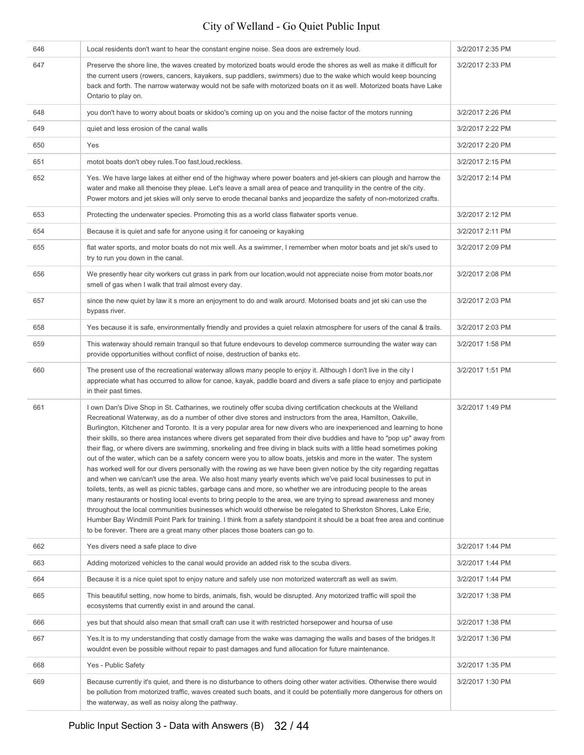| 646 | Local residents don't want to hear the constant engine noise. Sea doos are extremely loud.                                                                                                                                                                                                                                                                                                                                                                                                                                                                                                                                                                                                                                                                                                                                                                                                                                                                                                                                                                                                                                                                                                                                                                                                                                                                                                                                                                                                                                                                 | 3/2/2017 2:35 PM |
|-----|------------------------------------------------------------------------------------------------------------------------------------------------------------------------------------------------------------------------------------------------------------------------------------------------------------------------------------------------------------------------------------------------------------------------------------------------------------------------------------------------------------------------------------------------------------------------------------------------------------------------------------------------------------------------------------------------------------------------------------------------------------------------------------------------------------------------------------------------------------------------------------------------------------------------------------------------------------------------------------------------------------------------------------------------------------------------------------------------------------------------------------------------------------------------------------------------------------------------------------------------------------------------------------------------------------------------------------------------------------------------------------------------------------------------------------------------------------------------------------------------------------------------------------------------------------|------------------|
| 647 | Preserve the shore line, the waves created by motorized boats would erode the shores as well as make it difficult for<br>the current users (rowers, cancers, kayakers, sup paddlers, swimmers) due to the wake which would keep bouncing<br>back and forth. The narrow waterway would not be safe with motorized boats on it as well. Motorized boats have Lake<br>Ontario to play on.                                                                                                                                                                                                                                                                                                                                                                                                                                                                                                                                                                                                                                                                                                                                                                                                                                                                                                                                                                                                                                                                                                                                                                     | 3/2/2017 2:33 PM |
| 648 | you don't have to worry about boats or skidoo's coming up on you and the noise factor of the motors running                                                                                                                                                                                                                                                                                                                                                                                                                                                                                                                                                                                                                                                                                                                                                                                                                                                                                                                                                                                                                                                                                                                                                                                                                                                                                                                                                                                                                                                | 3/2/2017 2:26 PM |
| 649 | quiet and less erosion of the canal walls                                                                                                                                                                                                                                                                                                                                                                                                                                                                                                                                                                                                                                                                                                                                                                                                                                                                                                                                                                                                                                                                                                                                                                                                                                                                                                                                                                                                                                                                                                                  | 3/2/2017 2:22 PM |
| 650 | Yes                                                                                                                                                                                                                                                                                                                                                                                                                                                                                                                                                                                                                                                                                                                                                                                                                                                                                                                                                                                                                                                                                                                                                                                                                                                                                                                                                                                                                                                                                                                                                        | 3/2/2017 2:20 PM |
| 651 | motot boats don't obey rules. Too fast, loud, reckless.                                                                                                                                                                                                                                                                                                                                                                                                                                                                                                                                                                                                                                                                                                                                                                                                                                                                                                                                                                                                                                                                                                                                                                                                                                                                                                                                                                                                                                                                                                    | 3/2/2017 2:15 PM |
| 652 | Yes. We have large lakes at either end of the highway where power boaters and jet-skiers can plough and harrow the<br>water and make all thenoise they pleae. Let's leave a small area of peace and tranquility in the centre of the city.<br>Power motors and jet skies will only serve to erode thecanal banks and jeopardize the safety of non-motorized crafts.                                                                                                                                                                                                                                                                                                                                                                                                                                                                                                                                                                                                                                                                                                                                                                                                                                                                                                                                                                                                                                                                                                                                                                                        | 3/2/2017 2:14 PM |
| 653 | Protecting the underwater species. Promoting this as a world class flatwater sports venue.                                                                                                                                                                                                                                                                                                                                                                                                                                                                                                                                                                                                                                                                                                                                                                                                                                                                                                                                                                                                                                                                                                                                                                                                                                                                                                                                                                                                                                                                 | 3/2/2017 2:12 PM |
| 654 | Because it is quiet and safe for anyone using it for canoeing or kayaking                                                                                                                                                                                                                                                                                                                                                                                                                                                                                                                                                                                                                                                                                                                                                                                                                                                                                                                                                                                                                                                                                                                                                                                                                                                                                                                                                                                                                                                                                  | 3/2/2017 2:11 PM |
| 655 | flat water sports, and motor boats do not mix well. As a swimmer, I remember when motor boats and jet ski's used to<br>try to run you down in the canal.                                                                                                                                                                                                                                                                                                                                                                                                                                                                                                                                                                                                                                                                                                                                                                                                                                                                                                                                                                                                                                                                                                                                                                                                                                                                                                                                                                                                   | 3/2/2017 2:09 PM |
| 656 | We presently hear city workers cut grass in park from our location, would not appreciate noise from motor boats, nor<br>smell of gas when I walk that trail almost every day.                                                                                                                                                                                                                                                                                                                                                                                                                                                                                                                                                                                                                                                                                                                                                                                                                                                                                                                                                                                                                                                                                                                                                                                                                                                                                                                                                                              | 3/2/2017 2:08 PM |
| 657 | since the new quiet by law it s more an enjoyment to do and walk arourd. Motorised boats and jet ski can use the<br>bypass river.                                                                                                                                                                                                                                                                                                                                                                                                                                                                                                                                                                                                                                                                                                                                                                                                                                                                                                                                                                                                                                                                                                                                                                                                                                                                                                                                                                                                                          | 3/2/2017 2:03 PM |
| 658 | Yes because it is safe, environmentally friendly and provides a quiet relaxin atmosphere for users of the canal & trails.                                                                                                                                                                                                                                                                                                                                                                                                                                                                                                                                                                                                                                                                                                                                                                                                                                                                                                                                                                                                                                                                                                                                                                                                                                                                                                                                                                                                                                  | 3/2/2017 2:03 PM |
| 659 | This waterway should remain tranquil so that future endevours to develop commerce surrounding the water way can<br>provide opportunities without conflict of noise, destruction of banks etc.                                                                                                                                                                                                                                                                                                                                                                                                                                                                                                                                                                                                                                                                                                                                                                                                                                                                                                                                                                                                                                                                                                                                                                                                                                                                                                                                                              | 3/2/2017 1:58 PM |
| 660 | The present use of the recreational waterway allows many people to enjoy it. Although I don't live in the city I<br>appreciate what has occurred to allow for canoe, kayak, paddle board and divers a safe place to enjoy and participate<br>in their past times.                                                                                                                                                                                                                                                                                                                                                                                                                                                                                                                                                                                                                                                                                                                                                                                                                                                                                                                                                                                                                                                                                                                                                                                                                                                                                          | 3/2/2017 1:51 PM |
| 661 | I own Dan's Dive Shop in St. Catharines, we routinely offer scuba diving certification checkouts at the Welland<br>Recreational Waterway, as do a number of other dive stores and instructors from the area, Hamilton, Oakville,<br>Burlington, Kitchener and Toronto. It is a very popular area for new divers who are inexperienced and learning to hone<br>their skills, so there area instances where divers get separated from their dive buddies and have to "pop up" away from<br>their flag, or where divers are swimming, snorkeling and free diving in black suits with a little head sometimes poking<br>out of the water, which can be a safety concern were you to allow boats, jetskis and more in the water. The system<br>has worked well for our divers personally with the rowing as we have been given notice by the city regarding regattas<br>and when we can/can't use the area. We also host many yearly events which we've paid local businesses to put in<br>toilets, tents, as well as picnic tables, garbage cans and more, so whether we are introducing people to the areas<br>many restaurants or hosting local events to bring people to the area, we are trying to spread awareness and money<br>throughout the local communities businesses which would otherwise be relegated to Sherkston Shores, Lake Erie,<br>Humber Bay Windmill Point Park for training. I think from a safety standpoint it should be a boat free area and continue<br>to be forever. There are a great many other places those boaters can go to. | 3/2/2017 1:49 PM |
| 662 | Yes divers need a safe place to dive                                                                                                                                                                                                                                                                                                                                                                                                                                                                                                                                                                                                                                                                                                                                                                                                                                                                                                                                                                                                                                                                                                                                                                                                                                                                                                                                                                                                                                                                                                                       | 3/2/2017 1:44 PM |
| 663 | Adding motorized vehicles to the canal would provide an added risk to the scuba divers.                                                                                                                                                                                                                                                                                                                                                                                                                                                                                                                                                                                                                                                                                                                                                                                                                                                                                                                                                                                                                                                                                                                                                                                                                                                                                                                                                                                                                                                                    | 3/2/2017 1:44 PM |
| 664 | Because it is a nice quiet spot to enjoy nature and safely use non motorized watercraft as well as swim.                                                                                                                                                                                                                                                                                                                                                                                                                                                                                                                                                                                                                                                                                                                                                                                                                                                                                                                                                                                                                                                                                                                                                                                                                                                                                                                                                                                                                                                   | 3/2/2017 1:44 PM |
| 665 | This beautiful setting, now home to birds, animals, fish, would be disrupted. Any motorized traffic will spoil the<br>ecosystems that currently exist in and around the canal.                                                                                                                                                                                                                                                                                                                                                                                                                                                                                                                                                                                                                                                                                                                                                                                                                                                                                                                                                                                                                                                                                                                                                                                                                                                                                                                                                                             | 3/2/2017 1:38 PM |
| 666 | yes but that should also mean that small craft can use it with restricted horsepower and hoursa of use                                                                                                                                                                                                                                                                                                                                                                                                                                                                                                                                                                                                                                                                                                                                                                                                                                                                                                                                                                                                                                                                                                                                                                                                                                                                                                                                                                                                                                                     | 3/2/2017 1:38 PM |
| 667 | Yes. It is to my understanding that costly damage from the wake was damaging the walls and bases of the bridges. It<br>wouldnt even be possible without repair to past damages and fund allocation for future maintenance.                                                                                                                                                                                                                                                                                                                                                                                                                                                                                                                                                                                                                                                                                                                                                                                                                                                                                                                                                                                                                                                                                                                                                                                                                                                                                                                                 | 3/2/2017 1:36 PM |
| 668 | Yes - Public Safety                                                                                                                                                                                                                                                                                                                                                                                                                                                                                                                                                                                                                                                                                                                                                                                                                                                                                                                                                                                                                                                                                                                                                                                                                                                                                                                                                                                                                                                                                                                                        | 3/2/2017 1:35 PM |
| 669 | Because currently it's quiet, and there is no disturbance to others doing other water activities. Otherwise there would<br>be pollution from motorized traffic, waves created such boats, and it could be potentially more dangerous for others on<br>the waterway, as well as noisy along the pathway.                                                                                                                                                                                                                                                                                                                                                                                                                                                                                                                                                                                                                                                                                                                                                                                                                                                                                                                                                                                                                                                                                                                                                                                                                                                    | 3/2/2017 1:30 PM |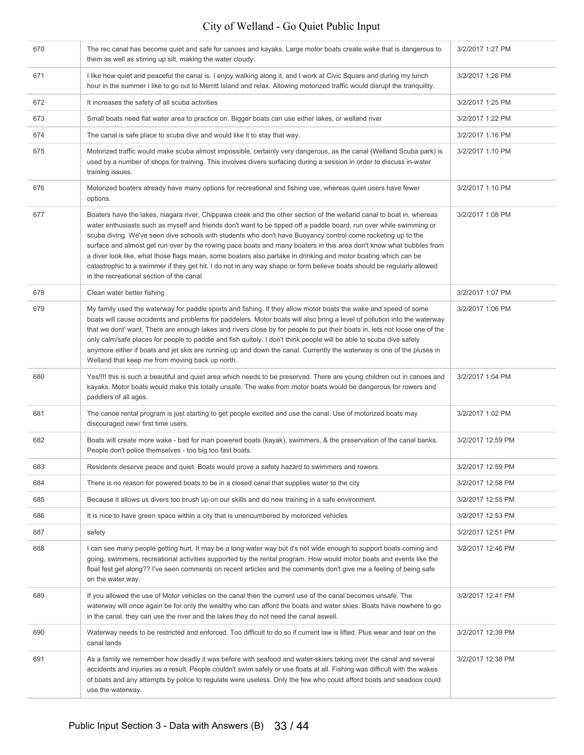| 670 | The rec canal has become quiet and safe for canoes and kayaks. Large motor boats create wake that is dangerous to<br>them as well as stirring up silt, making the water cloudy.                                                                                                                                                                                                                                                                                                                                                                                                                                                                                                                                                                                            | 3/2/2017 1:27 PM  |
|-----|----------------------------------------------------------------------------------------------------------------------------------------------------------------------------------------------------------------------------------------------------------------------------------------------------------------------------------------------------------------------------------------------------------------------------------------------------------------------------------------------------------------------------------------------------------------------------------------------------------------------------------------------------------------------------------------------------------------------------------------------------------------------------|-------------------|
| 671 | I like how quiet and peaceful the canal is. I enjoy walking along it, and I work at Civic Square and during my lunch<br>hour in the summer I like to go out to Merritt Island and relax. Allowing motorized traffic would disrupt the tranquility.                                                                                                                                                                                                                                                                                                                                                                                                                                                                                                                         | 3/2/2017 1:26 PM  |
| 672 | It increases the safety of all scuba activities                                                                                                                                                                                                                                                                                                                                                                                                                                                                                                                                                                                                                                                                                                                            | 3/2/2017 1:25 PM  |
| 673 | Small boats need flat water area to practice on. Bigger boats can use either lakes, or welland river                                                                                                                                                                                                                                                                                                                                                                                                                                                                                                                                                                                                                                                                       | 3/2/2017 1:22 PM  |
| 674 | The canal is safe place to scuba dive and would like it to stay that way.                                                                                                                                                                                                                                                                                                                                                                                                                                                                                                                                                                                                                                                                                                  | 3/2/2017 1:16 PM  |
| 675 | Motorized traffic would make scuba almost impossible, certainly very dangerous, as the canal (Welland Scuba park) is<br>used by a number of shops for training. This involves divers surfacing during a session in order to discuss in-water<br>training issues.                                                                                                                                                                                                                                                                                                                                                                                                                                                                                                           | 3/2/2017 1:10 PM  |
| 676 | Motorized boaters already have many options for recreational and fishing use, whereas quiet users have fewer<br>options.                                                                                                                                                                                                                                                                                                                                                                                                                                                                                                                                                                                                                                                   | 3/2/2017 1:10 PM  |
| 677 | Boaters have the lakes, niagara river, Chippawa creek and the other section of the welland canal to boat in, whereas<br>water enthusiasts such as myself and friends don't want to be tipped off a paddle board, run over while swimming or<br>scuba diving. We've seen dive schools with students who don't have Buoyancy control come rocketing up to the<br>surface and almost get run over by the rowing pace boats and many boaters in this area don't know what bubbles from<br>a diver look like, what those flags mean, some boaters also partake in drinking and motor boating which can be<br>catastrophic to a swimmer if they get hit. I do not in any way shape or form believe boats should be regularly allowed<br>in the recreational section of the canal | 3/2/2017 1:08 PM  |
| 678 | Clean water better fishing                                                                                                                                                                                                                                                                                                                                                                                                                                                                                                                                                                                                                                                                                                                                                 | 3/2/2017 1:07 PM  |
| 679 | My family used the waterway for paddle sports and fishing. If they allow motor boats the wake and speed of some<br>boats will cause accidents and problems for paddelers. Motor boats will also bring a level of pollution into the waterway<br>that we dont' want. There are enough lakes and rivers close by for people to put their boats in, lets not loose one of the<br>only calm/safe places for people to paddle and fish quitely. I don't think people will be able to scuba dive safely<br>anymore either if boats and jet skis are running up and down the canal. Currently the waterway is one of the pluses in<br>Welland that keep me from moving back up north.                                                                                             | 3/2/2017 1:06 PM  |
| 680 | Yes!!!! this is such a beautiful and quiet area which needs to be preserved. There are young children out in canoes and<br>kayaks. Motor boats would make this totally unsafe. The wake from motor boats would be dangerous for rowers and<br>paddlers of all ages.                                                                                                                                                                                                                                                                                                                                                                                                                                                                                                        | 3/2/2017 1:04 PM  |
| 681 | The canoe rental program is just starting to get people excited and use the canal. Use of motorized boats may<br>discouraged new/ first time users.                                                                                                                                                                                                                                                                                                                                                                                                                                                                                                                                                                                                                        | 3/2/2017 1:02 PM  |
| 682 | Boats will create more wake - bad for man powered boats (kayak), swimmers, & the preservation of the canal banks.<br>People don't police themselves - too big.too fast boats.                                                                                                                                                                                                                                                                                                                                                                                                                                                                                                                                                                                              | 3/2/2017 12:59 PM |
| 683 | Residents deserve peace and quiet. Boats would prove a safety hazard to swimmers and rowers                                                                                                                                                                                                                                                                                                                                                                                                                                                                                                                                                                                                                                                                                | 3/2/2017 12:59 PM |
| 684 | There is no reason for powered boats to be in a closed canal that supplies water to the city                                                                                                                                                                                                                                                                                                                                                                                                                                                                                                                                                                                                                                                                               | 3/2/2017 12:58 PM |
| 685 | Because it allows us divers too brush up on our skills and do new training in a safe environment.                                                                                                                                                                                                                                                                                                                                                                                                                                                                                                                                                                                                                                                                          | 3/2/2017 12:55 PM |
| 686 | It is nice to have green space within a city that is unencumbered by motorized vehicles                                                                                                                                                                                                                                                                                                                                                                                                                                                                                                                                                                                                                                                                                    | 3/2/2017 12:53 PM |
| 687 | safety                                                                                                                                                                                                                                                                                                                                                                                                                                                                                                                                                                                                                                                                                                                                                                     | 3/2/2017 12:51 PM |
| 688 | I can see many people getting hurt. It may be a long water way but it's not wide enough to support boats coming and<br>going, swimmers, recreational activities supported by the rental program. How would motor boats and events like the<br>float fest get along?? I've seen comments on recent articles and the comments don't give me a feeling of being safe<br>on the water way.                                                                                                                                                                                                                                                                                                                                                                                     | 3/2/2017 12:46 PM |
| 689 | If you allowed the use of Motor vehicles on the canal then the current use of the canal becomes unsafe. The<br>waterway will once again be for only the wealthy who can afford the boats and water skies. Boats have nowhere to go<br>in the canal, they can use the river and the lakes they do not need the canal aswell.                                                                                                                                                                                                                                                                                                                                                                                                                                                | 3/2/2017 12:41 PM |
| 690 | Waterway needs to be restricted and enforced. Too difficult to do so if current law is lifted. Plus wear and tear on the<br>canal lands                                                                                                                                                                                                                                                                                                                                                                                                                                                                                                                                                                                                                                    | 3/2/2017 12:39 PM |
| 691 | As a family we remember how deadly it was before with seafood and water-skiers taking over the canal and several<br>accidents and injuries as a result. People couldn't swim safely or use floats at all. Fishing was difficult with the wakes<br>of boats and any attempts by police to regulate were useless. Only the few who could afford boats and seadoos could<br>use the waterway.                                                                                                                                                                                                                                                                                                                                                                                 | 3/2/2017 12:38 PM |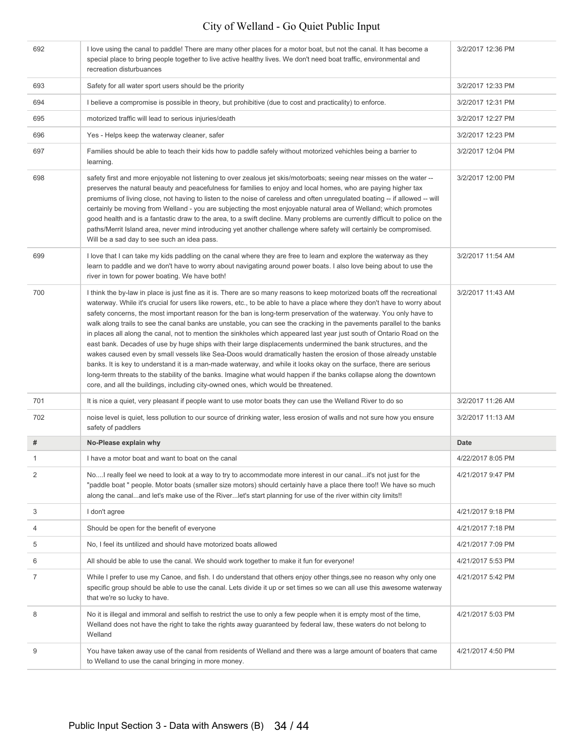| 692            | I love using the canal to paddle! There are many other places for a motor boat, but not the canal. It has become a<br>special place to bring people together to live active healthy lives. We don't need boat traffic, environmental and<br>recreation disturbuances                                                                                                                                                                                                                                                                                                                                                                                                                                                                                                                                                                                                                                                                                                                                                                                                                                                                                                                                       | 3/2/2017 12:36 PM |
|----------------|------------------------------------------------------------------------------------------------------------------------------------------------------------------------------------------------------------------------------------------------------------------------------------------------------------------------------------------------------------------------------------------------------------------------------------------------------------------------------------------------------------------------------------------------------------------------------------------------------------------------------------------------------------------------------------------------------------------------------------------------------------------------------------------------------------------------------------------------------------------------------------------------------------------------------------------------------------------------------------------------------------------------------------------------------------------------------------------------------------------------------------------------------------------------------------------------------------|-------------------|
| 693            | Safety for all water sport users should be the priority                                                                                                                                                                                                                                                                                                                                                                                                                                                                                                                                                                                                                                                                                                                                                                                                                                                                                                                                                                                                                                                                                                                                                    | 3/2/2017 12:33 PM |
| 694            | I believe a compromise is possible in theory, but prohibitive (due to cost and practicality) to enforce.                                                                                                                                                                                                                                                                                                                                                                                                                                                                                                                                                                                                                                                                                                                                                                                                                                                                                                                                                                                                                                                                                                   | 3/2/2017 12:31 PM |
| 695            | motorized traffic will lead to serious injuries/death                                                                                                                                                                                                                                                                                                                                                                                                                                                                                                                                                                                                                                                                                                                                                                                                                                                                                                                                                                                                                                                                                                                                                      | 3/2/2017 12:27 PM |
| 696            | Yes - Helps keep the waterway cleaner, safer                                                                                                                                                                                                                                                                                                                                                                                                                                                                                                                                                                                                                                                                                                                                                                                                                                                                                                                                                                                                                                                                                                                                                               | 3/2/2017 12:23 PM |
| 697            | Families should be able to teach their kids how to paddle safely without motorized vehichles being a barrier to<br>learning.                                                                                                                                                                                                                                                                                                                                                                                                                                                                                                                                                                                                                                                                                                                                                                                                                                                                                                                                                                                                                                                                               | 3/2/2017 12:04 PM |
| 698            | safety first and more enjoyable not listening to over zealous jet skis/motorboats; seeing near misses on the water --<br>preserves the natural beauty and peacefulness for families to enjoy and local homes, who are paying higher tax<br>premiums of living close, not having to listen to the noise of careless and often unregulated boating -- if allowed -- will<br>certainly be moving from Welland - you are subjecting the most enjoyable natural area of Welland; which promotes<br>good health and is a fantastic draw to the area, to a swift decline. Many problems are currently difficult to police on the<br>paths/Merrit Island area, never mind introducing yet another challenge where safety will certainly be compromised.<br>Will be a sad day to see such an idea pass.                                                                                                                                                                                                                                                                                                                                                                                                             | 3/2/2017 12:00 PM |
| 699            | I love that I can take my kids paddling on the canal where they are free to learn and explore the waterway as they<br>learn to paddle and we don't have to worry about navigating around power boats. I also love being about to use the<br>river in town for power boating. We have both!                                                                                                                                                                                                                                                                                                                                                                                                                                                                                                                                                                                                                                                                                                                                                                                                                                                                                                                 | 3/2/2017 11:54 AM |
| 700            | I think the by-law in place is just fine as it is. There are so many reasons to keep motorized boats off the recreational<br>waterway. While it's crucial for users like rowers, etc., to be able to have a place where they don't have to worry about<br>safety concerns, the most important reason for the ban is long-term preservation of the waterway. You only have to<br>walk along trails to see the canal banks are unstable, you can see the cracking in the pavements parallel to the banks<br>in places all along the canal, not to mention the sinkholes which appeared last year just south of Ontario Road on the<br>east bank. Decades of use by huge ships with their large displacements undermined the bank structures, and the<br>wakes caused even by small vessels like Sea-Doos would dramatically hasten the erosion of those already unstable<br>banks. It is key to understand it is a man-made waterway, and while it looks okay on the surface, there are serious<br>long-term threats to the stability of the banks. Imagine what would happen if the banks collapse along the downtown<br>core, and all the buildings, including city-owned ones, which would be threatened. | 3/2/2017 11:43 AM |
| 701            | It is nice a quiet, very pleasant if people want to use motor boats they can use the Welland River to do so                                                                                                                                                                                                                                                                                                                                                                                                                                                                                                                                                                                                                                                                                                                                                                                                                                                                                                                                                                                                                                                                                                | 3/2/2017 11:26 AM |
|                |                                                                                                                                                                                                                                                                                                                                                                                                                                                                                                                                                                                                                                                                                                                                                                                                                                                                                                                                                                                                                                                                                                                                                                                                            |                   |
| 702            | noise level is quiet, less pollution to our source of drinking water, less erosion of walls and not sure how you ensure<br>safety of paddlers                                                                                                                                                                                                                                                                                                                                                                                                                                                                                                                                                                                                                                                                                                                                                                                                                                                                                                                                                                                                                                                              | 3/2/2017 11:13 AM |
| #              | No-Please explain why                                                                                                                                                                                                                                                                                                                                                                                                                                                                                                                                                                                                                                                                                                                                                                                                                                                                                                                                                                                                                                                                                                                                                                                      | Date              |
| 1              | I have a motor boat and want to boat on the canal                                                                                                                                                                                                                                                                                                                                                                                                                                                                                                                                                                                                                                                                                                                                                                                                                                                                                                                                                                                                                                                                                                                                                          | 4/22/2017 8:05 PM |
| $\overline{2}$ | NoI really feel we need to look at a way to try to accommodate more interest in our canalit's not just for the<br>"paddle boat " people. Motor boats (smaller size motors) should certainly have a place there too!! We have so much<br>along the canaland let's make use of the Riverlet's start planning for use of the river within city limits!!                                                                                                                                                                                                                                                                                                                                                                                                                                                                                                                                                                                                                                                                                                                                                                                                                                                       | 4/21/2017 9:47 PM |
| 3              | I don't agree                                                                                                                                                                                                                                                                                                                                                                                                                                                                                                                                                                                                                                                                                                                                                                                                                                                                                                                                                                                                                                                                                                                                                                                              | 4/21/2017 9:18 PM |
| 4              | Should be open for the benefit of everyone                                                                                                                                                                                                                                                                                                                                                                                                                                                                                                                                                                                                                                                                                                                                                                                                                                                                                                                                                                                                                                                                                                                                                                 | 4/21/2017 7:18 PM |
| 5              | No, I feel its untilized and should have motorized boats allowed                                                                                                                                                                                                                                                                                                                                                                                                                                                                                                                                                                                                                                                                                                                                                                                                                                                                                                                                                                                                                                                                                                                                           | 4/21/2017 7:09 PM |
| 6              | All should be able to use the canal. We should work together to make it fun for everyone!                                                                                                                                                                                                                                                                                                                                                                                                                                                                                                                                                                                                                                                                                                                                                                                                                                                                                                                                                                                                                                                                                                                  | 4/21/2017 5:53 PM |
| 7              | While I prefer to use my Canoe, and fish. I do understand that others enjoy other things, see no reason why only one<br>specific group should be able to use the canal. Lets divide it up or set times so we can all use this awesome waterway<br>that we're so lucky to have.                                                                                                                                                                                                                                                                                                                                                                                                                                                                                                                                                                                                                                                                                                                                                                                                                                                                                                                             | 4/21/2017 5:42 PM |
| 8              | No it is illegal and immoral and selfish to restrict the use to only a few people when it is empty most of the time,<br>Welland does not have the right to take the rights away guaranteed by federal law, these waters do not belong to<br>Welland                                                                                                                                                                                                                                                                                                                                                                                                                                                                                                                                                                                                                                                                                                                                                                                                                                                                                                                                                        | 4/21/2017 5:03 PM |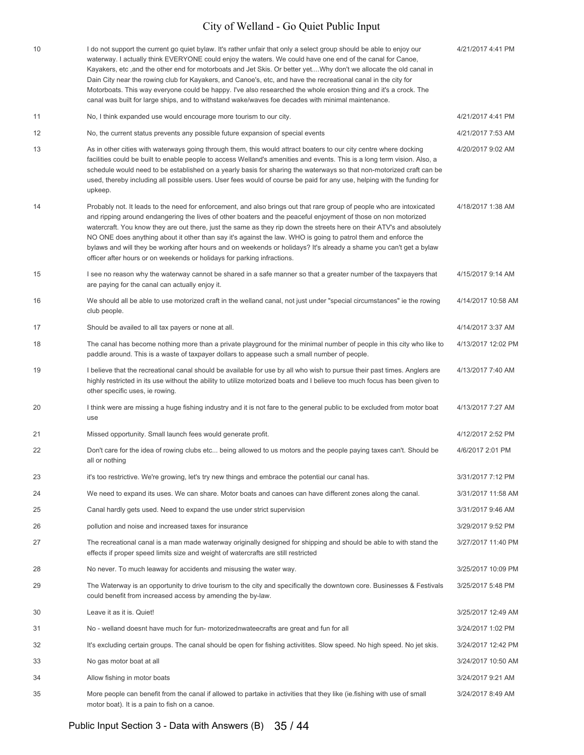| 10 | I do not support the current go quiet bylaw. It's rather unfair that only a select group should be able to enjoy our<br>waterway. I actually think EVERYONE could enjoy the waters. We could have one end of the canal for Canoe,<br>Kayakers, etc, and the other end for motorboats and Jet Skis. Or better yetWhy don't we allocate the old canal in<br>Dain City near the rowing club for Kayakers, and Canoe's, etc, and have the recreational canal in the city for<br>Motorboats. This way everyone could be happy. I've also researched the whole erosion thing and it's a crock. The<br>canal was built for large ships, and to withstand wake/waves foe decades with minimal maintenance. | 4/21/2017 4:41 PM  |
|----|----------------------------------------------------------------------------------------------------------------------------------------------------------------------------------------------------------------------------------------------------------------------------------------------------------------------------------------------------------------------------------------------------------------------------------------------------------------------------------------------------------------------------------------------------------------------------------------------------------------------------------------------------------------------------------------------------|--------------------|
| 11 | No, I think expanded use would encourage more tourism to our city.                                                                                                                                                                                                                                                                                                                                                                                                                                                                                                                                                                                                                                 | 4/21/2017 4:41 PM  |
| 12 | No, the current status prevents any possible future expansion of special events                                                                                                                                                                                                                                                                                                                                                                                                                                                                                                                                                                                                                    | 4/21/2017 7:53 AM  |
| 13 | As in other cities with waterways going through them, this would attract boaters to our city centre where docking<br>facilities could be built to enable people to access Welland's amenities and events. This is a long term vision. Also, a<br>schedule would need to be established on a yearly basis for sharing the waterways so that non-motorized craft can be<br>used, thereby including all possible users. User fees would of course be paid for any use, helping with the funding for<br>upkeep.                                                                                                                                                                                        | 4/20/2017 9:02 AM  |
| 14 | Probably not. It leads to the need for enforcement, and also brings out that rare group of people who are intoxicated<br>and ripping around endangering the lives of other boaters and the peaceful enjoyment of those on non motorized<br>watercraft. You know they are out there, just the same as they rip down the streets here on their ATV's and absolutely<br>NO ONE does anything about it other than say it's against the law. WHO is going to patrol them and enforce the<br>bylaws and will they be working after hours and on weekends or holidays? It's already a shame you can't get a bylaw<br>officer after hours or on weekends or holidays for parking infractions.              | 4/18/2017 1:38 AM  |
| 15 | I see no reason why the waterway cannot be shared in a safe manner so that a greater number of the taxpayers that<br>are paying for the canal can actually enjoy it.                                                                                                                                                                                                                                                                                                                                                                                                                                                                                                                               | 4/15/2017 9:14 AM  |
| 16 | We should all be able to use motorized craft in the welland canal, not just under "special circumstances" ie the rowing<br>club people.                                                                                                                                                                                                                                                                                                                                                                                                                                                                                                                                                            | 4/14/2017 10:58 AM |
| 17 | Should be availed to all tax payers or none at all.                                                                                                                                                                                                                                                                                                                                                                                                                                                                                                                                                                                                                                                | 4/14/2017 3:37 AM  |
| 18 | The canal has become nothing more than a private playground for the minimal number of people in this city who like to<br>paddle around. This is a waste of taxpayer dollars to appease such a small number of people.                                                                                                                                                                                                                                                                                                                                                                                                                                                                              | 4/13/2017 12:02 PM |
| 19 | I believe that the recreational canal should be available for use by all who wish to pursue their past times. Anglers are<br>highly restricted in its use without the ability to utilize motorized boats and I believe too much focus has been given to<br>other specific uses, ie rowing.                                                                                                                                                                                                                                                                                                                                                                                                         | 4/13/2017 7:40 AM  |
| 20 | I think were are missing a huge fishing industry and it is not fare to the general public to be excluded from motor boat<br>use                                                                                                                                                                                                                                                                                                                                                                                                                                                                                                                                                                    | 4/13/2017 7:27 AM  |
| 21 | Missed opportunity. Small launch fees would generate profit.                                                                                                                                                                                                                                                                                                                                                                                                                                                                                                                                                                                                                                       | 4/12/2017 2:52 PM  |
| 22 | Don't care for the idea of rowing clubs etc being allowed to us motors and the people paying taxes can't. Should be<br>all or nothing                                                                                                                                                                                                                                                                                                                                                                                                                                                                                                                                                              | 4/6/2017 2:01 PM   |
| 23 | it's too restrictive. We're growing, let's try new things and embrace the potential our canal has.                                                                                                                                                                                                                                                                                                                                                                                                                                                                                                                                                                                                 | 3/31/2017 7:12 PM  |
| 24 | We need to expand its uses. We can share. Motor boats and canoes can have different zones along the canal.                                                                                                                                                                                                                                                                                                                                                                                                                                                                                                                                                                                         | 3/31/2017 11:58 AM |
| 25 | Canal hardly gets used. Need to expand the use under strict supervision                                                                                                                                                                                                                                                                                                                                                                                                                                                                                                                                                                                                                            | 3/31/2017 9:46 AM  |
| 26 | pollution and noise and increased taxes for insurance                                                                                                                                                                                                                                                                                                                                                                                                                                                                                                                                                                                                                                              | 3/29/2017 9:52 PM  |
| 27 | The recreational canal is a man made waterway originally designed for shipping and should be able to with stand the<br>effects if proper speed limits size and weight of watercrafts are still restricted                                                                                                                                                                                                                                                                                                                                                                                                                                                                                          | 3/27/2017 11:40 PM |
| 28 | No never. To much leaway for accidents and misusing the water way.                                                                                                                                                                                                                                                                                                                                                                                                                                                                                                                                                                                                                                 | 3/25/2017 10:09 PM |
| 29 | The Waterway is an opportunity to drive tourism to the city and specifically the downtown core. Businesses & Festivals<br>could benefit from increased access by amending the by-law.                                                                                                                                                                                                                                                                                                                                                                                                                                                                                                              | 3/25/2017 5:48 PM  |
| 30 | Leave it as it is. Quiet!                                                                                                                                                                                                                                                                                                                                                                                                                                                                                                                                                                                                                                                                          | 3/25/2017 12:49 AM |
| 31 | No - welland doesnt have much for fun- motorizednwateecrafts are great and fun for all                                                                                                                                                                                                                                                                                                                                                                                                                                                                                                                                                                                                             | 3/24/2017 1:02 PM  |
| 32 | It's excluding certain groups. The canal should be open for fishing activitites. Slow speed. No high speed. No jet skis.                                                                                                                                                                                                                                                                                                                                                                                                                                                                                                                                                                           | 3/24/2017 12:42 PM |
| 33 | No gas motor boat at all                                                                                                                                                                                                                                                                                                                                                                                                                                                                                                                                                                                                                                                                           | 3/24/2017 10:50 AM |
| 34 | Allow fishing in motor boats                                                                                                                                                                                                                                                                                                                                                                                                                                                                                                                                                                                                                                                                       | 3/24/2017 9:21 AM  |
| 35 | More people can benefit from the canal if allowed to partake in activities that they like (ie fishing with use of small<br>motor boat). It is a pain to fish on a canoe.                                                                                                                                                                                                                                                                                                                                                                                                                                                                                                                           | 3/24/2017 8:49 AM  |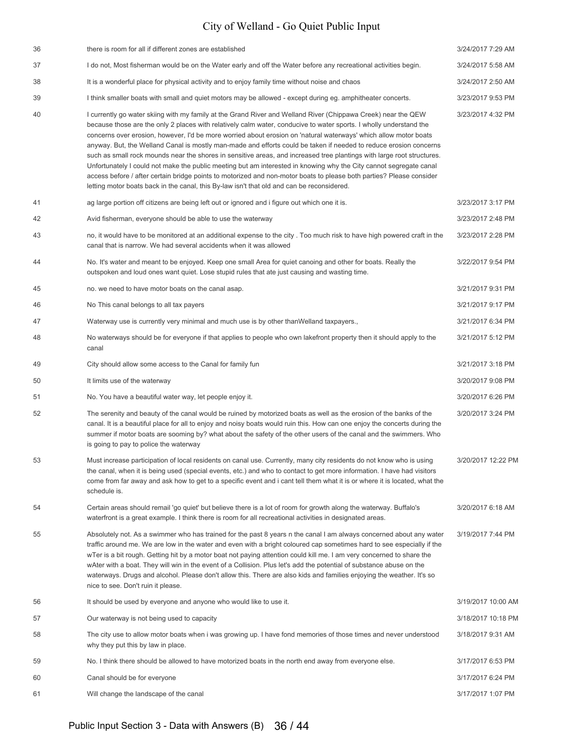| 36 | there is room for all if different zones are established                                                                                                                                                                                                                                                                                                                                                                                                                                                                                                                                                                                                                                                                                                                                                                                                                                                                                           | 3/24/2017 7:29 AM  |
|----|----------------------------------------------------------------------------------------------------------------------------------------------------------------------------------------------------------------------------------------------------------------------------------------------------------------------------------------------------------------------------------------------------------------------------------------------------------------------------------------------------------------------------------------------------------------------------------------------------------------------------------------------------------------------------------------------------------------------------------------------------------------------------------------------------------------------------------------------------------------------------------------------------------------------------------------------------|--------------------|
| 37 | I do not, Most fisherman would be on the Water early and off the Water before any recreational activities begin.                                                                                                                                                                                                                                                                                                                                                                                                                                                                                                                                                                                                                                                                                                                                                                                                                                   | 3/24/2017 5:58 AM  |
| 38 | It is a wonderful place for physical activity and to enjoy family time without noise and chaos                                                                                                                                                                                                                                                                                                                                                                                                                                                                                                                                                                                                                                                                                                                                                                                                                                                     | 3/24/2017 2:50 AM  |
| 39 | I think smaller boats with small and quiet motors may be allowed - except during eg. amphitheater concerts.                                                                                                                                                                                                                                                                                                                                                                                                                                                                                                                                                                                                                                                                                                                                                                                                                                        | 3/23/2017 9:53 PM  |
| 40 | I currently go water skiing with my family at the Grand River and Welland River (Chippawa Creek) near the QEW<br>because those are the only 2 places with relatively calm water, conducive to water sports. I wholly understand the<br>concerns over erosion, however, I'd be more worried about erosion on 'natural waterways' which allow motor boats<br>anyway. But, the Welland Canal is mostly man-made and efforts could be taken if needed to reduce erosion concerns<br>such as small rock mounds near the shores in sensitive areas, and increased tree plantings with large root structures.<br>Unfortunately I could not make the public meeting but am interested in knowing why the City cannot segregate canal<br>access before / after certain bridge points to motorized and non-motor boats to please both parties? Please consider<br>letting motor boats back in the canal, this By-law isn't that old and can be reconsidered. | 3/23/2017 4:32 PM  |
| 41 | ag large portion off citizens are being left out or ignored and i figure out which one it is.                                                                                                                                                                                                                                                                                                                                                                                                                                                                                                                                                                                                                                                                                                                                                                                                                                                      | 3/23/2017 3:17 PM  |
| 42 | Avid fisherman, everyone should be able to use the waterway                                                                                                                                                                                                                                                                                                                                                                                                                                                                                                                                                                                                                                                                                                                                                                                                                                                                                        | 3/23/2017 2:48 PM  |
| 43 | no, it would have to be monitored at an additional expense to the city. Too much risk to have high powered craft in the<br>canal that is narrow. We had several accidents when it was allowed                                                                                                                                                                                                                                                                                                                                                                                                                                                                                                                                                                                                                                                                                                                                                      | 3/23/2017 2:28 PM  |
| 44 | No. It's water and meant to be enjoyed. Keep one small Area for quiet canoing and other for boats. Really the<br>outspoken and loud ones want quiet. Lose stupid rules that ate just causing and wasting time.                                                                                                                                                                                                                                                                                                                                                                                                                                                                                                                                                                                                                                                                                                                                     | 3/22/2017 9:54 PM  |
| 45 | no. we need to have motor boats on the canal asap.                                                                                                                                                                                                                                                                                                                                                                                                                                                                                                                                                                                                                                                                                                                                                                                                                                                                                                 | 3/21/2017 9:31 PM  |
| 46 | No This canal belongs to all tax payers                                                                                                                                                                                                                                                                                                                                                                                                                                                                                                                                                                                                                                                                                                                                                                                                                                                                                                            | 3/21/2017 9:17 PM  |
| 47 | Waterway use is currently very minimal and much use is by other than Welland taxpayers.,                                                                                                                                                                                                                                                                                                                                                                                                                                                                                                                                                                                                                                                                                                                                                                                                                                                           | 3/21/2017 6:34 PM  |
| 48 | No waterways should be for everyone if that applies to people who own lakefront property then it should apply to the<br>canal                                                                                                                                                                                                                                                                                                                                                                                                                                                                                                                                                                                                                                                                                                                                                                                                                      | 3/21/2017 5:12 PM  |
| 49 | City should allow some access to the Canal for family fun                                                                                                                                                                                                                                                                                                                                                                                                                                                                                                                                                                                                                                                                                                                                                                                                                                                                                          | 3/21/2017 3:18 PM  |
| 50 | It limits use of the waterway                                                                                                                                                                                                                                                                                                                                                                                                                                                                                                                                                                                                                                                                                                                                                                                                                                                                                                                      | 3/20/2017 9:08 PM  |
| 51 | No. You have a beautiful water way, let people enjoy it.                                                                                                                                                                                                                                                                                                                                                                                                                                                                                                                                                                                                                                                                                                                                                                                                                                                                                           | 3/20/2017 6:26 PM  |
| 52 | The serenity and beauty of the canal would be ruined by motorized boats as well as the erosion of the banks of the<br>canal. It is a beautiful place for all to enjoy and noisy boats would ruin this. How can one enjoy the concerts during the<br>summer if motor boats are sooming by? what about the safety of the other users of the canal and the swimmers. Who<br>is going to pay to police the waterway                                                                                                                                                                                                                                                                                                                                                                                                                                                                                                                                    | 3/20/2017 3:24 PM  |
| 53 | Must increase participation of local residents on canal use. Currently, many city residents do not know who is using<br>the canal, when it is being used (special events, etc.) and who to contact to get more information. I have had visitors<br>come from far away and ask how to get to a specific event and i cant tell them what it is or where it is located, what the<br>schedule is.                                                                                                                                                                                                                                                                                                                                                                                                                                                                                                                                                      | 3/20/2017 12:22 PM |
| 54 | Certain areas should remail 'go quiet' but believe there is a lot of room for growth along the waterway. Buffalo's<br>waterfront is a great example. I think there is room for all recreational activities in designated areas.                                                                                                                                                                                                                                                                                                                                                                                                                                                                                                                                                                                                                                                                                                                    | 3/20/2017 6:18 AM  |
| 55 | Absolutely not. As a swimmer who has trained for the past 8 years n the canal I am always concerned about any water<br>traffic around me. We are low in the water and even with a bright coloured cap sometimes hard to see especially if the<br>wTer is a bit rough. Getting hit by a motor boat not paying attention could kill me. I am very concerned to share the<br>wAter with a boat. They will win in the event of a Collision. Plus let's add the potential of substance abuse on the<br>waterways. Drugs and alcohol. Please don't allow this. There are also kids and families enjoying the weather. It's so<br>nice to see. Don't ruin it please.                                                                                                                                                                                                                                                                                      | 3/19/2017 7:44 PM  |
| 56 | It should be used by everyone and anyone who would like to use it.                                                                                                                                                                                                                                                                                                                                                                                                                                                                                                                                                                                                                                                                                                                                                                                                                                                                                 | 3/19/2017 10:00 AM |
| 57 | Our waterway is not being used to capacity                                                                                                                                                                                                                                                                                                                                                                                                                                                                                                                                                                                                                                                                                                                                                                                                                                                                                                         | 3/18/2017 10:18 PM |
| 58 | The city use to allow motor boats when i was growing up. I have fond memories of those times and never understood<br>why they put this by law in place.                                                                                                                                                                                                                                                                                                                                                                                                                                                                                                                                                                                                                                                                                                                                                                                            | 3/18/2017 9:31 AM  |
| 59 | No. I think there should be allowed to have motorized boats in the north end away from everyone else.                                                                                                                                                                                                                                                                                                                                                                                                                                                                                                                                                                                                                                                                                                                                                                                                                                              | 3/17/2017 6:53 PM  |
| 60 | Canal should be for everyone                                                                                                                                                                                                                                                                                                                                                                                                                                                                                                                                                                                                                                                                                                                                                                                                                                                                                                                       | 3/17/2017 6:24 PM  |
| 61 | Will change the landscape of the canal                                                                                                                                                                                                                                                                                                                                                                                                                                                                                                                                                                                                                                                                                                                                                                                                                                                                                                             | 3/17/2017 1:07 PM  |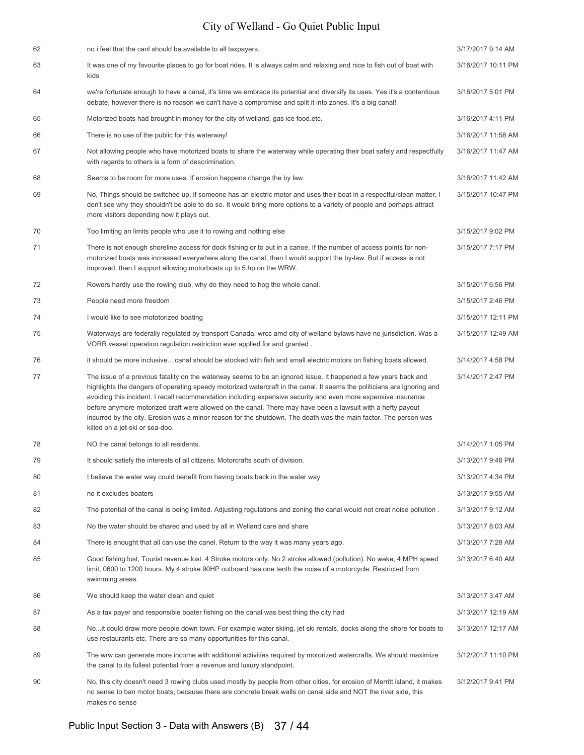| 62 | no i feel that the canl should be available to all taxpayers.                                                                                                                                                                                                                                                                                                                                                                                                                                                                                                                                                                      | 3/17/2017 9:14 AM  |
|----|------------------------------------------------------------------------------------------------------------------------------------------------------------------------------------------------------------------------------------------------------------------------------------------------------------------------------------------------------------------------------------------------------------------------------------------------------------------------------------------------------------------------------------------------------------------------------------------------------------------------------------|--------------------|
|    |                                                                                                                                                                                                                                                                                                                                                                                                                                                                                                                                                                                                                                    |                    |
| 63 | It was one of my favourite places to go for boat rides. It is always calm and relaxing and nice to fish out of boat with<br>kids                                                                                                                                                                                                                                                                                                                                                                                                                                                                                                   | 3/16/2017 10:11 PM |
| 64 | we're fortunate enough to have a canal, it's time we embrace its potential and diversify its uses. Yes it's a contentious<br>debate, however there is no reason we can't have a compromise and split it into zones. It's a big canal!                                                                                                                                                                                                                                                                                                                                                                                              | 3/16/2017 5:01 PM  |
| 65 | Motorized boats had brought in money for the city of welland, gas ice food.etc.                                                                                                                                                                                                                                                                                                                                                                                                                                                                                                                                                    | 3/16/2017 4:11 PM  |
| 66 | There is no use of the public for this waterway!                                                                                                                                                                                                                                                                                                                                                                                                                                                                                                                                                                                   | 3/16/2017 11:58 AM |
| 67 | Not allowing people who have motorized boats to share the waterway while operating their boat safely and respectfully<br>with regards to others is a form of descrimination.                                                                                                                                                                                                                                                                                                                                                                                                                                                       | 3/16/2017 11:47 AM |
| 68 | Seems to be room for more uses. If erosion happens change the by law.                                                                                                                                                                                                                                                                                                                                                                                                                                                                                                                                                              | 3/16/2017 11:42 AM |
| 69 | No, Things should be switched up, if someone has an electric motor and uses their boat in a respectful/clean matter, I<br>don't see why they shouldn't be able to do so. It would bring more options to a variety of people and perhaps attract<br>more visitors depending how it plays out.                                                                                                                                                                                                                                                                                                                                       | 3/15/2017 10:47 PM |
| 70 | Too limiting an limits people who use it to rowing and nothing else                                                                                                                                                                                                                                                                                                                                                                                                                                                                                                                                                                | 3/15/2017 9:02 PM  |
| 71 | There is not enough shoreline access for dock fishing or to put in a canoe. If the number of access points for non-<br>motorized boats was increased everywhere along the canal, then I would support the by-law. But if access is not<br>improved, then I support allowing motorboats up to 5 hp on the WRW.                                                                                                                                                                                                                                                                                                                      | 3/15/2017 7:17 PM  |
| 72 | Rowers hardly use the rowing club, why do they need to hog the whole canal.                                                                                                                                                                                                                                                                                                                                                                                                                                                                                                                                                        | 3/15/2017 6:56 PM  |
| 73 | People need more freedom                                                                                                                                                                                                                                                                                                                                                                                                                                                                                                                                                                                                           | 3/15/2017 2:46 PM  |
| 74 | I would like to see mototorized boating                                                                                                                                                                                                                                                                                                                                                                                                                                                                                                                                                                                            | 3/15/2017 12:11 PM |
| 75 | Waterways are federally regulated by transport Canada. wrcc amd city of welland bylaws have no jurisdiction. Was a<br>VORR vessel operation regulation restriction ever applied for and granted.                                                                                                                                                                                                                                                                                                                                                                                                                                   | 3/15/2017 12:49 AM |
| 76 | it should be more inclusivecanal should be stocked with fish and small electric motors on fishing boats allowed.                                                                                                                                                                                                                                                                                                                                                                                                                                                                                                                   | 3/14/2017 4:58 PM  |
| 77 | The issue of a previous fatality on the waterway seems to be an ignored issue. It happened a few years back and<br>highlights the dangers of operating speedy motorized watercraft in the canal. It seems the politicians are ignoring and<br>avoiding this incident. I recall recommendation including expensive security and even more expensive insurance<br>before anymore motorized craft were allowed on the canal. There may have been a lawsuit with a hefty payout<br>incurred by the city. Erosion was a minor reason for the shutdown. The death was the main factor. The person was<br>killed on a jet-ski or sea-doo. | 3/14/2017 2:47 PM  |
| 78 | NO the canal belongs to all residents.                                                                                                                                                                                                                                                                                                                                                                                                                                                                                                                                                                                             | 3/14/2017 1:05 PM  |
| 79 | It should satisfy the interests of all citizens. Motorcrafts south of division.                                                                                                                                                                                                                                                                                                                                                                                                                                                                                                                                                    | 3/13/2017 9:46 PM  |
| 80 | I believe the water way could benefit from having boats back in the water way                                                                                                                                                                                                                                                                                                                                                                                                                                                                                                                                                      | 3/13/2017 4:34 PM  |
| 81 | no it excludes boaters                                                                                                                                                                                                                                                                                                                                                                                                                                                                                                                                                                                                             | 3/13/2017 9:55 AM  |
| 82 | The potential of the canal is being limited. Adjusting regulations and zoning the canal would not creat noise pollution.                                                                                                                                                                                                                                                                                                                                                                                                                                                                                                           | 3/13/2017 9:12 AM  |
| 83 | No the water should be shared and used by all in Welland care and share                                                                                                                                                                                                                                                                                                                                                                                                                                                                                                                                                            | 3/13/2017 8:03 AM  |
| 84 | There is enought that all can use the canel. Return to the way it was many years ago.                                                                                                                                                                                                                                                                                                                                                                                                                                                                                                                                              | 3/13/2017 7:28 AM  |
| 85 | Good fishing lost, Tourist revenue lost. 4 Stroke motors only. No 2 stroke allowed (pollution). No wake, 4 MPH speed<br>limit, 0600 to 1200 hours. My 4 stroke 90HP outboard has one tenth the noise of a motorcycle. Restricted from<br>swimming areas.                                                                                                                                                                                                                                                                                                                                                                           | 3/13/2017 6:40 AM  |
| 86 | We should keep the water clean and quiet                                                                                                                                                                                                                                                                                                                                                                                                                                                                                                                                                                                           | 3/13/2017 3:47 AM  |
| 87 | As a tax payer and responsible boater fishing on the canal was best thing the city had                                                                                                                                                                                                                                                                                                                                                                                                                                                                                                                                             | 3/13/2017 12:19 AM |
| 88 | Noit could draw more people down town. For example water skiing, jet ski rentals, docks along the shore for boats to<br>use restaurants etc. There are so many opportunities for this canal.                                                                                                                                                                                                                                                                                                                                                                                                                                       | 3/13/2017 12:17 AM |
| 89 | The wrw can generate more income with additional activities required by motorized watercrafts. We should maximize<br>the canal to its fullest potential from a revenue and luxury standpoint.                                                                                                                                                                                                                                                                                                                                                                                                                                      | 3/12/2017 11:10 PM |
| 90 | No, this city doesn't need 3 rowing clubs used mostly by people from other cities, for erosion of Merritt island, it makes<br>no sense to ban motor boats, because there are concrete break walls on canal side and NOT the river side, this<br>makes no sense                                                                                                                                                                                                                                                                                                                                                                     | 3/12/2017 9:41 PM  |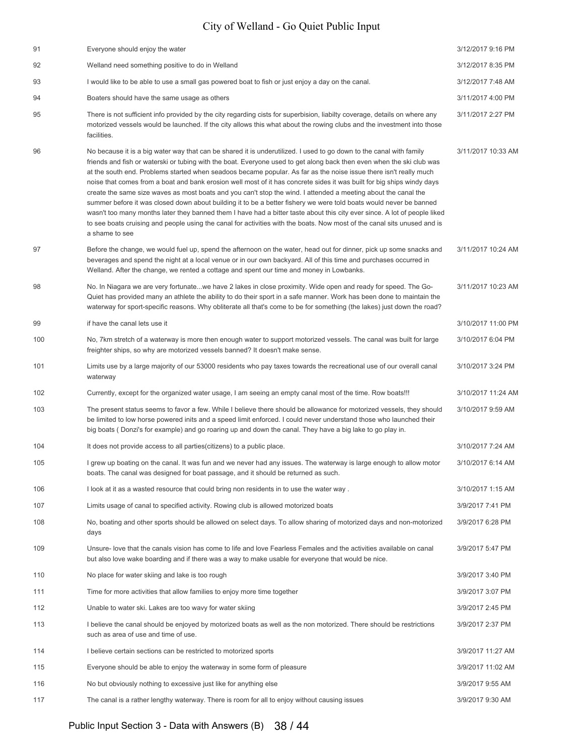| 91  | Everyone should enjoy the water                                                                                                                                                                                                                                                                                                                                                                                                                                                                                                                                                                                                                                                                                                                                                                                                                                                                                                                                                                                | 3/12/2017 9:16 PM  |
|-----|----------------------------------------------------------------------------------------------------------------------------------------------------------------------------------------------------------------------------------------------------------------------------------------------------------------------------------------------------------------------------------------------------------------------------------------------------------------------------------------------------------------------------------------------------------------------------------------------------------------------------------------------------------------------------------------------------------------------------------------------------------------------------------------------------------------------------------------------------------------------------------------------------------------------------------------------------------------------------------------------------------------|--------------------|
| 92  | Welland need something positive to do in Welland                                                                                                                                                                                                                                                                                                                                                                                                                                                                                                                                                                                                                                                                                                                                                                                                                                                                                                                                                               | 3/12/2017 8:35 PM  |
| 93  | I would like to be able to use a small gas powered boat to fish or just enjoy a day on the canal.                                                                                                                                                                                                                                                                                                                                                                                                                                                                                                                                                                                                                                                                                                                                                                                                                                                                                                              | 3/12/2017 7:48 AM  |
| 94  | Boaters should have the same usage as others                                                                                                                                                                                                                                                                                                                                                                                                                                                                                                                                                                                                                                                                                                                                                                                                                                                                                                                                                                   | 3/11/2017 4:00 PM  |
| 95  | There is not sufficient info provided by the city regarding cists for superbision, liabilty coverage, details on where any<br>motorized vessels would be launched. If the city allows this what about the rowing clubs and the investment into those<br>facilities.                                                                                                                                                                                                                                                                                                                                                                                                                                                                                                                                                                                                                                                                                                                                            | 3/11/2017 2:27 PM  |
| 96  | No because it is a big water way that can be shared it is underutilized. I used to go down to the canal with family<br>friends and fish or waterski or tubing with the boat. Everyone used to get along back then even when the ski club was<br>at the south end. Problems started when seadoos became popular. As far as the noise issue there isn't really much<br>noise that comes from a boat and bank erosion well most of it has concrete sides it was built for big ships windy days<br>create the same size waves as most boats and you can't stop the wind. I attended a meeting about the canal the<br>summer before it was closed down about building it to be a better fishery we were told boats would never be banned<br>wasn't too many months later they banned them I have had a bitter taste about this city ever since. A lot of people liked<br>to see boats cruising and people using the canal for activities with the boats. Now most of the canal sits unused and is<br>a shame to see | 3/11/2017 10:33 AM |
| 97  | Before the change, we would fuel up, spend the afternoon on the water, head out for dinner, pick up some snacks and<br>beverages and spend the night at a local venue or in our own backyard. All of this time and purchases occurred in<br>Welland. After the change, we rented a cottage and spent our time and money in Lowbanks.                                                                                                                                                                                                                                                                                                                                                                                                                                                                                                                                                                                                                                                                           | 3/11/2017 10:24 AM |
| 98  | No. In Niagara we are very fortunatewe have 2 lakes in close proximity. Wide open and ready for speed. The Go-<br>Quiet has provided many an athlete the ability to do their sport in a safe manner. Work has been done to maintain the<br>waterway for sport-specific reasons. Why obliterate all that's come to be for something (the lakes) just down the road?                                                                                                                                                                                                                                                                                                                                                                                                                                                                                                                                                                                                                                             | 3/11/2017 10:23 AM |
| 99  | if have the canal lets use it                                                                                                                                                                                                                                                                                                                                                                                                                                                                                                                                                                                                                                                                                                                                                                                                                                                                                                                                                                                  | 3/10/2017 11:00 PM |
| 100 | No, 7km stretch of a waterway is more then enough water to support motorized vessels. The canal was built for large<br>freighter ships, so why are motorized vessels banned? It doesn't make sense.                                                                                                                                                                                                                                                                                                                                                                                                                                                                                                                                                                                                                                                                                                                                                                                                            | 3/10/2017 6:04 PM  |
| 101 | Limits use by a large majority of our 53000 residents who pay taxes towards the recreational use of our overall canal<br>waterway                                                                                                                                                                                                                                                                                                                                                                                                                                                                                                                                                                                                                                                                                                                                                                                                                                                                              | 3/10/2017 3:24 PM  |
| 102 | Currently, except for the organized water usage, I am seeing an empty canal most of the time. Row boats!!!                                                                                                                                                                                                                                                                                                                                                                                                                                                                                                                                                                                                                                                                                                                                                                                                                                                                                                     | 3/10/2017 11:24 AM |
| 103 | The present status seems to favor a few. While I believe there should be allowance for motorized vessels, they should<br>be limited to low horse powered inits and a speed limit enforced. I could never understand those who launched their<br>big boats (Donzi's for example) and go roaring up and down the canal. They have a big lake to go play in.                                                                                                                                                                                                                                                                                                                                                                                                                                                                                                                                                                                                                                                      | 3/10/2017 9:59 AM  |
| 104 | It does not provide access to all parties (citizens) to a public place.                                                                                                                                                                                                                                                                                                                                                                                                                                                                                                                                                                                                                                                                                                                                                                                                                                                                                                                                        | 3/10/2017 7:24 AM  |
| 105 | I grew up boating on the canal. It was fun and we never had any issues. The waterway is large enough to allow motor<br>boats. The canal was designed for boat passage, and it should be returned as such.                                                                                                                                                                                                                                                                                                                                                                                                                                                                                                                                                                                                                                                                                                                                                                                                      | 3/10/2017 6:14 AM  |
| 106 | I look at it as a wasted resource that could bring non residents in to use the water way.                                                                                                                                                                                                                                                                                                                                                                                                                                                                                                                                                                                                                                                                                                                                                                                                                                                                                                                      | 3/10/2017 1:15 AM  |
| 107 | Limits usage of canal to specified activity. Rowing club is allowed motorized boats                                                                                                                                                                                                                                                                                                                                                                                                                                                                                                                                                                                                                                                                                                                                                                                                                                                                                                                            | 3/9/2017 7:41 PM   |
| 108 | No, boating and other sports should be allowed on select days. To allow sharing of motorized days and non-motorized<br>days                                                                                                                                                                                                                                                                                                                                                                                                                                                                                                                                                                                                                                                                                                                                                                                                                                                                                    | 3/9/2017 6:28 PM   |
| 109 | Unsure-love that the canals vision has come to life and love Fearless Females and the activities available on canal<br>but also love wake boarding and if there was a way to make usable for everyone that would be nice.                                                                                                                                                                                                                                                                                                                                                                                                                                                                                                                                                                                                                                                                                                                                                                                      | 3/9/2017 5:47 PM   |
| 110 | No place for water skiing and lake is too rough                                                                                                                                                                                                                                                                                                                                                                                                                                                                                                                                                                                                                                                                                                                                                                                                                                                                                                                                                                | 3/9/2017 3:40 PM   |
| 111 | Time for more activities that allow families to enjoy more time together                                                                                                                                                                                                                                                                                                                                                                                                                                                                                                                                                                                                                                                                                                                                                                                                                                                                                                                                       | 3/9/2017 3:07 PM   |
| 112 | Unable to water ski. Lakes are too wavy for water skiing                                                                                                                                                                                                                                                                                                                                                                                                                                                                                                                                                                                                                                                                                                                                                                                                                                                                                                                                                       | 3/9/2017 2:45 PM   |
| 113 | I believe the canal should be enjoyed by motorized boats as well as the non motorized. There should be restrictions<br>such as area of use and time of use.                                                                                                                                                                                                                                                                                                                                                                                                                                                                                                                                                                                                                                                                                                                                                                                                                                                    | 3/9/2017 2:37 PM   |
| 114 | I believe certain sections can be restricted to motorized sports                                                                                                                                                                                                                                                                                                                                                                                                                                                                                                                                                                                                                                                                                                                                                                                                                                                                                                                                               | 3/9/2017 11:27 AM  |
| 115 | Everyone should be able to enjoy the waterway in some form of pleasure                                                                                                                                                                                                                                                                                                                                                                                                                                                                                                                                                                                                                                                                                                                                                                                                                                                                                                                                         | 3/9/2017 11:02 AM  |
| 116 | No but obviously nothing to excessive just like for anything else                                                                                                                                                                                                                                                                                                                                                                                                                                                                                                                                                                                                                                                                                                                                                                                                                                                                                                                                              | 3/9/2017 9:55 AM   |
| 117 | The canal is a rather lengthy waterway. There is room for all to enjoy without causing issues                                                                                                                                                                                                                                                                                                                                                                                                                                                                                                                                                                                                                                                                                                                                                                                                                                                                                                                  | 3/9/2017 9:30 AM   |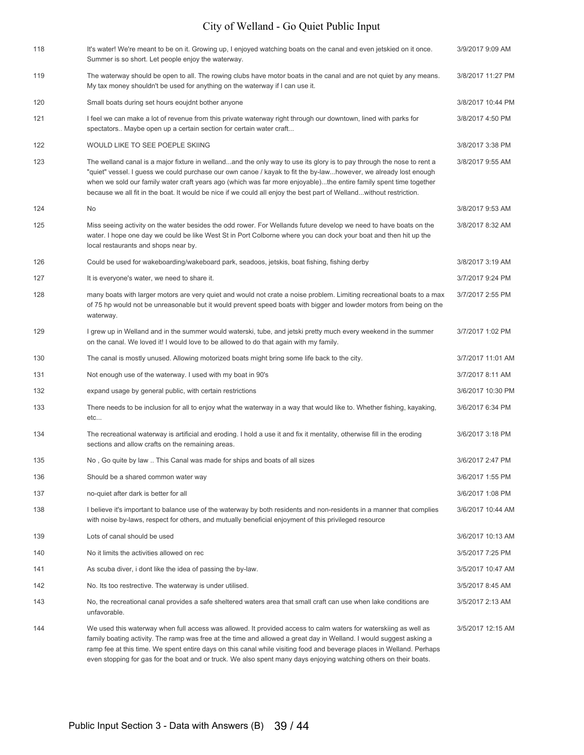| 118 | It's water! We're meant to be on it. Growing up, I enjoyed watching boats on the canal and even jetskied on it once.<br>Summer is so short. Let people enjoy the waterway.                                                                                                                                                                                                                                                                                                            | 3/9/2017 9:09 AM  |
|-----|---------------------------------------------------------------------------------------------------------------------------------------------------------------------------------------------------------------------------------------------------------------------------------------------------------------------------------------------------------------------------------------------------------------------------------------------------------------------------------------|-------------------|
| 119 | The waterway should be open to all. The rowing clubs have motor boats in the canal and are not quiet by any means.<br>My tax money shouldn't be used for anything on the waterway if I can use it.                                                                                                                                                                                                                                                                                    | 3/8/2017 11:27 PM |
| 120 | Small boats during set hours eoujdnt bother anyone                                                                                                                                                                                                                                                                                                                                                                                                                                    | 3/8/2017 10:44 PM |
| 121 | I feel we can make a lot of revenue from this private waterway right through our downtown, lined with parks for<br>spectators Maybe open up a certain section for certain water craft                                                                                                                                                                                                                                                                                                 | 3/8/2017 4:50 PM  |
| 122 | WOULD LIKE TO SEE POEPLE SKIING                                                                                                                                                                                                                                                                                                                                                                                                                                                       | 3/8/2017 3:38 PM  |
| 123 | The welland canal is a major fixture in wellandand the only way to use its glory is to pay through the nose to rent a<br>"quiet" vessel. I guess we could purchase our own canoe / kayak to fit the by-lawhowever, we already lost enough<br>when we sold our family water craft years ago (which was far more enjoyable)the entire family spent time together<br>because we all fit in the boat. It would be nice if we could all enjoy the best part of Wellandwithout restriction. | 3/8/2017 9:55 AM  |
| 124 | No                                                                                                                                                                                                                                                                                                                                                                                                                                                                                    | 3/8/2017 9:53 AM  |
| 125 | Miss seeing activity on the water besides the odd rower. For Wellands future develop we need to have boats on the<br>water. I hope one day we could be like West St in Port Colborne where you can dock your boat and then hit up the<br>local restaurants and shops near by.                                                                                                                                                                                                         | 3/8/2017 8:32 AM  |
| 126 | Could be used for wakeboarding/wakeboard park, seadoos, jetskis, boat fishing, fishing derby                                                                                                                                                                                                                                                                                                                                                                                          | 3/8/2017 3:19 AM  |
| 127 | It is everyone's water, we need to share it.                                                                                                                                                                                                                                                                                                                                                                                                                                          | 3/7/2017 9:24 PM  |
| 128 | many boats with larger motors are very quiet and would not crate a noise problem. Limiting recreational boats to a max<br>of 75 hp would not be unreasonable but it would prevent speed boats with bigger and lowder motors from being on the<br>waterway.                                                                                                                                                                                                                            | 3/7/2017 2:55 PM  |
| 129 | I grew up in Welland and in the summer would waterski, tube, and jetski pretty much every weekend in the summer<br>on the canal. We loved it! I would love to be allowed to do that again with my family.                                                                                                                                                                                                                                                                             | 3/7/2017 1:02 PM  |
| 130 | The canal is mostly unused. Allowing motorized boats might bring some life back to the city.                                                                                                                                                                                                                                                                                                                                                                                          | 3/7/2017 11:01 AM |
| 131 | Not enough use of the waterway. I used with my boat in 90's                                                                                                                                                                                                                                                                                                                                                                                                                           | 3/7/2017 8:11 AM  |
| 132 | expand usage by general public, with certain restrictions                                                                                                                                                                                                                                                                                                                                                                                                                             | 3/6/2017 10:30 PM |
| 133 | There needs to be inclusion for all to enjoy what the waterway in a way that would like to. Whether fishing, kayaking,<br>etc                                                                                                                                                                                                                                                                                                                                                         | 3/6/2017 6:34 PM  |
| 134 | The recreational waterway is artificial and eroding. I hold a use it and fix it mentality, otherwise fill in the eroding<br>sections and allow crafts on the remaining areas.                                                                                                                                                                                                                                                                                                         | 3/6/2017 3:18 PM  |
| 135 | No, Go quite by law  This Canal was made for ships and boats of all sizes                                                                                                                                                                                                                                                                                                                                                                                                             | 3/6/2017 2:47 PM  |
| 136 | Should be a shared common water way                                                                                                                                                                                                                                                                                                                                                                                                                                                   | 3/6/2017 1:55 PM  |
| 137 | no-quiet after dark is better for all                                                                                                                                                                                                                                                                                                                                                                                                                                                 | 3/6/2017 1:08 PM  |
| 138 | I believe it's important to balance use of the waterway by both residents and non-residents in a manner that complies<br>with noise by-laws, respect for others, and mutually beneficial enjoyment of this privileged resource                                                                                                                                                                                                                                                        | 3/6/2017 10:44 AM |
| 139 | Lots of canal should be used                                                                                                                                                                                                                                                                                                                                                                                                                                                          | 3/6/2017 10:13 AM |
| 140 | No it limits the activities allowed on rec                                                                                                                                                                                                                                                                                                                                                                                                                                            | 3/5/2017 7:25 PM  |
| 141 | As scuba diver, i dont like the idea of passing the by-law.                                                                                                                                                                                                                                                                                                                                                                                                                           | 3/5/2017 10:47 AM |
| 142 | No. Its too restrective. The waterway is under utilised.                                                                                                                                                                                                                                                                                                                                                                                                                              | 3/5/2017 8:45 AM  |
| 143 | No, the recreational canal provides a safe sheltered waters area that small craft can use when lake conditions are<br>unfavorable.                                                                                                                                                                                                                                                                                                                                                    | 3/5/2017 2:13 AM  |
| 144 | We used this waterway when full access was allowed. It provided access to calm waters for waterskiing as well as<br>family boating activity. The ramp was free at the time and allowed a great day in Welland. I would suggest asking a<br>ramp fee at this time. We spent entire days on this canal while visiting food and beverage places in Welland. Perhaps<br>even stopping for gas for the boat and or truck. We also spent many days enjoying watching others on their boats. | 3/5/2017 12:15 AM |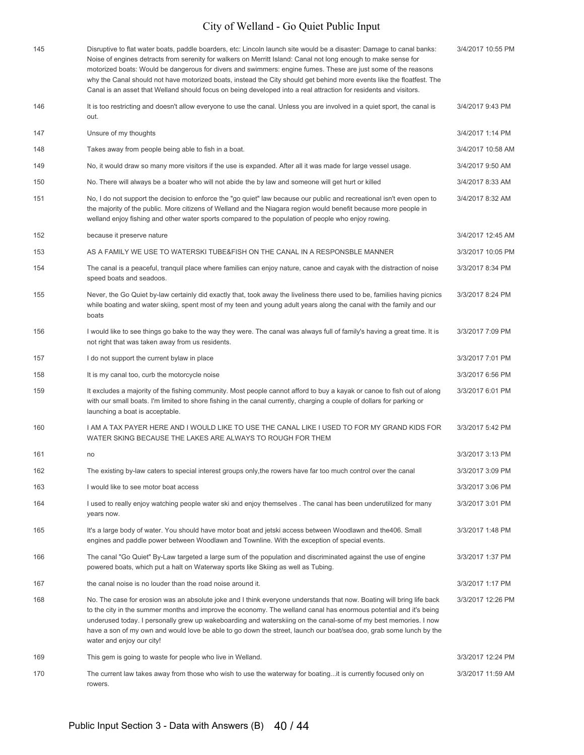| 145 | Disruptive to flat water boats, paddle boarders, etc: Lincoln launch site would be a disaster: Damage to canal banks:<br>Noise of engines detracts from serenity for walkers on Merritt Island: Canal not long enough to make sense for<br>motorized boats: Would be dangerous for divers and swimmers: engine fumes. These are just some of the reasons<br>why the Canal should not have motorized boats, instead the City should get behind more events like the floatfest. The<br>Canal is an asset that Welland should focus on being developed into a real attraction for residents and visitors. | 3/4/2017 10:55 PM |
|-----|--------------------------------------------------------------------------------------------------------------------------------------------------------------------------------------------------------------------------------------------------------------------------------------------------------------------------------------------------------------------------------------------------------------------------------------------------------------------------------------------------------------------------------------------------------------------------------------------------------|-------------------|
| 146 | It is too restricting and doesn't allow everyone to use the canal. Unless you are involved in a quiet sport, the canal is<br>out.                                                                                                                                                                                                                                                                                                                                                                                                                                                                      | 3/4/2017 9:43 PM  |
| 147 | Unsure of my thoughts                                                                                                                                                                                                                                                                                                                                                                                                                                                                                                                                                                                  | 3/4/2017 1:14 PM  |
| 148 | Takes away from people being able to fish in a boat.                                                                                                                                                                                                                                                                                                                                                                                                                                                                                                                                                   | 3/4/2017 10:58 AM |
| 149 | No, it would draw so many more visitors if the use is expanded. After all it was made for large vessel usage.                                                                                                                                                                                                                                                                                                                                                                                                                                                                                          | 3/4/2017 9:50 AM  |
| 150 | No. There will always be a boater who will not abide the by law and someone will get hurt or killed                                                                                                                                                                                                                                                                                                                                                                                                                                                                                                    | 3/4/2017 8:33 AM  |
| 151 | No, I do not support the decision to enforce the "go quiet" law because our public and recreational isn't even open to<br>the majority of the public. More citizens of Welland and the Niagara region would benefit because more people in<br>welland enjoy fishing and other water sports compared to the population of people who enjoy rowing.                                                                                                                                                                                                                                                      | 3/4/2017 8:32 AM  |
| 152 | because it preserve nature                                                                                                                                                                                                                                                                                                                                                                                                                                                                                                                                                                             | 3/4/2017 12:45 AM |
| 153 | AS A FAMILY WE USE TO WATERSKI TUBE&FISH ON THE CANAL IN A RESPONSBLE MANNER                                                                                                                                                                                                                                                                                                                                                                                                                                                                                                                           | 3/3/2017 10:05 PM |
| 154 | The canal is a peaceful, tranquil place where families can enjoy nature, canoe and cayak with the distraction of noise<br>speed boats and seadoos.                                                                                                                                                                                                                                                                                                                                                                                                                                                     | 3/3/2017 8:34 PM  |
| 155 | Never, the Go Quiet by-law certainly did exactly that, took away the liveliness there used to be, families having picnics<br>while boating and water skiing, spent most of my teen and young adult years along the canal with the family and our<br>boats                                                                                                                                                                                                                                                                                                                                              | 3/3/2017 8:24 PM  |
| 156 | I would like to see things go bake to the way they were. The canal was always full of family's having a great time. It is<br>not right that was taken away from us residents.                                                                                                                                                                                                                                                                                                                                                                                                                          | 3/3/2017 7:09 PM  |
| 157 | I do not support the current bylaw in place                                                                                                                                                                                                                                                                                                                                                                                                                                                                                                                                                            | 3/3/2017 7:01 PM  |
| 158 | It is my canal too, curb the motorcycle noise                                                                                                                                                                                                                                                                                                                                                                                                                                                                                                                                                          | 3/3/2017 6:56 PM  |
| 159 | It excludes a majority of the fishing community. Most people cannot afford to buy a kayak or canoe to fish out of along<br>with our small boats. I'm limited to shore fishing in the canal currently, charging a couple of dollars for parking or<br>launching a boat is acceptable.                                                                                                                                                                                                                                                                                                                   | 3/3/2017 6:01 PM  |
| 160 | I AM A TAX PAYER HERE AND I WOULD LIKE TO USE THE CANAL LIKE I USED TO FOR MY GRAND KIDS FOR<br>WATER SKING BECAUSE THE LAKES ARE ALWAYS TO ROUGH FOR THEM                                                                                                                                                                                                                                                                                                                                                                                                                                             | 3/3/2017 5:42 PM  |
| 161 | no                                                                                                                                                                                                                                                                                                                                                                                                                                                                                                                                                                                                     | 3/3/2017 3:13 PM  |
| 162 | The existing by-law caters to special interest groups only, the rowers have far too much control over the canal                                                                                                                                                                                                                                                                                                                                                                                                                                                                                        | 3/3/2017 3:09 PM  |
| 163 | I would like to see motor boat access                                                                                                                                                                                                                                                                                                                                                                                                                                                                                                                                                                  | 3/3/2017 3:06 PM  |
| 164 | I used to really enjoy watching people water ski and enjoy themselves . The canal has been underutilized for many<br>years now.                                                                                                                                                                                                                                                                                                                                                                                                                                                                        | 3/3/2017 3:01 PM  |
| 165 | It's a large body of water. You should have motor boat and jetski access between Woodlawn and the 406. Small<br>engines and paddle power between Woodlawn and Townline. With the exception of special events.                                                                                                                                                                                                                                                                                                                                                                                          | 3/3/2017 1:48 PM  |
| 166 | The canal "Go Quiet" By-Law targeted a large sum of the population and discriminated against the use of engine<br>powered boats, which put a halt on Waterway sports like Skiing as well as Tubing.                                                                                                                                                                                                                                                                                                                                                                                                    | 3/3/2017 1:37 PM  |
| 167 | the canal noise is no louder than the road noise around it.                                                                                                                                                                                                                                                                                                                                                                                                                                                                                                                                            | 3/3/2017 1:17 PM  |
| 168 | No. The case for erosion was an absolute joke and I think everyone understands that now. Boating will bring life back<br>to the city in the summer months and improve the economy. The welland canal has enormous potential and it's being<br>underused today. I personally grew up wakeboarding and waterskiing on the canal-some of my best memories. I now<br>have a son of my own and would love be able to go down the street, launch our boat/sea doo, grab some lunch by the<br>water and enjoy our city!                                                                                       | 3/3/2017 12:26 PM |
| 169 | This gem is going to waste for people who live in Welland.                                                                                                                                                                                                                                                                                                                                                                                                                                                                                                                                             | 3/3/2017 12:24 PM |
| 170 | The current law takes away from those who wish to use the waterway for boatingit is currently focused only on<br>rowers.                                                                                                                                                                                                                                                                                                                                                                                                                                                                               | 3/3/2017 11:59 AM |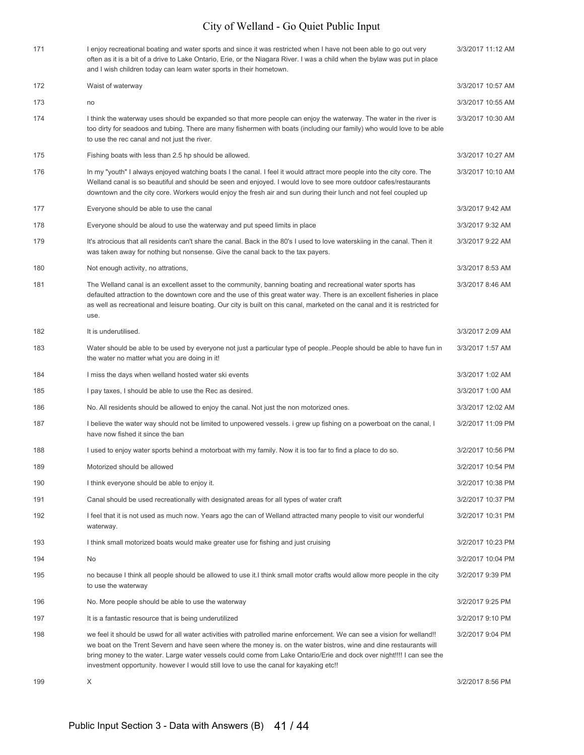| 171 | I enjoy recreational boating and water sports and since it was restricted when I have not been able to go out very<br>often as it is a bit of a drive to Lake Ontario, Erie, or the Niagara River. I was a child when the bylaw was put in place<br>and I wish children today can learn water sports in their hometown.                                                                                                                                          | 3/3/2017 11:12 AM |
|-----|------------------------------------------------------------------------------------------------------------------------------------------------------------------------------------------------------------------------------------------------------------------------------------------------------------------------------------------------------------------------------------------------------------------------------------------------------------------|-------------------|
| 172 | Waist of waterway                                                                                                                                                                                                                                                                                                                                                                                                                                                | 3/3/2017 10:57 AM |
| 173 | no                                                                                                                                                                                                                                                                                                                                                                                                                                                               | 3/3/2017 10:55 AM |
| 174 | I think the waterway uses should be expanded so that more people can enjoy the waterway. The water in the river is<br>too dirty for seadoos and tubing. There are many fishermen with boats (including our family) who would love to be able<br>to use the rec canal and not just the river.                                                                                                                                                                     | 3/3/2017 10:30 AM |
| 175 | Fishing boats with less than 2.5 hp should be allowed.                                                                                                                                                                                                                                                                                                                                                                                                           | 3/3/2017 10:27 AM |
| 176 | In my "youth" I always enjoyed watching boats I the canal. I feel it would attract more people into the city core. The<br>Welland canal is so beautiful and should be seen and enjoyed. I would love to see more outdoor cafes/restaurants<br>downtown and the city core. Workers would enjoy the fresh air and sun during their lunch and not feel coupled up                                                                                                   | 3/3/2017 10:10 AM |
| 177 | Everyone should be able to use the canal                                                                                                                                                                                                                                                                                                                                                                                                                         | 3/3/2017 9:42 AM  |
| 178 | Everyone should be aloud to use the waterway and put speed limits in place                                                                                                                                                                                                                                                                                                                                                                                       | 3/3/2017 9:32 AM  |
| 179 | It's atrocious that all residents can't share the canal. Back in the 80's I used to love waterskiing in the canal. Then it<br>was taken away for nothing but nonsense. Give the canal back to the tax payers.                                                                                                                                                                                                                                                    | 3/3/2017 9:22 AM  |
| 180 | Not enough activity, no attrations,                                                                                                                                                                                                                                                                                                                                                                                                                              | 3/3/2017 8:53 AM  |
| 181 | The Welland canal is an excellent asset to the community, banning boating and recreational water sports has<br>defaulted attraction to the downtown core and the use of this great water way. There is an excellent fisheries in place<br>as well as recreational and leisure boating. Our city is built on this canal, marketed on the canal and it is restricted for<br>use.                                                                                   | 3/3/2017 8:46 AM  |
| 182 | It is underutilised.                                                                                                                                                                                                                                                                                                                                                                                                                                             | 3/3/2017 2:09 AM  |
| 183 | Water should be able to be used by everyone not just a particular type of people. People should be able to have fun in<br>the water no matter what you are doing in it!                                                                                                                                                                                                                                                                                          | 3/3/2017 1:57 AM  |
| 184 | I miss the days when welland hosted water ski events                                                                                                                                                                                                                                                                                                                                                                                                             | 3/3/2017 1:02 AM  |
| 185 | I pay taxes, I should be able to use the Rec as desired.                                                                                                                                                                                                                                                                                                                                                                                                         | 3/3/2017 1:00 AM  |
| 186 | No. All residents should be allowed to enjoy the canal. Not just the non motorized ones.                                                                                                                                                                                                                                                                                                                                                                         | 3/3/2017 12:02 AM |
| 187 | I believe the water way should not be limited to unpowered vessels. i grew up fishing on a powerboat on the canal, I<br>have now fished it since the ban                                                                                                                                                                                                                                                                                                         | 3/2/2017 11:09 PM |
| 188 | I used to enjoy water sports behind a motorboat with my family. Now it is too far to find a place to do so.                                                                                                                                                                                                                                                                                                                                                      | 3/2/2017 10:56 PM |
| 189 | Motorized should be allowed                                                                                                                                                                                                                                                                                                                                                                                                                                      | 3/2/2017 10:54 PM |
| 190 | I think everyone should be able to enjoy it.                                                                                                                                                                                                                                                                                                                                                                                                                     | 3/2/2017 10:38 PM |
| 191 | Canal should be used recreationally with designated areas for all types of water craft                                                                                                                                                                                                                                                                                                                                                                           | 3/2/2017 10:37 PM |
| 192 | I feel that it is not used as much now. Years ago the can of Welland attracted many people to visit our wonderful<br>waterway.                                                                                                                                                                                                                                                                                                                                   | 3/2/2017 10:31 PM |
| 193 | I think small motorized boats would make greater use for fishing and just cruising                                                                                                                                                                                                                                                                                                                                                                               | 3/2/2017 10:23 PM |
| 194 | No                                                                                                                                                                                                                                                                                                                                                                                                                                                               | 3/2/2017 10:04 PM |
| 195 | no because I think all people should be allowed to use it. I think small motor crafts would allow more people in the city<br>to use the waterway                                                                                                                                                                                                                                                                                                                 | 3/2/2017 9:39 PM  |
| 196 | No. More people should be able to use the waterway                                                                                                                                                                                                                                                                                                                                                                                                               | 3/2/2017 9:25 PM  |
| 197 | It is a fantastic resource that is being underutilized                                                                                                                                                                                                                                                                                                                                                                                                           | 3/2/2017 9:10 PM  |
| 198 | we feel it should be uswd for all water activities with patrolled marine enforcement. We can see a vision for welland!!<br>we boat on the Trent Severn and have seen where the money is. on the water bistros, wine and dine restaurants will<br>bring money to the water. Large water vessels could come from Lake Ontario/Erie and dock over night!!!! I can see the<br>investment opportunity. however I would still love to use the canal for kayaking etc!! | 3/2/2017 9:04 PM  |
| 199 | X                                                                                                                                                                                                                                                                                                                                                                                                                                                                | 3/2/2017 8:56 PM  |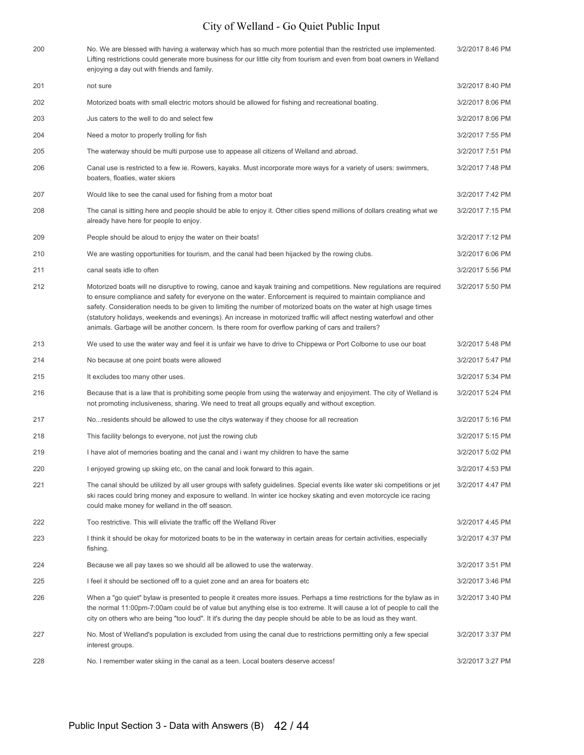| 200 | No. We are blessed with having a waterway which has so much more potential than the restricted use implemented.<br>Lifting restrictions could generate more business for our little city from tourism and even from boat owners in Welland<br>enjoying a day out with friends and family.                                                                                                                                                                                                                                                                                                   | 3/2/2017 8:46 PM |
|-----|---------------------------------------------------------------------------------------------------------------------------------------------------------------------------------------------------------------------------------------------------------------------------------------------------------------------------------------------------------------------------------------------------------------------------------------------------------------------------------------------------------------------------------------------------------------------------------------------|------------------|
| 201 | not sure                                                                                                                                                                                                                                                                                                                                                                                                                                                                                                                                                                                    | 3/2/2017 8:40 PM |
| 202 | Motorized boats with small electric motors should be allowed for fishing and recreational boating.                                                                                                                                                                                                                                                                                                                                                                                                                                                                                          | 3/2/2017 8:06 PM |
| 203 | Jus caters to the well to do and select few                                                                                                                                                                                                                                                                                                                                                                                                                                                                                                                                                 | 3/2/2017 8:06 PM |
| 204 | Need a motor to properly trolling for fish                                                                                                                                                                                                                                                                                                                                                                                                                                                                                                                                                  | 3/2/2017 7:55 PM |
| 205 | The waterway should be multi purpose use to appease all citizens of Welland and abroad.                                                                                                                                                                                                                                                                                                                                                                                                                                                                                                     | 3/2/2017 7:51 PM |
| 206 | Canal use is restricted to a few ie. Rowers, kayaks. Must incorporate more ways for a variety of users: swimmers,<br>boaters, floaties, water skiers                                                                                                                                                                                                                                                                                                                                                                                                                                        | 3/2/2017 7:48 PM |
| 207 | Would like to see the canal used for fishing from a motor boat                                                                                                                                                                                                                                                                                                                                                                                                                                                                                                                              | 3/2/2017 7:42 PM |
| 208 | The canal is sitting here and people should be able to enjoy it. Other cities spend millions of dollars creating what we<br>already have here for people to enjoy.                                                                                                                                                                                                                                                                                                                                                                                                                          | 3/2/2017 7:15 PM |
| 209 | People should be aloud to enjoy the water on their boats!                                                                                                                                                                                                                                                                                                                                                                                                                                                                                                                                   | 3/2/2017 7:12 PM |
| 210 | We are wasting opportunities for tourism, and the canal had been hijacked by the rowing clubs.                                                                                                                                                                                                                                                                                                                                                                                                                                                                                              | 3/2/2017 6:06 PM |
| 211 | canal seats idle to often                                                                                                                                                                                                                                                                                                                                                                                                                                                                                                                                                                   | 3/2/2017 5:56 PM |
| 212 | Motorized boats will ne disruptive to rowing, canoe and kayak training and competitions. New regulations are required<br>to ensure compliance and safety for everyone on the water. Enforcement is required to maintain compliance and<br>safety. Consideration needs to be given to limiting the number of motorized boats on the water at high usage times<br>(statutory holidays, weekends and evenings). An increase in motorized traffic will affect nesting waterfowl and other<br>animals. Garbage will be another concern. Is there room for overflow parking of cars and trailers? | 3/2/2017 5:50 PM |
| 213 | We used to use the water way and feel it is unfair we have to drive to Chippewa or Port Colborne to use our boat                                                                                                                                                                                                                                                                                                                                                                                                                                                                            | 3/2/2017 5:48 PM |
| 214 | No because at one point boats were allowed                                                                                                                                                                                                                                                                                                                                                                                                                                                                                                                                                  | 3/2/2017 5:47 PM |
| 215 | It excludes too many other uses.                                                                                                                                                                                                                                                                                                                                                                                                                                                                                                                                                            | 3/2/2017 5:34 PM |
| 216 | Because that is a law that is prohibiting some people from using the waterway and enjoyiment. The city of Welland is<br>not promoting inclusiveness, sharing. We need to treat all groups equally and without exception.                                                                                                                                                                                                                                                                                                                                                                    | 3/2/2017 5:24 PM |
| 217 | No residents should be allowed to use the citys waterway if they choose for all recreation                                                                                                                                                                                                                                                                                                                                                                                                                                                                                                  | 3/2/2017 5:16 PM |
| 218 | This facility belongs to everyone, not just the rowing club                                                                                                                                                                                                                                                                                                                                                                                                                                                                                                                                 | 3/2/2017 5:15 PM |
| 219 | I have alot of memories boating and the canal and i want my children to have the same                                                                                                                                                                                                                                                                                                                                                                                                                                                                                                       | 3/2/2017 5:02 PM |
| 220 | I enjoyed growing up skiing etc, on the canal and look forward to this again.                                                                                                                                                                                                                                                                                                                                                                                                                                                                                                               | 3/2/2017 4:53 PM |
| 221 | The canal should be utilized by all user groups with safety quidelines. Special events like water ski competitions or jet<br>ski races could bring money and exposure to welland. In winter ice hockey skating and even motorcycle ice racing<br>could make money for welland in the off season.                                                                                                                                                                                                                                                                                            | 3/2/2017 4:47 PM |
| 222 | Too restrictive. This will eliviate the traffic off the Welland River                                                                                                                                                                                                                                                                                                                                                                                                                                                                                                                       | 3/2/2017 4:45 PM |
| 223 | I think it should be okay for motorized boats to be in the waterway in certain areas for certain activities, especially<br>fishing.                                                                                                                                                                                                                                                                                                                                                                                                                                                         | 3/2/2017 4:37 PM |
| 224 | Because we all pay taxes so we should all be allowed to use the waterway.                                                                                                                                                                                                                                                                                                                                                                                                                                                                                                                   | 3/2/2017 3:51 PM |
| 225 | I feel it should be sectioned off to a quiet zone and an area for boaters etc                                                                                                                                                                                                                                                                                                                                                                                                                                                                                                               | 3/2/2017 3:46 PM |
| 226 | When a "go quiet" bylaw is presented to people it creates more issues. Perhaps a time restrictions for the bylaw as in<br>the normal 11:00pm-7:00am could be of value but anything else is too extreme. It will cause a lot of people to call the<br>city on others who are being "too loud". It it's during the day people should be able to be as loud as they want.                                                                                                                                                                                                                      | 3/2/2017 3:40 PM |
| 227 | No. Most of Welland's population is excluded from using the canal due to restrictions permitting only a few special<br>interest groups.                                                                                                                                                                                                                                                                                                                                                                                                                                                     | 3/2/2017 3:37 PM |
| 228 | No. I remember water skiing in the canal as a teen. Local boaters deserve access!                                                                                                                                                                                                                                                                                                                                                                                                                                                                                                           | 3/2/2017 3:27 PM |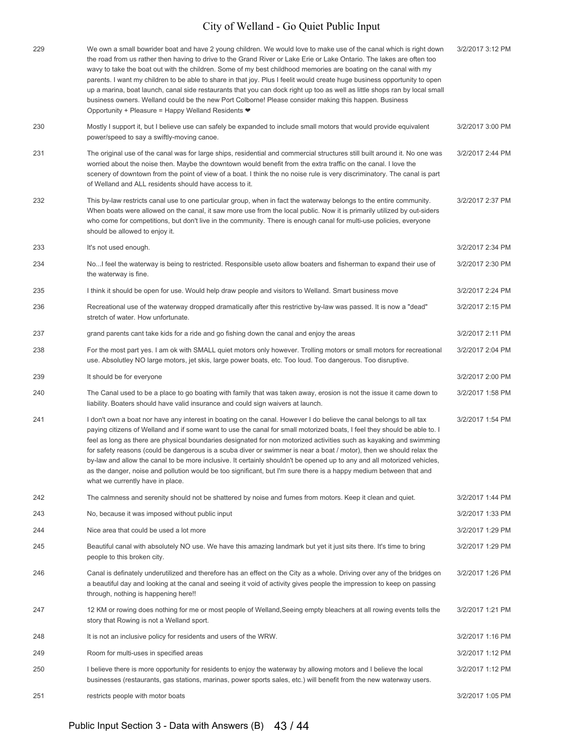| 229 | We own a small bowrider boat and have 2 young children. We would love to make use of the canal which is right down<br>the road from us rather then having to drive to the Grand River or Lake Erie or Lake Ontario. The lakes are often too<br>wavy to take the boat out with the children. Some of my best childhood memories are boating on the canal with my<br>parents. I want my children to be able to share in that joy. Plus I feelit would create huge business opportunity to open<br>up a marina, boat launch, canal side restaurants that you can dock right up too as well as little shops ran by local small<br>business owners. Welland could be the new Port Colborne! Please consider making this happen. Business<br>Opportunity + Pleasure = Happy Welland Residents ♥ | 3/2/2017 3:12 PM |
|-----|-------------------------------------------------------------------------------------------------------------------------------------------------------------------------------------------------------------------------------------------------------------------------------------------------------------------------------------------------------------------------------------------------------------------------------------------------------------------------------------------------------------------------------------------------------------------------------------------------------------------------------------------------------------------------------------------------------------------------------------------------------------------------------------------|------------------|
| 230 | Mostly I support it, but I believe use can safely be expanded to include small motors that would provide equivalent<br>power/speed to say a swiftly-moving canoe.                                                                                                                                                                                                                                                                                                                                                                                                                                                                                                                                                                                                                         | 3/2/2017 3:00 PM |
| 231 | The original use of the canal was for large ships, residential and commercial structures still built around it. No one was<br>worried about the noise then. Maybe the downtown would benefit from the extra traffic on the canal. I love the<br>scenery of downtown from the point of view of a boat. I think the no noise rule is very discriminatory. The canal is part<br>of Welland and ALL residents should have access to it.                                                                                                                                                                                                                                                                                                                                                       | 3/2/2017 2:44 PM |
| 232 | This by-law restricts canal use to one particular group, when in fact the waterway belongs to the entire community.<br>When boats were allowed on the canal, it saw more use from the local public. Now it is primarily utilized by out-siders<br>who come for competitions, but don't live in the community. There is enough canal for multi-use policies, everyone<br>should be allowed to enjoy it.                                                                                                                                                                                                                                                                                                                                                                                    | 3/2/2017 2:37 PM |
| 233 | It's not used enough.                                                                                                                                                                                                                                                                                                                                                                                                                                                                                                                                                                                                                                                                                                                                                                     | 3/2/2017 2:34 PM |
| 234 | No I feel the waterway is being to restricted. Responsible useto allow boaters and fisherman to expand their use of<br>the waterway is fine.                                                                                                                                                                                                                                                                                                                                                                                                                                                                                                                                                                                                                                              | 3/2/2017 2:30 PM |
| 235 | I think it should be open for use. Would help draw people and visitors to Welland. Smart business move                                                                                                                                                                                                                                                                                                                                                                                                                                                                                                                                                                                                                                                                                    | 3/2/2017 2:24 PM |
| 236 | Recreational use of the waterway dropped dramatically after this restrictive by-law was passed. It is now a "dead"<br>stretch of water. How unfortunate.                                                                                                                                                                                                                                                                                                                                                                                                                                                                                                                                                                                                                                  | 3/2/2017 2:15 PM |
| 237 | grand parents cant take kids for a ride and go fishing down the canal and enjoy the areas                                                                                                                                                                                                                                                                                                                                                                                                                                                                                                                                                                                                                                                                                                 | 3/2/2017 2:11 PM |
| 238 | For the most part yes. I am ok with SMALL quiet motors only however. Trolling motors or small motors for recreational<br>use. Absolutley NO large motors, jet skis, large power boats, etc. Too loud. Too dangerous. Too disruptive.                                                                                                                                                                                                                                                                                                                                                                                                                                                                                                                                                      | 3/2/2017 2:04 PM |
| 239 | It should be for everyone                                                                                                                                                                                                                                                                                                                                                                                                                                                                                                                                                                                                                                                                                                                                                                 | 3/2/2017 2:00 PM |
| 240 | The Canal used to be a place to go boating with family that was taken away, erosion is not the issue it came down to<br>liability. Boaters should have valid insurance and could sign waivers at launch.                                                                                                                                                                                                                                                                                                                                                                                                                                                                                                                                                                                  | 3/2/2017 1:58 PM |
| 241 | I don't own a boat nor have any interest in boating on the canal. However I do believe the canal belongs to all tax<br>paying citizens of Welland and if some want to use the canal for small motorized boats, I feel they should be able to. I<br>feel as long as there are physical boundaries designated for non motorized activities such as kayaking and swimming<br>for safety reasons (could be dangerous is a scuba diver or swimmer is near a boat / motor), then we should relax the<br>by-law and allow the canal to be more inclusive. It certainly shouldn't be opened up to any and all motorized vehicles,<br>as the danger, noise and pollution would be too significant, but I'm sure there is a happy medium between that and<br>what we currently have in place.       | 3/2/2017 1:54 PM |
| 242 | The calmness and serenity should not be shattered by noise and fumes from motors. Keep it clean and quiet.                                                                                                                                                                                                                                                                                                                                                                                                                                                                                                                                                                                                                                                                                | 3/2/2017 1:44 PM |
| 243 | No, because it was imposed without public input                                                                                                                                                                                                                                                                                                                                                                                                                                                                                                                                                                                                                                                                                                                                           | 3/2/2017 1:33 PM |
| 244 | Nice area that could be used a lot more                                                                                                                                                                                                                                                                                                                                                                                                                                                                                                                                                                                                                                                                                                                                                   | 3/2/2017 1:29 PM |
| 245 | Beautiful canal with absolutely NO use. We have this amazing landmark but yet it just sits there. It's time to bring<br>people to this broken city.                                                                                                                                                                                                                                                                                                                                                                                                                                                                                                                                                                                                                                       | 3/2/2017 1:29 PM |
| 246 | Canal is definately underutilized and therefore has an effect on the City as a whole. Driving over any of the bridges on<br>a beautiful day and looking at the canal and seeing it void of activity gives people the impression to keep on passing<br>through, nothing is happening here!!                                                                                                                                                                                                                                                                                                                                                                                                                                                                                                | 3/2/2017 1:26 PM |
| 247 | 12 KM or rowing does nothing for me or most people of Welland, Seeing empty bleachers at all rowing events tells the<br>story that Rowing is not a Welland sport.                                                                                                                                                                                                                                                                                                                                                                                                                                                                                                                                                                                                                         | 3/2/2017 1:21 PM |
| 248 | It is not an inclusive policy for residents and users of the WRW.                                                                                                                                                                                                                                                                                                                                                                                                                                                                                                                                                                                                                                                                                                                         | 3/2/2017 1:16 PM |
| 249 | Room for multi-uses in specified areas                                                                                                                                                                                                                                                                                                                                                                                                                                                                                                                                                                                                                                                                                                                                                    | 3/2/2017 1:12 PM |
| 250 | I believe there is more opportunity for residents to enjoy the waterway by allowing motors and I believe the local<br>businesses (restaurants, gas stations, marinas, power sports sales, etc.) will benefit from the new waterway users.                                                                                                                                                                                                                                                                                                                                                                                                                                                                                                                                                 | 3/2/2017 1:12 PM |
| 251 | restricts people with motor boats                                                                                                                                                                                                                                                                                                                                                                                                                                                                                                                                                                                                                                                                                                                                                         | 3/2/2017 1:05 PM |